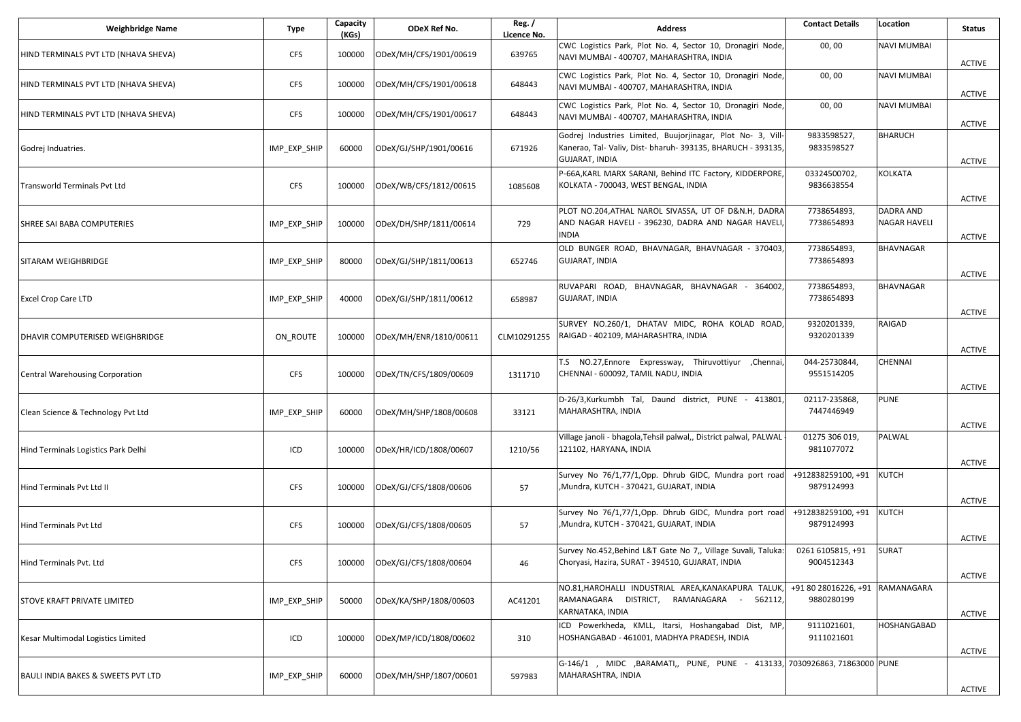| <b>Weighbridge Name</b>                       | <b>Type</b>  | Capacity<br>(KGs) | ODeX Ref No.           | Reg./<br>Licence No. | <b>Address</b>                                                                                                                                | <b>Contact Details</b>                        | Location                                | <b>Status</b>                  |
|-----------------------------------------------|--------------|-------------------|------------------------|----------------------|-----------------------------------------------------------------------------------------------------------------------------------------------|-----------------------------------------------|-----------------------------------------|--------------------------------|
| HIND TERMINALS PVT LTD (NHAVA SHEVA)          | <b>CFS</b>   | 100000            | ODeX/MH/CFS/1901/00619 | 639765               | CWC Logistics Park, Plot No. 4, Sector 10, Dronagiri Node,<br>NAVI MUMBAI - 400707, MAHARASHTRA, INDIA                                        | 00,00                                         | <b>NAVI MUMBAI</b>                      | <b>ACTIVE</b>                  |
| HIND TERMINALS PVT LTD (NHAVA SHEVA)          | <b>CFS</b>   | 100000            | ODeX/MH/CFS/1901/00618 | 648443               | CWC Logistics Park, Plot No. 4, Sector 10, Dronagiri Node,<br>NAVI MUMBAI - 400707, MAHARASHTRA, INDIA                                        | 00,00                                         | <b>NAVI MUMBAI</b>                      | <b>ACTIVE</b>                  |
| HIND TERMINALS PVT LTD (NHAVA SHEVA)          | <b>CFS</b>   | 100000            | ODeX/MH/CFS/1901/00617 | 648443               | CWC Logistics Park, Plot No. 4, Sector 10, Dronagiri Node,<br>NAVI MUMBAI - 400707, MAHARASHTRA, INDIA                                        | 00,00                                         | <b>NAVI MUMBAI</b>                      |                                |
| Godrej Induatries.                            | IMP_EXP_SHIP | 60000             | ODeX/GJ/SHP/1901/00616 | 671926               | Godrej Industries Limited, Buujorjinagar, Plot No- 3, Vill-<br>Kanerao, Tal- Valiv, Dist- bharuh- 393135, BHARUCH - 393135,<br>GUJARAT, INDIA | 9833598527,<br>9833598527                     | <b>BHARUCH</b>                          | <b>ACTIVE</b><br><b>ACTIVE</b> |
| <b>Transworld Terminals Pvt Ltd</b>           | <b>CFS</b>   | 100000            | ODeX/WB/CFS/1812/00615 | 1085608              | P-66A, KARL MARX SARANI, Behind ITC Factory, KIDDERPORE,<br>KOLKATA - 700043, WEST BENGAL, INDIA                                              | 03324500702,<br>9836638554                    | <b>KOLKATA</b>                          | <b>ACTIVE</b>                  |
| SHREE SAI BABA COMPUTERIES                    | IMP_EXP_SHIP | 100000            | ODeX/DH/SHP/1811/00614 | 729                  | PLOT NO.204, ATHAL NAROL SIVASSA, UT OF D&N.H, DADRA<br>AND NAGAR HAVELI - 396230, DADRA AND NAGAR HAVELI<br><b>INDIA</b>                     | 7738654893,<br>7738654893                     | <b>DADRA AND</b><br><b>NAGAR HAVELI</b> | <b>ACTIVE</b>                  |
| <b>SITARAM WEIGHBRIDGE</b>                    | IMP_EXP_SHIP | 80000             | ODeX/GJ/SHP/1811/00613 | 652746               | OLD BUNGER ROAD, BHAVNAGAR, BHAVNAGAR - 370403<br><b>GUJARAT, INDIA</b>                                                                       | 7738654893,<br>7738654893                     | <b>BHAVNAGAR</b>                        | <b>ACTIVE</b>                  |
| <b>Excel Crop Care LTD</b>                    | IMP_EXP_SHIP | 40000             | ODeX/GJ/SHP/1811/00612 | 658987               | RUVAPARI ROAD, BHAVNAGAR, BHAVNAGAR - 364002,<br>GUJARAT, INDIA                                                                               | 7738654893,<br>7738654893                     | <b>BHAVNAGAR</b>                        | ACTIVE                         |
| DHAVIR COMPUTERISED WEIGHBRIDGE               | ON ROUTE     | 100000            | ODeX/MH/ENR/1810/00611 | CLM10291255          | SURVEY NO.260/1, DHATAV MIDC, ROHA KOLAD ROAD,<br>RAIGAD - 402109, MAHARASHTRA, INDIA                                                         | 9320201339,<br>9320201339                     | <b>RAIGAD</b>                           | <b>ACTIVE</b>                  |
| Central Warehousing Corporation               | <b>CFS</b>   | 100000            | ODeX/TN/CFS/1809/00609 | 1311710              | T.S NO.27, Ennore Expressway, Thiruvottiyur , Chennai,<br>CHENNAI - 600092, TAMIL NADU, INDIA                                                 | 044-25730844,<br>9551514205                   | <b>CHENNAI</b>                          | <b>ACTIVE</b>                  |
| Clean Science & Technology Pvt Ltd            | IMP_EXP_SHIP | 60000             | ODeX/MH/SHP/1808/00608 | 33121                | D-26/3, Kurkumbh Tal, Daund district, PUNE - 413801<br>MAHARASHTRA, INDIA                                                                     | 02117-235868,<br>7447446949                   | <b>PUNE</b>                             | <b>ACTIVE</b>                  |
| Hind Terminals Logistics Park Delhi           | ICD          | 100000            | ODeX/HR/ICD/1808/00607 | 1210/56              | Village janoli - bhagola, Tehsil palwal,, District palwal, PALWAL<br>121102, HARYANA, INDIA                                                   | 01275 306 019,<br>9811077072                  | PALWAL                                  | <b>ACTIVE</b>                  |
| Hind Terminals Pvt Ltd II                     | <b>CFS</b>   | 100000            | ODeX/GJ/CFS/1808/00606 | 57                   | Survey No 76/1,77/1,Opp. Dhrub GIDC, Mundra port road<br>Mundra, KUTCH - 370421, GUJARAT, INDIA,                                              | +912838259100, +91<br>9879124993              | <b>KUTCH</b>                            | <b>ACTIVE</b>                  |
| Hind Terminals Pvt Ltd                        | <b>CFS</b>   | 100000            | ODeX/GJ/CFS/1808/00605 | 57                   | Survey No 76/1,77/1,Opp. Dhrub GIDC, Mundra port road<br>Mundra, KUTCH - 370421, GUJARAT, INDIA                                               | +912838259100, +91<br>9879124993              | <b>KUTCH</b>                            | <b>ACTIVE</b>                  |
| Hind Terminals Pvt. Ltd                       | <b>CFS</b>   | 100000            | ODeX/GJ/CFS/1808/00604 | 46                   | Survey No.452, Behind L&T Gate No 7,, Village Suvali, Taluka:<br>Choryasi, Hazira, SURAT - 394510, GUJARAT, INDIA                             | 0261 6105815, +91<br>9004512343               | <b>SURAT</b>                            | <b>ACTIVE</b>                  |
| <b>STOVE KRAFT PRIVATE LIMITED</b>            | IMP_EXP_SHIP | 50000             | ODeX/KA/SHP/1808/00603 | AC41201              | NO.81,HAROHALLI INDUSTRIAL AREA,KANAKAPURA TALUK<br>RAMANAGARA DISTRICT, RAMANAGARA - 562112,<br>KARNATAKA, INDIA                             | +91 80 28016226, +91 RAMANAGARA<br>9880280199 |                                         | <b>ACTIVE</b>                  |
| Kesar Multimodal Logistics Limited            | ICD          | 100000            | ODeX/MP/ICD/1808/00602 | 310                  | ICD Powerkheda, KMLL, Itarsi, Hoshangabad Dist, MP,<br>HOSHANGABAD - 461001, MADHYA PRADESH, INDIA                                            | 9111021601,<br>9111021601                     | <b>HOSHANGABAD</b>                      | ACTIVE                         |
| <b>BAULI INDIA BAKES &amp; SWEETS PVT LTD</b> | IMP_EXP_SHIP | 60000             | ODeX/MH/SHP/1807/00601 | 597983               | G-146/1 , MIDC , BARAMATI,, PUNE, PUNE - 413133, 7030926863, 71863000 PUNE<br>MAHARASHTRA, INDIA                                              |                                               |                                         | ACTIVE                         |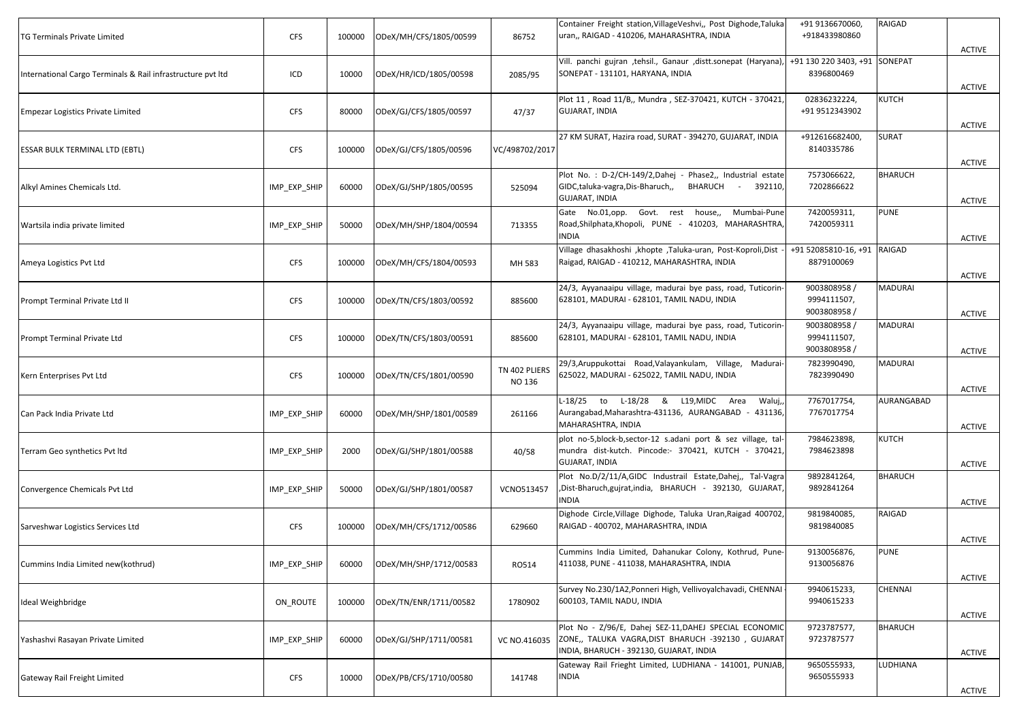| <b>CFS</b>   | 100000 | ODeX/MH/CFS/1805/00599 | 86752                   | Container Freight station, Village Veshvi,, Post Dighode, Taluka<br>uran,, RAIGAD - 410206, MAHARASHTRA, INDIA                                         | +91 9136670060,<br>+918433980860            | RAIGAD         | <b>ACTIVE</b>                                                |
|--------------|--------|------------------------|-------------------------|--------------------------------------------------------------------------------------------------------------------------------------------------------|---------------------------------------------|----------------|--------------------------------------------------------------|
| ICD          | 10000  | ODeX/HR/ICD/1805/00598 | 2085/95                 | Vill. panchi gujran ,tehsil., Ganaur ,distt.sonepat (Haryana),<br>SONEPAT - 131101, HARYANA, INDIA                                                     | 8396800469                                  |                | <b>ACTIVE</b>                                                |
| <b>CFS</b>   | 80000  | ODeX/GJ/CFS/1805/00597 | 47/37                   | Plot 11, Road 11/B,, Mundra, SEZ-370421, KUTCH - 370421<br><b>GUJARAT, INDIA</b>                                                                       | 02836232224,<br>+91 9512343902              | KUTCH          | <b>ACTIVE</b>                                                |
| <b>CFS</b>   | 100000 | ODeX/GJ/CFS/1805/00596 | VC/498702/2017          | 27 KM SURAT, Hazira road, SURAT - 394270, GUJARAT, INDIA                                                                                               | +912616682400,<br>8140335786                | <b>SURAT</b>   | <b>ACTIVE</b>                                                |
| IMP_EXP_SHIP | 60000  | ODeX/GJ/SHP/1805/00595 | 525094                  | Plot No. : D-2/CH-149/2, Dahej - Phase2,, Industrial estate<br>BHARUCH -<br>GIDC, taluka-vagra, Dis-Bharuch,,<br>392110,<br><b>GUJARAT, INDIA</b>      | 7573066622,<br>7202866622                   | <b>BHARUCH</b> | <b>ACTIVE</b>                                                |
| IMP_EXP_SHIP | 50000  | ODeX/MH/SHP/1804/00594 | 713355                  | Gate No.01,opp. Govt. rest house,,<br>Mumbai-Pune<br>Road, Shilphata, Khopoli, PUNE - 410203, MAHARASHTRA<br>INDIA                                     | 7420059311,<br>7420059311                   | <b>PUNE</b>    | <b>ACTIVE</b>                                                |
| <b>CFS</b>   | 100000 | ODeX/MH/CFS/1804/00593 | MH 583                  | Village dhasakhoshi , khopte , Taluka-uran, Post-Koproli, Dist<br>Raigad, RAIGAD - 410212, MAHARASHTRA, INDIA                                          | 8879100069                                  |                | <b>ACTIVE</b>                                                |
| <b>CFS</b>   | 100000 | ODeX/TN/CFS/1803/00592 | 885600                  | 24/3, Ayyanaaipu village, madurai bye pass, road, Tuticorin-<br>628101, MADURAI - 628101, TAMIL NADU, INDIA                                            | 9003808958 /<br>9994111507,<br>9003808958 / | MADURAI        | <b>ACTIVE</b>                                                |
| <b>CFS</b>   | 100000 | ODeX/TN/CFS/1803/00591 | 885600                  | 24/3, Ayyanaaipu village, madurai bye pass, road, Tuticorin<br>628101, MADURAI - 628101, TAMIL NADU, INDIA                                             | 9003808958 /<br>9994111507,<br>9003808958 / | MADURAI        | <b>ACTIVE</b>                                                |
| <b>CFS</b>   | 100000 | ODeX/TN/CFS/1801/00590 | TN 402 PLIERS<br>NO 136 | 29/3, Aruppukottai Road, Valayankulam, Village, Madurai-<br>625022, MADURAI - 625022, TAMIL NADU, INDIA                                                | 7823990490,<br>7823990490                   | MADURAI        | <b>ACTIVE</b>                                                |
| IMP_EXP_SHIP | 60000  | ODeX/MH/SHP/1801/00589 | 261166                  | L-18/25 to L-18/28 & L19, MIDC Area<br>Waluj,<br>Aurangabad, Maharashtra-431136, AURANGABAD - 431136,<br>MAHARASHTRA, INDIA                            | 7767017754,<br>7767017754                   | AURANGABAD     | <b>ACTIVE</b>                                                |
| IMP_EXP_SHIP | 2000   | ODeX/GJ/SHP/1801/00588 | 40/58                   | plot no-5,block-b,sector-12 s.adani port & sez village, tal-<br>mundra dist-kutch. Pincode:- 370421, KUTCH - 370421<br>GUJARAT, INDIA                  | 7984623898,<br>7984623898                   | KUTCH          | <b>ACTIVE</b>                                                |
| IMP_EXP_SHIP | 50000  | ODeX/GJ/SHP/1801/00587 | VCNO513457              | Plot No.D/2/11/A,GIDC Industrail Estate,Dahej,, Tal-Vagra<br>,Dist-Bharuch,gujrat,india, BHARUCH - 392130, GUJARAT,<br><b>INDIA</b>                    | 9892841264,<br>9892841264                   | <b>BHARUCH</b> | ACTIVE                                                       |
| <b>CFS</b>   | 100000 | ODeX/MH/CFS/1712/00586 | 629660                  | Dighode Circle, Village Dighode, Taluka Uran, Raigad 400702<br>RAIGAD - 400702, MAHARASHTRA, INDIA                                                     | 9819840085,<br>9819840085                   | RAIGAD         | ACTIVE                                                       |
| IMP_EXP_SHIP | 60000  | ODeX/MH/SHP/1712/00583 | RO514                   | Cummins India Limited, Dahanukar Colony, Kothrud, Pune-<br>411038, PUNE - 411038, MAHARASHTRA, INDIA                                                   | 9130056876,<br>9130056876                   | <b>PUNE</b>    | <b>ACTIVE</b>                                                |
| ON_ROUTE     | 100000 | ODeX/TN/ENR/1711/00582 | 1780902                 | Survey No.230/1A2, Ponneri High, Vellivoyalchavadi, CHENNAI<br>600103, TAMIL NADU, INDIA                                                               | 9940615233,<br>9940615233                   | CHENNAI        | <b>ACTIVE</b>                                                |
| IMP_EXP_SHIP | 60000  | ODeX/GJ/SHP/1711/00581 | VC NO.416035            | Plot No - Z/96/E, Dahej SEZ-11,DAHEJ SPECIAL ECONOMIC<br>ZONE,, TALUKA VAGRA, DIST BHARUCH -392130, GUJARAT<br>INDIA, BHARUCH - 392130, GUJARAT, INDIA | 9723787577,<br>9723787577                   | <b>BHARUCH</b> | <b>ACTIVE</b>                                                |
| <b>CFS</b>   | 10000  | ODeX/PB/CFS/1710/00580 | 141748                  | Gateway Rail Frieght Limited, LUDHIANA - 141001, PUNJAB,<br>INDIA                                                                                      | 9650555933,<br>9650555933                   | LUDHIANA       | <b>ACTIVE</b>                                                |
|              |        |                        |                         |                                                                                                                                                        |                                             |                | +91 130 220 3403, +91 SONEPAT<br>+91 52085810-16, +91 RAIGAD |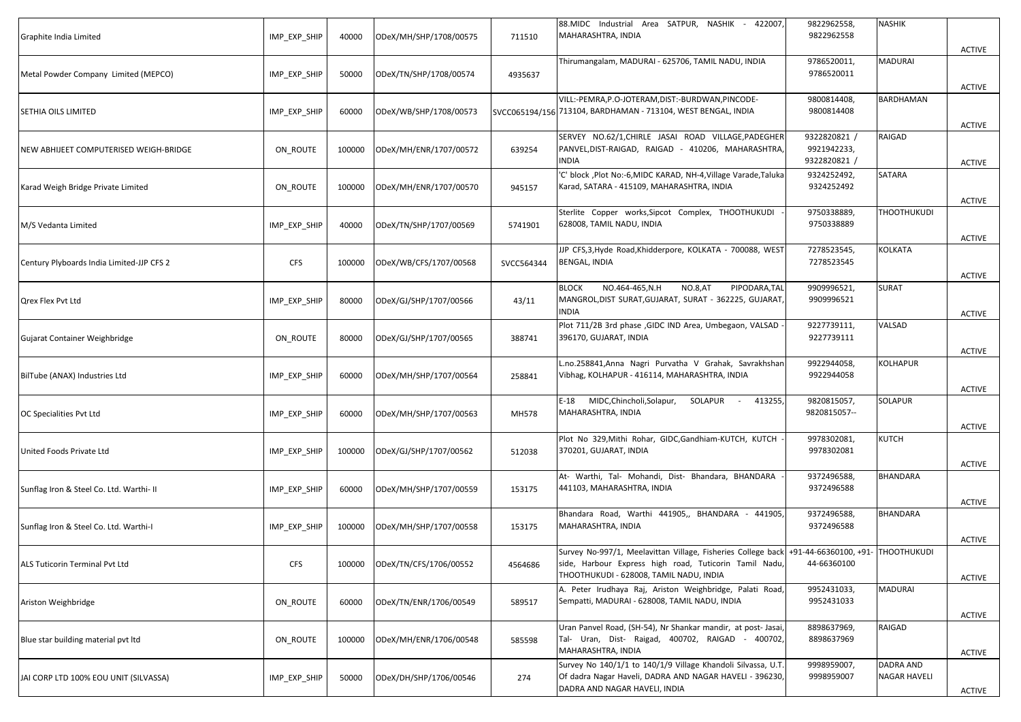| Graphite India Limited                    | IMP_EXP_SHIP | 40000  | ODeX/MH/SHP/1708/00575 | 711510     | 88.MIDC Industrial Area SATPUR, NASHIK - 422007,<br>MAHARASHTRA, INDIA                                                                                                                              | 9822962558,<br>9822962558                   | <b>NASHIK</b>                    | <b>ACTIVE</b> |
|-------------------------------------------|--------------|--------|------------------------|------------|-----------------------------------------------------------------------------------------------------------------------------------------------------------------------------------------------------|---------------------------------------------|----------------------------------|---------------|
| Metal Powder Company Limited (MEPCO)      | IMP_EXP_SHIP | 50000  | ODeX/TN/SHP/1708/00574 | 4935637    | Thirumangalam, MADURAI - 625706, TAMIL NADU, INDIA                                                                                                                                                  | 9786520011,<br>9786520011                   | MADURAI                          | ACTIVE        |
| <b>SETHIA OILS LIMITED</b>                | IMP_EXP_SHIP | 60000  | ODeX/WB/SHP/1708/00573 |            | VILL:-PEMRA, P.O-JOTERAM, DIST:-BURDWAN, PINCODE-<br>SVCC065194/156 713104, BARDHAMAN - 713104, WEST BENGAL, INDIA                                                                                  | 9800814408,<br>9800814408                   | BARDHAMAN                        | <b>ACTIVE</b> |
| NEW ABHIJEET COMPUTERISED WEIGH-BRIDGE    | ON ROUTE     | 100000 | ODeX/MH/ENR/1707/00572 | 639254     | SERVEY NO.62/1, CHIRLE JASAI ROAD VILLAGE, PADEGHER<br>PANVEL, DIST-RAIGAD, RAIGAD - 410206, MAHARASHTRA<br><b>NDIA</b>                                                                             | 9322820821 /<br>9921942233,<br>9322820821 / | RAIGAD                           | <b>ACTIVE</b> |
| Karad Weigh Bridge Private Limited        | ON_ROUTE     | 100000 | ODeX/MH/ENR/1707/00570 | 945157     | 'C' block , Plot No:-6, MIDC KARAD, NH-4, Village Varade, Taluka<br>Karad, SATARA - 415109, MAHARASHTRA, INDIA                                                                                      | 9324252492,<br>9324252492                   | SATARA                           | <b>ACTIVE</b> |
| M/S Vedanta Limited                       | IMP_EXP_SHIP | 40000  | ODeX/TN/SHP/1707/00569 | 5741901    | Sterlite Copper works, Sipcot Complex, THOOTHUKUDI<br>628008, TAMIL NADU, INDIA                                                                                                                     | 9750338889,<br>9750338889                   | <b>THOOTHUKUDI</b>               | <b>ACTIVE</b> |
| Century Plyboards India Limited-JJP CFS 2 | <b>CFS</b>   | 100000 | ODeX/WB/CFS/1707/00568 | SVCC564344 | JJP CFS,3, Hyde Road, Khidderpore, KOLKATA - 700088, WEST<br><b>BENGAL, INDIA</b>                                                                                                                   | 7278523545,<br>7278523545                   | KOLKATA                          | ACTIVE        |
| Qrex Flex Pvt Ltd                         | IMP_EXP_SHIP | 80000  | ODeX/GJ/SHP/1707/00566 | 43/11      | NO.464-465, N.H<br>NO.8,AT<br>PIPODARA, TAL<br><b>BLOCK</b><br>MANGROL,DIST SURAT,GUJARAT, SURAT - 362225, GUJARAT,<br><b>INDIA</b>                                                                 | 9909996521,<br>9909996521                   | SURAT                            | <b>ACTIVE</b> |
| Gujarat Container Weighbridge             | ON ROUTE     | 80000  | ODeX/GJ/SHP/1707/00565 | 388741     | Plot 711/2B 3rd phase , GIDC IND Area, Umbegaon, VALSAD<br>396170, GUJARAT, INDIA                                                                                                                   | 9227739111,<br>9227739111                   | VALSAD                           | <b>ACTIVE</b> |
| BilTube (ANAX) Industries Ltd             | IMP_EXP_SHIP | 60000  | ODeX/MH/SHP/1707/00564 | 258841     | L.no.258841,Anna Nagri Purvatha V Grahak, Savrakhshan<br>Vibhag, KOLHAPUR - 416114, MAHARASHTRA, INDIA                                                                                              | 9922944058,<br>9922944058                   | KOLHAPUR                         | <b>ACTIVE</b> |
| OC Specialities Pvt Ltd                   | IMP_EXP_SHIP | 60000  | ODeX/MH/SHP/1707/00563 | MH578      | MIDC, Chincholi, Solapur,<br>SOLAPUR<br>413255,<br>$E-18$<br>$\sim 100$<br>MAHARASHTRA, INDIA                                                                                                       | 9820815057,<br>9820815057--                 | SOLAPUR                          | <b>ACTIVE</b> |
| United Foods Private Ltd                  | IMP_EXP_SHIP | 100000 | ODeX/GJ/SHP/1707/00562 | 512038     | Plot No 329, Mithi Rohar, GIDC, Gandhiam-KUTCH, KUTCH<br>370201, GUJARAT, INDIA                                                                                                                     | 9978302081,<br>9978302081                   | KUTCH                            | <b>ACTIVE</b> |
| Sunflag Iron & Steel Co. Ltd. Warthi- II  | IMP EXP SHIP | 60000  | ODeX/MH/SHP/1707/00559 | 153175     | At- Warthi, Tal- Mohandi, Dist- Bhandara, BHANDARA<br>441103, MAHARASHTRA, INDIA                                                                                                                    | 9372496588,<br>9372496588                   | BHANDARA                         | ACTIVE        |
| Sunflag Iron & Steel Co. Ltd. Warthi-I    | IMP EXP SHIP | 100000 | ODeX/MH/SHP/1707/00558 | 153175     | Bhandara Road, Warthi 441905,, BHANDARA - 441905,<br>MAHARASHTRA, INDIA                                                                                                                             | 9372496588,<br>9372496588                   | BHANDARA                         | ACTIVE        |
| ALS Tuticorin Terminal Pvt Ltd            | <b>CFS</b>   | 100000 | ODeX/TN/CFS/1706/00552 | 4564686    | Survey No-997/1, Meelavittan Village, Fisheries College back +91-44-66360100, +91- THOOTHUKUDI<br>side, Harbour Express high road, Tuticorin Tamil Nadu,<br>THOOTHUKUDI - 628008, TAMIL NADU, INDIA | 44-66360100                                 |                                  | <b>ACTIVE</b> |
| Ariston Weighbridge                       | ON_ROUTE     | 60000  | ODeX/TN/ENR/1706/00549 | 589517     | A. Peter Irudhaya Raj, Ariston Weighbridge, Palati Road,<br>Sempatti, MADURAI - 628008, TAMIL NADU, INDIA                                                                                           | 9952431033,<br>9952431033                   | <b>MADURAI</b>                   | <b>ACTIVE</b> |
| Blue star building material pvt ltd       | ON ROUTE     | 100000 | ODeX/MH/ENR/1706/00548 | 585598     | Uran Panvel Road, (SH-54), Nr Shankar mandir, at post- Jasai<br>Tal- Uran, Dist- Raigad, 400702, RAIGAD - 400702,<br>MAHARASHTRA, INDIA                                                             | 8898637969,<br>8898637969                   | RAIGAD                           | <b>ACTIVE</b> |
| JAI CORP LTD 100% EOU UNIT (SILVASSA)     | IMP_EXP_SHIP | 50000  | ODeX/DH/SHP/1706/00546 | 274        | Survey No 140/1/1 to 140/1/9 Village Khandoli Silvassa, U.T.<br>Of dadra Nagar Haveli, DADRA AND NAGAR HAVELI - 396230,<br>DADRA AND NAGAR HAVELI, INDIA                                            | 9998959007,<br>9998959007                   | DADRA AND<br><b>NAGAR HAVELI</b> | <b>ACTIVE</b> |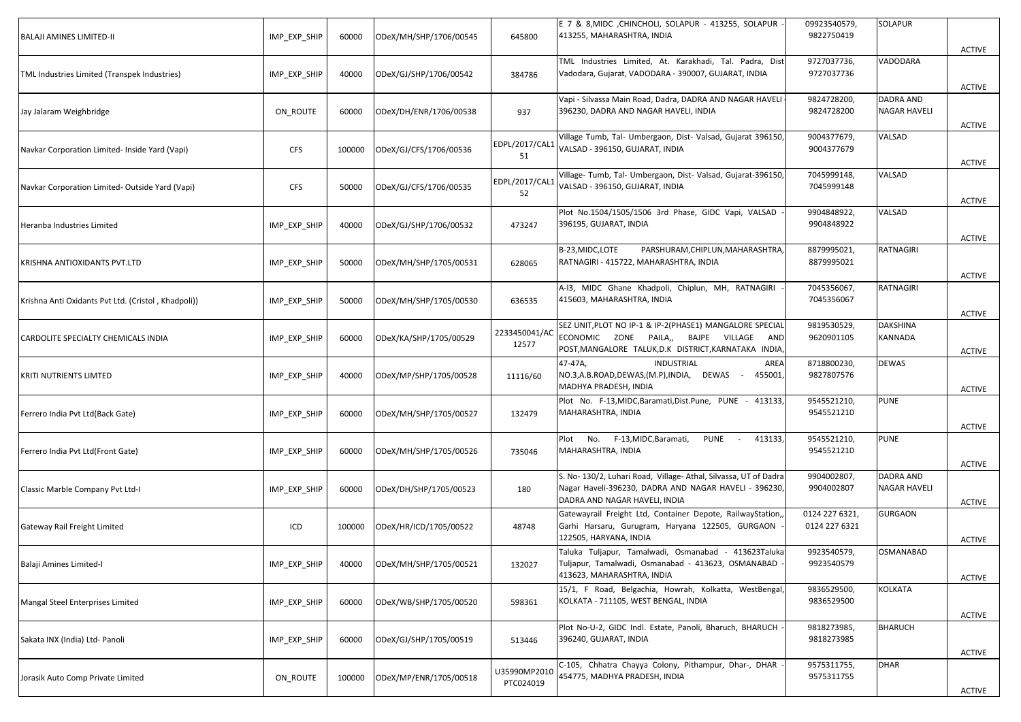| IMP EXP SHIP | 60000  | ODeX/MH/SHP/1706/00545 | 645800                    | E 7 & 8, MIDC, CHINCHOLI, SOLAPUR - 413255, SOLAPUR<br>413255, MAHARASHTRA, INDIA                                                                              | 09923540579,<br>9822750419      | SOLAPUR                          | <b>ACTIVE</b> |
|--------------|--------|------------------------|---------------------------|----------------------------------------------------------------------------------------------------------------------------------------------------------------|---------------------------------|----------------------------------|---------------|
| IMP_EXP_SHIP | 40000  | ODeX/GJ/SHP/1706/00542 | 384786                    | TML Industries Limited, At. Karakhadi, Tal. Padra, Dist<br>Vadodara, Gujarat, VADODARA - 390007, GUJARAT, INDIA                                                | 9727037736,<br>9727037736       | VADODARA                         | <b>ACTIVE</b> |
| ON_ROUTE     | 60000  | ODeX/DH/ENR/1706/00538 | 937                       | Vapi - Silvassa Main Road, Dadra, DADRA AND NAGAR HAVELI<br>396230, DADRA AND NAGAR HAVELI, INDIA                                                              | 9824728200,<br>9824728200       | DADRA AND<br><b>NAGAR HAVELI</b> | ACTIVE        |
| <b>CFS</b>   | 100000 | ODeX/GJ/CFS/1706/00536 | EDPL/2017/CAL1<br>51      | Village Tumb, Tal- Umbergaon, Dist- Valsad, Gujarat 396150,<br>VALSAD - 396150, GUJARAT, INDIA                                                                 | 9004377679,<br>9004377679       | VALSAD                           | <b>ACTIVE</b> |
| <b>CFS</b>   | 50000  | ODeX/GJ/CFS/1706/00535 | EDPL/2017/CAL1<br>52      | Village- Tumb, Tal- Umbergaon, Dist- Valsad, Gujarat-396150<br>VALSAD - 396150, GUJARAT, INDIA                                                                 | 7045999148,<br>7045999148       | VALSAD                           | <b>ACTIVE</b> |
| IMP_EXP_SHIP | 40000  | ODeX/GJ/SHP/1706/00532 | 473247                    | Plot No.1504/1505/1506 3rd Phase, GIDC Vapi, VALSAD<br>396195, GUJARAT, INDIA                                                                                  | 9904848922,<br>9904848922       | VALSAD                           | <b>ACTIVE</b> |
| IMP_EXP_SHIP | 50000  | ODeX/MH/SHP/1705/00531 | 628065                    | PARSHURAM, CHIPLUN, MAHARASHTRA<br>B-23, MIDC, LOTE<br>RATNAGIRI - 415722, MAHARASHTRA, INDIA                                                                  | 8879995021,<br>8879995021       | RATNAGIRI                        | ACTIVE        |
| IMP EXP SHIP | 50000  | ODeX/MH/SHP/1705/00530 | 636535                    | A-I3, MIDC Ghane Khadpoli, Chiplun, MH, RATNAGIRI<br>415603, MAHARASHTRA, INDIA                                                                                | 7045356067,<br>7045356067       | RATNAGIRI                        | <b>ACTIVE</b> |
| IMP_EXP_SHIP | 60000  | ODeX/KA/SHP/1705/00529 | 2233450041/AC<br>12577    | SEZ UNIT, PLOT NO IP-1 & IP-2(PHASE1) MANGALORE SPECIAL<br>ECONOMIC ZONE PAILA,, BAJPE VILLAGE<br>AND<br>POST, MANGALORE TALUK, D.K DISTRICT, KARNATAKA INDIA, | 9819530529,<br>9620901105       | <b>DAKSHINA</b><br>KANNADA       | <b>ACTIVE</b> |
| IMP_EXP_SHIP | 40000  | ODeX/MP/SHP/1705/00528 | 11116/60                  | 47-47A,<br><b>INDUSTRIAL</b><br>AREA<br>NO.3,A.B.ROAD,DEWAS,(M.P),INDIA, DEWAS - 455001,<br>MADHYA PRADESH, INDIA                                              | 8718800230,<br>9827807576       | DEWAS                            | <b>ACTIVE</b> |
| IMP_EXP_SHIP | 60000  | ODeX/MH/SHP/1705/00527 | 132479                    | Plot No. F-13, MIDC, Baramati, Dist. Pune, PUNE - 413133<br>MAHARASHTRA, INDIA                                                                                 | 9545521210,<br>9545521210       | <b>PUNE</b>                      | <b>ACTIVE</b> |
| IMP_EXP_SHIP | 60000  | ODeX/MH/SHP/1705/00526 | 735046                    | Plot No. F-13, MIDC, Baramati, PUNE -<br>413133<br>MAHARASHTRA, INDIA                                                                                          | 9545521210,<br>9545521210       | <b>PUNE</b>                      | <b>ACTIVE</b> |
| IMP_EXP_SHIP | 60000  | ODeX/DH/SHP/1705/00523 | 180                       | S. No- 130/2, Luhari Road, Village-Athal, Silvassa, UT of Dadra<br>Nagar Haveli-396230, DADRA AND NAGAR HAVELI - 396230,<br>DADRA AND NAGAR HAVELI, INDIA      | 9904002807,<br>9904002807       | DADRA AND<br><b>NAGAR HAVELI</b> | ACTIVE        |
| ICD          | 100000 | ODeX/HR/ICD/1705/00522 | 48748                     | Gatewayrail Freight Ltd, Container Depote, RailwayStation,<br>Garhi Harsaru, Gurugram, Haryana 122505, GURGAON<br>122505, HARYANA, INDIA                       | 0124 227 6321,<br>0124 227 6321 | GURGAON                          | ACTIVE        |
| IMP_EXP_SHIP | 40000  | ODeX/MH/SHP/1705/00521 | 132027                    | Taluka Tuljapur, Tamalwadi, Osmanabad - 413623Taluka<br>Tuljapur, Tamalwadi, Osmanabad - 413623, OSMANABAD<br>413623, MAHARASHTRA, INDIA                       | 9923540579,<br>9923540579       | OSMANABAD                        | <b>ACTIVE</b> |
| IMP_EXP_SHIP | 60000  | ODeX/WB/SHP/1705/00520 | 598361                    | 15/1, F Road, Belgachia, Howrah, Kolkatta, WestBengal<br>KOLKATA - 711105, WEST BENGAL, INDIA                                                                  | 9836529500,<br>9836529500       | KOLKATA                          | <b>ACTIVE</b> |
| IMP_EXP_SHIP | 60000  | ODeX/GJ/SHP/1705/00519 | 513446                    | Plot No-U-2, GIDC Indl. Estate, Panoli, Bharuch, BHARUCH<br>396240, GUJARAT, INDIA                                                                             | 9818273985,<br>9818273985       | <b>BHARUCH</b>                   | <b>ACTIVE</b> |
| ON_ROUTE     | 100000 | ODeX/MP/ENR/1705/00518 | U35990MP2010<br>PTC024019 | C-105, Chhatra Chayya Colony, Pithampur, Dhar-, DHAR<br>454775, MADHYA PRADESH, INDIA                                                                          | 9575311755,<br>9575311755       | <b>DHAR</b>                      | <b>ACTIVE</b> |
|              |        |                        |                           |                                                                                                                                                                |                                 |                                  |               |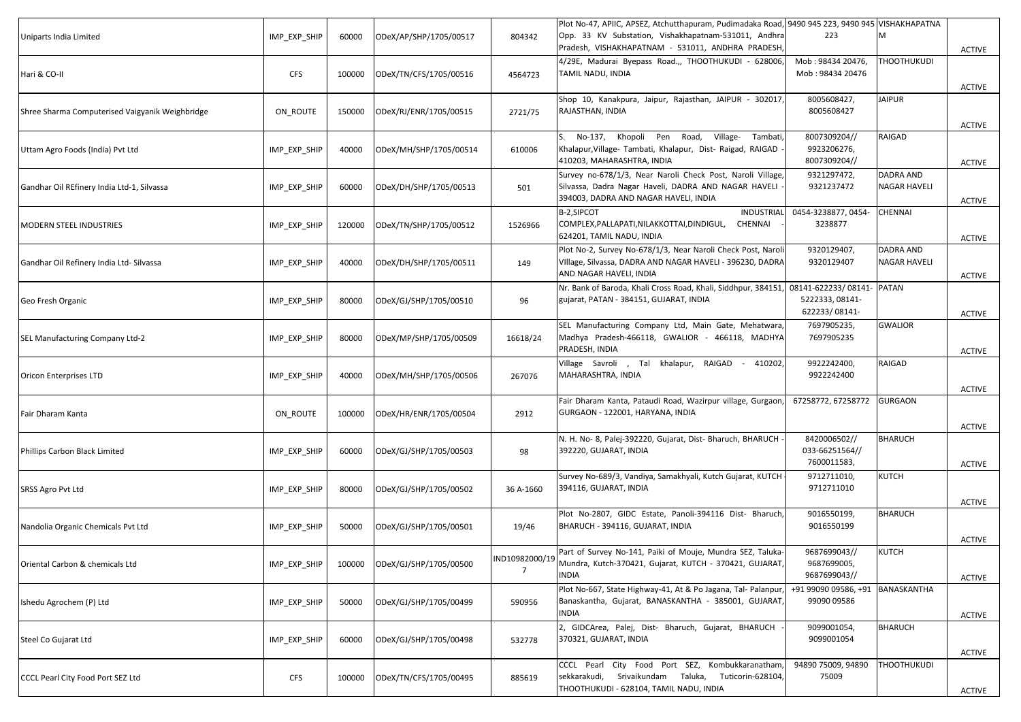| Uniparts India Limited                          | IMP_EXP_SHIP | 60000  | ODeX/AP/SHP/1705/00517        | 804342                           | Plot No-47, APIIC, APSEZ, Atchutthapuram, Pudimadaka Road, 9490 945 223, 9490 945 VISHAKHAPATNA<br>Opp. 33 KV Substation, Vishakhapatnam-531011, Andhra<br>Pradesh, VISHAKHAPATNAM - 531011, ANDHRA PRADESH, | 223                                           | м                                       |                                |
|-------------------------------------------------|--------------|--------|-------------------------------|----------------------------------|--------------------------------------------------------------------------------------------------------------------------------------------------------------------------------------------------------------|-----------------------------------------------|-----------------------------------------|--------------------------------|
| Hari & CO-II                                    | <b>CFS</b>   | 100000 | ODeX/TN/CFS/1705/00516        | 4564723                          | 4/29E, Madurai Byepass Road.,, THOOTHUKUDI - 628006,<br>TAMIL NADU, INDIA                                                                                                                                    | Mob: 98434 20476,<br>Mob: 98434 20476         | <b>THOOTHUKUDI</b>                      | <b>ACTIVE</b>                  |
| Shree Sharma Computerised Vaigyanik Weighbridge | ON ROUTE     | 150000 | ODeX/RJ/ENR/1705/00515        | 2721/75                          | Shop 10, Kanakpura, Jaipur, Rajasthan, JAIPUR - 302017,<br>RAJASTHAN, INDIA                                                                                                                                  | 8005608427,<br>8005608427                     | <b>JAIPUR</b>                           | <b>ACTIVE</b>                  |
| Uttam Agro Foods (India) Pvt Ltd                | IMP EXP SHIP | 40000  | ODeX/MH/SHP/1705/00514        | 610006                           | S. No-137, Khopoli Pen Road, Village-<br>Tambati,<br>Khalapur, Village- Tambati, Khalapur, Dist- Raigad, RAIGAD<br>410203, MAHARASHTRA, INDIA                                                                | 8007309204//<br>9923206276,<br>8007309204//   | RAIGAD                                  | <b>ACTIVE</b><br><b>ACTIVE</b> |
| Gandhar Oil REfinery India Ltd-1, Silvassa      | IMP_EXP_SHIP | 60000  | ODeX/DH/SHP/1705/00513        | 501                              | Survey no-678/1/3, Near Naroli Check Post, Naroli Village,<br>Silvassa, Dadra Nagar Haveli, DADRA AND NAGAR HAVELI<br>394003, DADRA AND NAGAR HAVELI, INDIA                                                  | 9321297472,<br>9321237472                     | <b>DADRA AND</b><br><b>NAGAR HAVELI</b> | ACTIVE                         |
| <b>MODERN STEEL INDUSTRIES</b>                  | IMP_EXP_SHIP | 120000 | ODeX/TN/SHP/1705/00512        | 1526966                          | B-2,SIPCOT<br><b>INDUSTRIAL</b><br>COMPLEX, PALLAPATI, NILAKKOTTAI, DINDIGUL,<br>CHENNAI<br>624201, TAMIL NADU, INDIA                                                                                        | 0454-3238877, 0454-<br>3238877                | CHENNAI                                 | <b>ACTIVE</b>                  |
| Gandhar Oil Refinery India Ltd- Silvassa        | IMP EXP SHIP | 40000  | ODeX/DH/SHP/1705/00511        | 149                              | Plot No-2, Survey No-678/1/3, Near Naroli Check Post, Naroli<br>VIllage, Silvassa, DADRA AND NAGAR HAVELI - 396230, DADRA<br>AND NAGAR HAVELI, INDIA                                                         | 9320129407,<br>9320129407                     | DADRA AND<br>NAGAR HAVELI               | <b>ACTIVE</b>                  |
| Geo Fresh Organic                               | IMP EXP SHIP | 80000  | ODeX/GJ/SHP/1705/00510        | 96                               | Nr. Bank of Baroda, Khali Cross Road, Khali, Siddhpur, 384151, 08141-622233/08141-<br>gujarat, PATAN - 384151, GUJARAT, INDIA                                                                                | 5222333, 08141-<br>622233/08141-              | <b>PATAN</b>                            | ACTIVE                         |
| SEL Manufacturing Company Ltd-2                 | IMP_EXP_SHIP | 80000  | ODeX/MP/SHP/1705/00509        | 16618/24                         | SEL Manufacturing Company Ltd, Main Gate, Mehatwara,<br>Madhya Pradesh-466118, GWALIOR - 466118, MADHYA<br>PRADESH, INDIA                                                                                    | 7697905235,<br>7697905235                     | <b>GWALIOR</b>                          | <b>ACTIVE</b>                  |
| <b>Oricon Enterprises LTD</b>                   | IMP_EXP_SHIP | 40000  | ODeX/MH/SHP/1705/00506        | 267076                           | Village Savroli , Tal khalapur, RAIGAD - 410202,<br>MAHARASHTRA, INDIA                                                                                                                                       | 9922242400,<br>9922242400                     | RAIGAD                                  | <b>ACTIVE</b>                  |
| Fair Dharam Kanta                               | ON_ROUTE     | 100000 | ODeX/HR/ENR/1705/00504        | 2912                             | Fair Dharam Kanta, Pataudi Road, Wazirpur village, Gurgaon<br>GURGAON - 122001, HARYANA, INDIA                                                                                                               | 67258772, 67258772                            | <b>GURGAON</b>                          | <b>ACTIVE</b>                  |
| Phillips Carbon Black Limited                   | IMP_EXP_SHIP | 60000  | ODeX/GJ/SHP/1705/00503        | 98                               | N. H. No- 8, Palej-392220, Gujarat, Dist- Bharuch, BHARUCH<br>392220, GUJARAT, INDIA                                                                                                                         | 8420006502//<br>033-66251564//<br>7600011583, | <b>BHARUCH</b>                          | ACTIVE                         |
| SRSS Agro Pvt Ltd                               | IMP_EXP_SHIP | 80000  | ODeX/GJ/SHP/1705/00502        | 36 A-1660                        | Survey No-689/3, Vandiya, Samakhyali, Kutch Gujarat, KUTCH<br>394116, GUJARAT, INDIA                                                                                                                         | 9712711010,<br>9712711010                     | <b>KUTCH</b>                            | <b>ACTIVE</b>                  |
| Nandolia Organic Chemicals Pvt Ltd              | IMP_EXP_SHIP | 50000  | ODeX/GJ/SHP/1705/00501        | 19/46                            | Plot No-2807, GIDC Estate, Panoli-394116 Dist- Bharuch,<br>BHARUCH - 394116, GUJARAT, INDIA                                                                                                                  | 9016550199,<br>9016550199                     | <b>BHARUCH</b>                          | <b>ACTIVE</b>                  |
| Oriental Carbon & chemicals Ltd                 | IMP_EXP_SHIP |        | 100000 ODeX/GJ/SHP/1705/00500 | IND10982000/19<br>$\overline{7}$ | Part of Survey No-141, Paiki of Mouje, Mundra SEZ, Taluka-<br>Mundra, Kutch-370421, Gujarat, KUTCH - 370421, GUJARAT,<br>INDIA                                                                               | 9687699043//<br>9687699005,<br>9687699043//   | <b>KUTCH</b>                            | <b>ACTIVE</b>                  |
| Ishedu Agrochem (P) Ltd                         | IMP_EXP_SHIP | 50000  | ODeX/GJ/SHP/1705/00499        | 590956                           | Plot No-667, State Highway-41, At & Po Jagana, Tal- Palanpur,<br>Banaskantha, Gujarat, BANASKANTHA - 385001, GUJARAT,<br><b>INDIA</b>                                                                        | +91 99090 09586, +91<br>99090 09586           | BANASKANTHA                             | ACTIVE                         |
| Steel Co Gujarat Ltd                            | IMP_EXP_SHIP | 60000  | ODeX/GJ/SHP/1705/00498        | 532778                           | GIDCArea, Palej, Dist- Bharuch, Gujarat, BHARUCH<br>370321, GUJARAT, INDIA                                                                                                                                   | 9099001054,<br>9099001054                     | <b>BHARUCH</b>                          | <b>ACTIVE</b>                  |
| CCCL Pearl City Food Port SEZ Ltd               | <b>CFS</b>   | 100000 | ODeX/TN/CFS/1705/00495        | 885619                           | CCCL Pearl City Food Port SEZ, Kombukkaranatham,<br>sekkarakudi, Srivaikundam Taluka, Tuticorin-628104,<br>THOOTHUKUDI - 628104, TAMIL NADU, INDIA                                                           | 94890 75009, 94890<br>75009                   | THOOTHUKUDI                             | ACTIVE                         |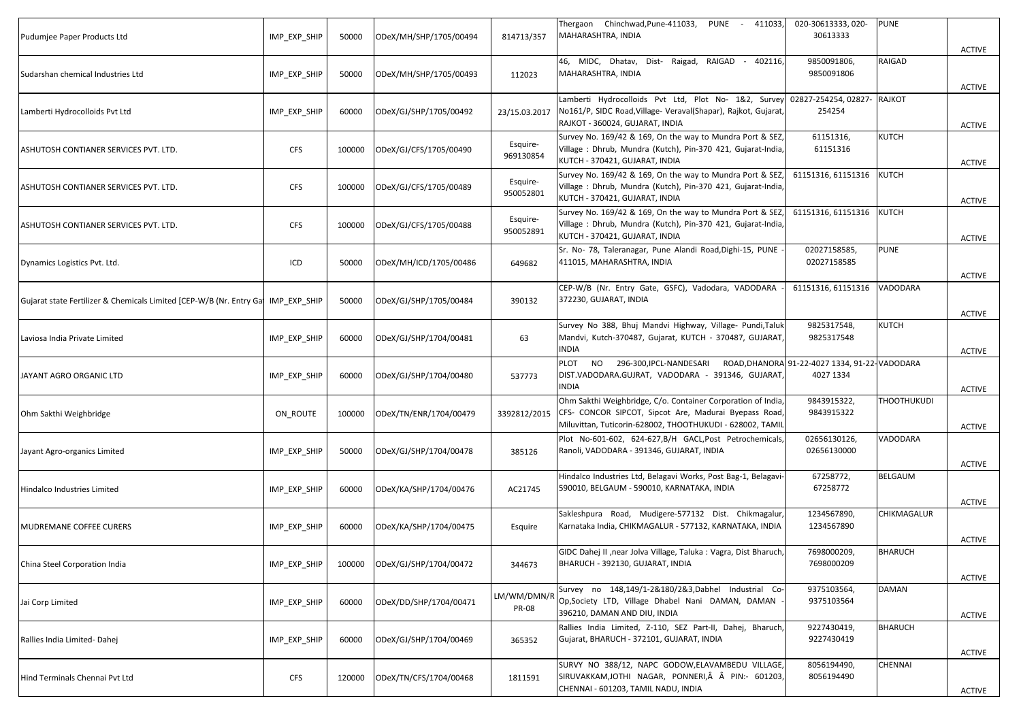| Pudumjee Paper Products Ltd                                          | IMP EXP SHIP | 50000  | ODeX/MH/SHP/1705/00494 | 814713/357                  | Thergaon Chinchwad, Pune-411033, PUNE - 411033,<br>MAHARASHTRA, INDIA                                                                                                              | 020-30613333, 020-<br>30613333                             | <b>PUNE</b>        | <b>ACTIVE</b> |
|----------------------------------------------------------------------|--------------|--------|------------------------|-----------------------------|------------------------------------------------------------------------------------------------------------------------------------------------------------------------------------|------------------------------------------------------------|--------------------|---------------|
| Sudarshan chemical Industries Ltd                                    | IMP_EXP_SHIP | 50000  | ODeX/MH/SHP/1705/00493 | 112023                      | 46, MIDC, Dhatav, Dist- Raigad, RAIGAD - 402116,<br>MAHARASHTRA, INDIA                                                                                                             | 9850091806,<br>9850091806                                  | RAIGAD             | <b>ACTIVE</b> |
| Lamberti Hydrocolloids Pvt Ltd                                       | IMP_EXP_SHIP | 60000  | ODeX/GJ/SHP/1705/00492 | 23/15.03.2017               | Lamberti Hydrocolloids Pvt Ltd, Plot No- 1&2, Survey<br>No161/P, SIDC Road, Village- Veraval(Shapar), Rajkot, Gujarat,<br>RAJKOT - 360024, GUJARAT, INDIA                          | 02827-254254, 02827-<br>254254                             | <b>RAJKOT</b>      | <b>ACTIVE</b> |
| ASHUTOSH CONTIANER SERVICES PVT. LTD.                                | <b>CFS</b>   | 100000 | ODeX/GJ/CFS/1705/00490 | Esquire-<br>969130854       | Survey No. 169/42 & 169, On the way to Mundra Port & SEZ,<br>Village: Dhrub, Mundra (Kutch), Pin-370 421, Gujarat-India,<br>KUTCH - 370421, GUJARAT, INDIA                         | 61151316,<br>61151316                                      | <b>KUTCH</b>       | <b>ACTIVE</b> |
| ASHUTOSH CONTIANER SERVICES PVT. LTD.                                | <b>CFS</b>   | 100000 | ODeX/GJ/CFS/1705/00489 | Esquire-<br>950052801       | Survey No. 169/42 & 169, On the way to Mundra Port & SEZ,<br>Village: Dhrub, Mundra (Kutch), Pin-370 421, Gujarat-India,<br>KUTCH - 370421, GUJARAT, INDIA                         | 61151316, 61151316                                         | <b>KUTCH</b>       | ACTIVE        |
| ASHUTOSH CONTIANER SERVICES PVT. LTD.                                | <b>CFS</b>   | 100000 | ODeX/GJ/CFS/1705/00488 | Esquire-<br>950052891       | Survey No. 169/42 & 169, On the way to Mundra Port & SEZ,<br>Village: Dhrub, Mundra (Kutch), Pin-370 421, Gujarat-India,<br>KUTCH - 370421, GUJARAT, INDIA                         | 61151316, 61151316                                         | <b>KUTCH</b>       | <b>ACTIVE</b> |
| Dynamics Logistics Pvt. Ltd.                                         | ICD          | 50000  | ODeX/MH/ICD/1705/00486 | 649682                      | Sr. No- 78, Taleranagar, Pune Alandi Road, Dighi-15, PUNE<br>411015, MAHARASHTRA, INDIA                                                                                            | 02027158585,<br>02027158585                                | <b>PUNE</b>        | <b>ACTIVE</b> |
| Gujarat state Fertilizer & Chemicals Limited [CEP-W/B (Nr. Entry Gat | IMP EXP SHIP | 50000  | ODeX/GJ/SHP/1705/00484 | 390132                      | CEP-W/B (Nr. Entry Gate, GSFC), Vadodara, VADODARA<br>372230, GUJARAT, INDIA                                                                                                       | 61151316, 61151316                                         | VADODARA           | ACTIVE        |
| Laviosa India Private Limited                                        | IMP EXP SHIP | 60000  | ODeX/GJ/SHP/1704/00481 | 63                          | Survey No 388, Bhuj Mandvi Highway, Village- Pundi, Taluk<br>Mandvi, Kutch-370487, Gujarat, KUTCH - 370487, GUJARAT,<br>INDIA                                                      | 9825317548,<br>9825317548                                  | KUTCH              | <b>ACTIVE</b> |
| JAYANT AGRO ORGANIC LTD                                              | IMP_EXP_SHIP | 60000  | ODeX/GJ/SHP/1704/00480 | 537773                      | NO 296-300, IPCL-NANDESARI<br>PLOT<br>DIST.VADODARA.GUJRAT, VADODARA - 391346, GUJARAT,<br><b>NDIA</b>                                                                             | ROAD, DHANORA 91-22-4027 1334, 91-22-VADODARA<br>4027 1334 |                    | <b>ACTIVE</b> |
| Ohm Sakthi Weighbridge                                               | ON ROUTE     | 100000 | ODeX/TN/ENR/1704/00479 | 3392812/2015                | Ohm Sakthi Weighbridge, C/o. Container Corporation of India,<br>CFS- CONCOR SIPCOT, Sipcot Are, Madurai Byepass Road,<br>Miluvittan, Tuticorin-628002, THOOTHUKUDI - 628002, TAMIL | 9843915322,<br>9843915322                                  | <b>THOOTHUKUDI</b> | <b>ACTIVE</b> |
| Jayant Agro-organics Limited                                         | IMP_EXP_SHIP | 50000  | ODeX/GJ/SHP/1704/00478 | 385126                      | Plot No-601-602, 624-627, B/H GACL, Post Petrochemicals<br>Ranoli, VADODARA - 391346, GUJARAT, INDIA                                                                               | 02656130126,<br>02656130000                                | VADODARA           | <b>ACTIVE</b> |
| Hindalco Industries Limited                                          | IMP_EXP_SHIP | 60000  | ODeX/KA/SHP/1704/00476 | AC21745                     | Hindalco Industries Ltd, Belagavi Works, Post Bag-1, Belagavi-<br>590010, BELGAUM - 590010, KARNATAKA, INDIA                                                                       | 67258772,<br>67258772                                      | BELGAUM            | <b>ACTIVE</b> |
| <b>MUDREMANE COFFEE CURERS</b>                                       | IMP_EXP_SHIP | 60000  | ODeX/KA/SHP/1704/00475 | Esquire                     | Sakleshpura Road, Mudigere-577132 Dist. Chikmagalur<br>Karnataka India, CHIKMAGALUR - 577132, KARNATAKA, INDIA                                                                     | 1234567890,<br>1234567890                                  | CHIKMAGALUR        | <b>ACTIVE</b> |
| China Steel Corporation India                                        | IMP_EXP_SHIP | 100000 | ODeX/GJ/SHP/1704/00472 | 344673                      | GIDC Dahej II , near Jolva Village, Taluka : Vagra, Dist Bharuch,<br>BHARUCH - 392130, GUJARAT, INDIA                                                                              | 7698000209,<br>7698000209                                  | <b>BHARUCH</b>     | <b>ACTIVE</b> |
| Jai Corp Limited                                                     | IMP_EXP_SHIP | 60000  | ODeX/DD/SHP/1704/00471 | LM/WM/DMN/R<br><b>PR-08</b> | Survey no 148,149/1-2&180/2&3,Dabhel Industrial Co-<br>Op, Society LTD, Village Dhabel Nani DAMAN, DAMAN<br>396210, DAMAN AND DIU, INDIA                                           | 9375103564,<br>9375103564                                  | DAMAN              | <b>ACTIVE</b> |
| Rallies India Limited-Dahej                                          | IMP_EXP_SHIP | 60000  | ODeX/GJ/SHP/1704/00469 | 365352                      | Rallies India Limited, Z-110, SEZ Part-II, Dahej, Bharuch,<br>Gujarat, BHARUCH - 372101, GUJARAT, INDIA                                                                            | 9227430419,<br>9227430419                                  | <b>BHARUCH</b>     | <b>ACTIVE</b> |
| Hind Terminals Chennai Pvt Ltd                                       | <b>CFS</b>   | 120000 | ODeX/TN/CFS/1704/00468 | 1811591                     | SURVY NO 388/12, NAPC GODOW,ELAVAMBEDU VILLAGE,<br>SIRUVAKKAM, JOTHI NAGAR, PONNERI,  PIN:- 601203,<br>CHENNAI - 601203, TAMIL NADU, INDIA                                         | 8056194490,<br>8056194490                                  | CHENNAI            | <b>ACTIVE</b> |
|                                                                      |              |        |                        |                             |                                                                                                                                                                                    |                                                            |                    |               |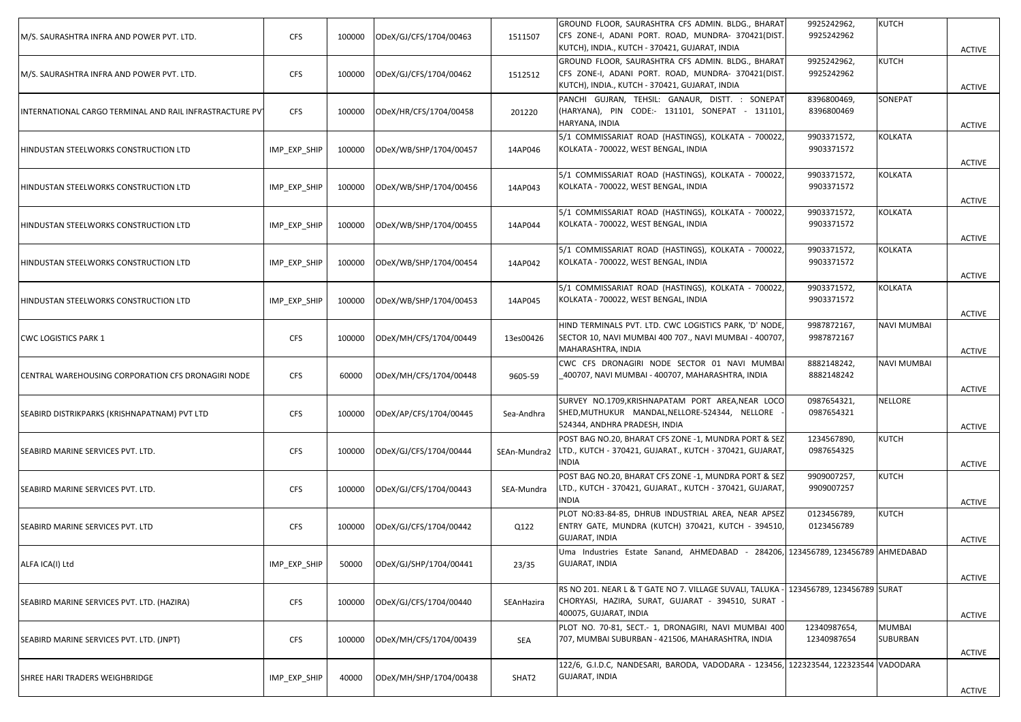| M/S. SAURASHTRA INFRA AND POWER PVT. LTD.               | <b>CFS</b>   | 100000 | ODeX/GJ/CFS/1704/00463 | 1511507      | GROUND FLOOR, SAURASHTRA CFS ADMIN. BLDG., BHARAT<br>CFS ZONE-I, ADANI PORT. ROAD, MUNDRA- 370421(DIST.<br>KUTCH), INDIA., KUTCH - 370421, GUJARAT, INDIA | 9925242962,<br>9925242962   | KUTCH              | <b>ACTIVE</b> |
|---------------------------------------------------------|--------------|--------|------------------------|--------------|-----------------------------------------------------------------------------------------------------------------------------------------------------------|-----------------------------|--------------------|---------------|
| M/S. SAURASHTRA INFRA AND POWER PVT. LTD.               | <b>CFS</b>   | 100000 | ODeX/GJ/CFS/1704/00462 | 1512512      | GROUND FLOOR, SAURASHTRA CFS ADMIN. BLDG., BHARAT<br>CFS ZONE-I, ADANI PORT. ROAD, MUNDRA- 370421(DIST.<br>KUTCH), INDIA., KUTCH - 370421, GUJARAT, INDIA | 9925242962,<br>9925242962   | KUTCH              | <b>ACTIVE</b> |
| INTERNATIONAL CARGO TERMINAL AND RAIL INFRASTRACTURE PV | <b>CFS</b>   | 100000 | ODeX/HR/CFS/1704/00458 | 201220       | PANCHI GUJRAN, TEHSIL: GANAUR, DISTT. : SONEPAT<br>HARYANA), PIN CODE:- 131101, SONEPAT - 131101,<br>HARYANA, INDIA                                       | 8396800469,<br>8396800469   | SONEPAT            | <b>ACTIVE</b> |
| HINDUSTAN STEELWORKS CONSTRUCTION LTD                   | IMP EXP SHIP | 100000 | ODeX/WB/SHP/1704/00457 | 14AP046      | 5/1 COMMISSARIAT ROAD (HASTINGS), KOLKATA - 700022,<br>KOLKATA - 700022, WEST BENGAL, INDIA                                                               | 9903371572,<br>9903371572   | KOLKATA            | <b>ACTIVE</b> |
| HINDUSTAN STEELWORKS CONSTRUCTION LTD                   | IMP_EXP_SHIP | 100000 | ODeX/WB/SHP/1704/00456 | 14AP043      | 5/1 COMMISSARIAT ROAD (HASTINGS), KOLKATA - 700022,<br>KOLKATA - 700022, WEST BENGAL, INDIA                                                               | 9903371572,<br>9903371572   | KOLKATA            | <b>ACTIVE</b> |
| HINDUSTAN STEELWORKS CONSTRUCTION LTD                   | IMP_EXP_SHIP | 100000 | ODeX/WB/SHP/1704/00455 | 14AP044      | 5/1 COMMISSARIAT ROAD (HASTINGS), KOLKATA - 700022,<br>KOLKATA - 700022, WEST BENGAL, INDIA                                                               | 9903371572,<br>9903371572   | KOLKATA            | <b>ACTIVE</b> |
| HINDUSTAN STEELWORKS CONSTRUCTION LTD                   | IMP_EXP_SHIP | 100000 | ODeX/WB/SHP/1704/00454 | 14AP042      | 5/1 COMMISSARIAT ROAD (HASTINGS), KOLKATA - 700022,<br>KOLKATA - 700022, WEST BENGAL, INDIA                                                               | 9903371572,<br>9903371572   | KOLKATA            | <b>ACTIVE</b> |
| HINDUSTAN STEELWORKS CONSTRUCTION LTD                   | IMP_EXP_SHIP | 100000 | ODeX/WB/SHP/1704/00453 | 14AP045      | 5/1 COMMISSARIAT ROAD (HASTINGS), KOLKATA - 700022,<br>KOLKATA - 700022, WEST BENGAL, INDIA                                                               | 9903371572,<br>9903371572   | KOLKATA            | <b>ACTIVE</b> |
| <b>CWC LOGISTICS PARK 1</b>                             | <b>CFS</b>   | 100000 | ODeX/MH/CFS/1704/00449 | 13es00426    | HIND TERMINALS PVT. LTD. CWC LOGISTICS PARK, 'D' NODE,<br>SECTOR 10, NAVI MUMBAI 400 707., NAVI MUMBAI - 400707,<br>MAHARASHTRA, INDIA                    | 9987872167,<br>9987872167   | NAVI MUMBAI        | <b>ACTIVE</b> |
| CENTRAL WAREHOUSING CORPORATION CFS DRONAGIRI NODE      | <b>CFS</b>   | 60000  | ODeX/MH/CFS/1704/00448 | 9605-59      | CWC CFS DRONAGIRI NODE SECTOR 01 NAVI MUMBAI<br>400707, NAVI MUMBAI - 400707, MAHARASHTRA, INDIA                                                          | 8882148242,<br>8882148242   | NAVI MUMBAI        | <b>ACTIVE</b> |
| SEABIRD DISTRIKPARKS (KRISHNAPATNAM) PVT LTD            | <b>CFS</b>   | 100000 | ODeX/AP/CFS/1704/00445 | Sea-Andhra   | SURVEY NO.1709, KRISHNAPATAM PORT AREA, NEAR LOCO<br>SHED, MUTHUKUR MANDAL, NELLORE-524344, NELLORE<br>524344, ANDHRA PRADESH, INDIA                      | 0987654321,<br>0987654321   | NELLORE            | <b>ACTIVE</b> |
| SEABIRD MARINE SERVICES PVT. LTD.                       | <b>CFS</b>   | 100000 | ODeX/GJ/CFS/1704/00444 | SEAn-Mundra2 | POST BAG NO.20, BHARAT CFS ZONE -1, MUNDRA PORT & SEZ<br>LTD., KUTCH - 370421, GUJARAT., KUTCH - 370421, GUJARAT,<br><b>NDIA</b>                          | 1234567890,<br>0987654325   | KUTCH              | <b>ACTIVE</b> |
| SEABIRD MARINE SERVICES PVT. LTD.                       | <b>CFS</b>   | 100000 | ODeX/GJ/CFS/1704/00443 | SEA-Mundra   | POST BAG NO.20, BHARAT CFS ZONE -1, MUNDRA PORT & SEZ<br>LTD., KUTCH - 370421, GUJARAT., KUTCH - 370421, GUJARAT,<br><b>NDIA</b>                          | 9909007257,<br>9909007257   | KUTCH              | <b>ACTIVE</b> |
| SEABIRD MARINE SERVICES PVT. LTD                        | <b>CFS</b>   | 100000 | ODeX/GJ/CFS/1704/00442 | Q122         | PLOT NO:83-84-85, DHRUB INDUSTRIAL AREA, NEAR APSEZ<br>ENTRY GATE, MUNDRA (KUTCH) 370421, KUTCH - 394510,<br>GUJARAT, INDIA                               | 0123456789,<br>0123456789   | KUTCH              | ACTIVE        |
| ALFA ICA(I) Ltd                                         | IMP_EXP_SHIP | 50000  | ODeX/GJ/SHP/1704/00441 | 23/35        | Uma Industries Estate Sanand, AHMEDABAD - 284206, 123456789, 123456789 AHMEDABAD<br><b>GUJARAT, INDIA</b>                                                 |                             |                    | <b>ACTIVE</b> |
| SEABIRD MARINE SERVICES PVT. LTD. (HAZIRA)              | <b>CFS</b>   | 100000 | ODeX/GJ/CFS/1704/00440 | SEAnHazira   | RS NO 201. NEAR L & T GATE NO 7. VILLAGE SUVALI, TALUKA<br>CHORYASI, HAZIRA, SURAT, GUJARAT - 394510, SURAT<br>400075, GUJARAT, INDIA                     | 123456789, 123456789 SURAT  |                    | <b>ACTIVE</b> |
| SEABIRD MARINE SERVICES PVT. LTD. (JNPT)                | <b>CFS</b>   | 100000 | ODeX/MH/CFS/1704/00439 | SEA          | PLOT NO. 70-81, SECT.- 1, DRONAGIRI, NAVI MUMBAI 400<br>707, MUMBAI SUBURBAN - 421506, MAHARASHTRA, INDIA                                                 | 12340987654,<br>12340987654 | MUMBAI<br>SUBURBAN | <b>ACTIVE</b> |
| SHREE HARI TRADERS WEIGHBRIDGE                          | IMP_EXP_SHIP | 40000  | ODeX/MH/SHP/1704/00438 | SHAT2        | 122/6, G.I.D.C, NANDESARI, BARODA, VADODARA - 123456, 122323544, 122323544 VADODARA<br>GUJARAT, INDIA                                                     |                             |                    | ACTIVE        |
|                                                         |              |        |                        |              |                                                                                                                                                           |                             |                    |               |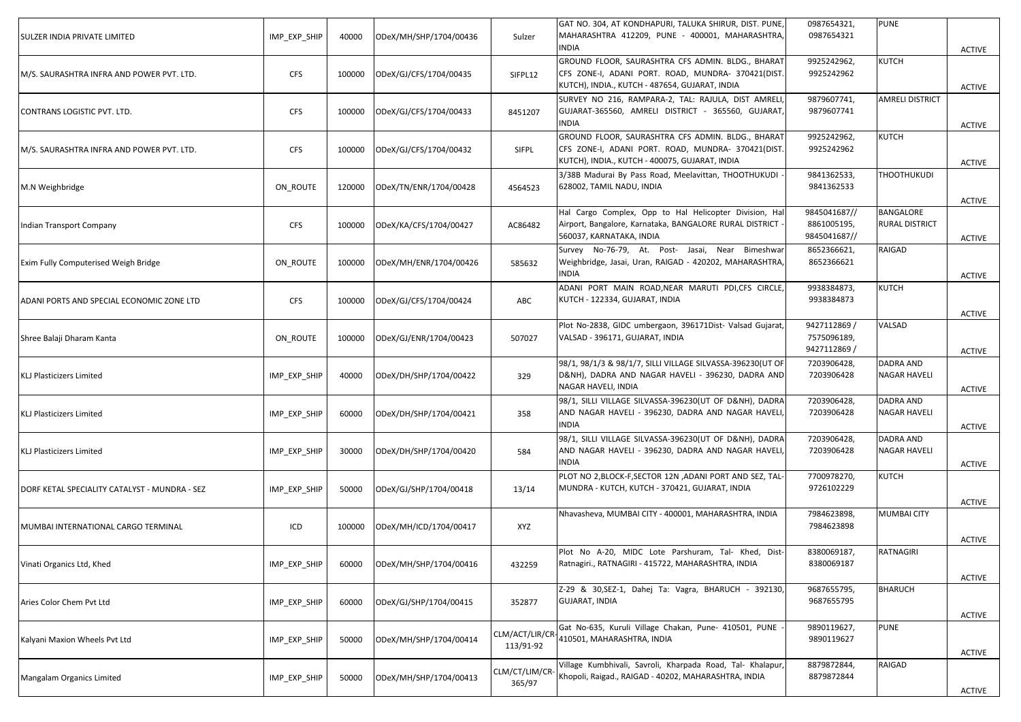| SULZER INDIA PRIVATE LIMITED                  | IMP EXP SHIP | 40000  | ODeX/MH/SHP/1704/00436 | Sulzer                       | GAT NO. 304, AT KONDHAPURI, TALUKA SHIRUR, DIST. PUNE,<br>MAHARASHTRA 412209, PUNE - 400001, MAHARASHTRA,<br>INDIA                                        | 0987654321,<br>0987654321                   | <b>PUNE</b>                               | <b>ACTIVE</b> |
|-----------------------------------------------|--------------|--------|------------------------|------------------------------|-----------------------------------------------------------------------------------------------------------------------------------------------------------|---------------------------------------------|-------------------------------------------|---------------|
| M/S. SAURASHTRA INFRA AND POWER PVT. LTD.     | <b>CFS</b>   | 100000 | ODeX/GJ/CFS/1704/00435 | SIFPL12                      | GROUND FLOOR, SAURASHTRA CFS ADMIN. BLDG., BHARAT<br>CFS ZONE-I, ADANI PORT. ROAD, MUNDRA- 370421(DIST.<br>KUTCH), INDIA., KUTCH - 487654, GUJARAT, INDIA | 9925242962,<br>9925242962                   | KUTCH                                     | <b>ACTIVE</b> |
| CONTRANS LOGISTIC PVT. LTD.                   | <b>CFS</b>   | 100000 | ODeX/GJ/CFS/1704/00433 | 8451207                      | SURVEY NO 216, RAMPARA-2, TAL: RAJULA, DIST AMRELI<br>GUJARAT-365560, AMRELI DISTRICT - 365560, GUJARAT,<br><b>INDIA</b>                                  | 9879607741,<br>9879607741                   | <b>AMRELI DISTRICT</b>                    | <b>ACTIVE</b> |
| M/S. SAURASHTRA INFRA AND POWER PVT. LTD.     | <b>CFS</b>   | 100000 | ODeX/GJ/CFS/1704/00432 | SIFPL                        | GROUND FLOOR, SAURASHTRA CFS ADMIN. BLDG., BHARAT<br>CFS ZONE-I, ADANI PORT. ROAD, MUNDRA- 370421(DIST.<br>KUTCH), INDIA., KUTCH - 400075, GUJARAT, INDIA | 9925242962,<br>9925242962                   | KUTCH                                     | <b>ACTIVE</b> |
| M.N Weighbridge                               | ON_ROUTE     | 120000 | ODeX/TN/ENR/1704/00428 | 4564523                      | 3/38B Madurai By Pass Road, Meelavittan, THOOTHUKUDI<br>628002, TAMIL NADU, INDIA                                                                         | 9841362533,<br>9841362533                   | <b>THOOTHUKUDI</b>                        | <b>ACTIVE</b> |
| Indian Transport Company                      | <b>CFS</b>   | 100000 | ODeX/KA/CFS/1704/00427 | AC86482                      | Hal Cargo Complex, Opp to Hal Helicopter Division, Hal<br>Airport, Bangalore, Karnataka, BANGALORE RURAL DISTRICT<br>560037, KARNATAKA, INDIA             | 9845041687//<br>8861005195,<br>9845041687// | <b>BANGALORE</b><br><b>RURAL DISTRICT</b> | <b>ACTIVE</b> |
| Exim Fully Computerised Weigh Bridge          | ON_ROUTE     | 100000 | ODeX/MH/ENR/1704/00426 | 585632                       | Survey No-76-79, At. Post- Jasai, Near Bimeshwar<br>Weighbridge, Jasai, Uran, RAIGAD - 420202, MAHARASHTRA,<br><b>INDIA</b>                               | 8652366621,<br>8652366621                   | RAIGAD                                    | <b>ACTIVE</b> |
| ADANI PORTS AND SPECIAL ECONOMIC ZONE LTD     | <b>CFS</b>   | 100000 | ODeX/GJ/CFS/1704/00424 | ABC                          | ADANI PORT MAIN ROAD, NEAR MARUTI PDI, CFS CIRCLE,<br>KUTCH - 122334, GUJARAT, INDIA                                                                      | 9938384873,<br>9938384873                   | KUTCH                                     | ACTIVE        |
| Shree Balaji Dharam Kanta                     | ON ROUTE     | 100000 | ODeX/GJ/ENR/1704/00423 | 507027                       | Plot No-2838, GIDC umbergaon, 396171Dist- Valsad Gujarat<br>VALSAD - 396171, GUJARAT, INDIA                                                               | 9427112869 /<br>7575096189,<br>9427112869 / | VALSAD                                    | <b>ACTIVE</b> |
| <b>KLJ Plasticizers Limited</b>               | IMP_EXP_SHIP | 40000  | ODeX/DH/SHP/1704/00422 | 329                          | 98/1, 98/1/3 & 98/1/7, SILLI VILLAGE SILVASSA-396230(UT OF<br>D&NH), DADRA AND NAGAR HAVELI - 396230, DADRA AND<br>NAGAR HAVELI, INDIA                    | 7203906428,<br>7203906428                   | DADRA AND<br><b>NAGAR HAVELI</b>          | <b>ACTIVE</b> |
| <b>KLJ Plasticizers Limited</b>               | IMP_EXP_SHIP | 60000  | ODeX/DH/SHP/1704/00421 | 358                          | 98/1, SILLI VILLAGE SILVASSA-396230(UT OF D&NH), DADRA<br>AND NAGAR HAVELI - 396230, DADRA AND NAGAR HAVELI<br><b>INDIA</b>                               | 7203906428,<br>7203906428                   | DADRA AND<br><b>NAGAR HAVELI</b>          | <b>ACTIVE</b> |
| <b>KLJ Plasticizers Limited</b>               | IMP EXP SHIP | 30000  | ODeX/DH/SHP/1704/00420 | 584                          | 98/1, SILLI VILLAGE SILVASSA-396230(UT OF D&NH), DADRA<br>AND NAGAR HAVELI - 396230, DADRA AND NAGAR HAVELI<br><b>INDIA</b>                               | 7203906428,<br>7203906428                   | DADRA AND<br><b>NAGAR HAVELI</b>          | <b>ACTIVE</b> |
| DORF KETAL SPECIALITY CATALYST - MUNDRA - SEZ | IMP_EXP_SHIP | 50000  | ODeX/GJ/SHP/1704/00418 | 13/14                        | PLOT NO 2,BLOCK-F, SECTOR 12N, ADANI PORT AND SEZ, TAL-<br>MUNDRA - KUTCH, KUTCH - 370421, GUJARAT, INDIA                                                 | 7700978270,<br>9726102229                   | KUTCH                                     | <b>ACTIVE</b> |
| MUMBAI INTERNATIONAL CARGO TERMINAL           | ICD          | 100000 | ODeX/MH/ICD/1704/00417 | XYZ                          | Nhavasheva, MUMBAI CITY - 400001, MAHARASHTRA, INDIA                                                                                                      | 7984623898,<br>7984623898                   | <b>MUMBAI CITY</b>                        | <b>ACTIVE</b> |
| Vinati Organics Ltd, Khed                     | IMP_EXP_SHIP | 60000  | ODeX/MH/SHP/1704/00416 | 432259                       | Plot No A-20, MIDC Lote Parshuram, Tal- Khed, Dist-<br>Ratnagiri., RATNAGIRI - 415722, MAHARASHTRA, INDIA                                                 | 8380069187,<br>8380069187                   | RATNAGIRI                                 | <b>ACTIVE</b> |
| Aries Color Chem Pvt Ltd                      | IMP_EXP_SHIP | 60000  | ODeX/GJ/SHP/1704/00415 | 352877                       | Z-29 & 30, SEZ-1, Dahej Ta: Vagra, BHARUCH - 392130,<br><b>GUJARAT, INDIA</b>                                                                             | 9687655795,<br>9687655795                   | <b>BHARUCH</b>                            | <b>ACTIVE</b> |
| Kalyani Maxion Wheels Pvt Ltd                 | IMP_EXP_SHIP | 50000  | ODeX/MH/SHP/1704/00414 | CLM/ACT/LIR/CR-<br>113/91-92 | Gat No-635, Kuruli Village Chakan, Pune- 410501, PUNE<br>410501, MAHARASHTRA, INDIA                                                                       | 9890119627,<br>9890119627                   | PUNE                                      | <b>ACTIVE</b> |
| Mangalam Organics Limited                     | IMP_EXP_SHIP | 50000  | ODeX/MH/SHP/1704/00413 | CLM/CT/LIM/CR-<br>365/97     | Village Kumbhivali, Savroli, Kharpada Road, Tal- Khalapur,<br>Khopoli, Raigad., RAIGAD - 40202, MAHARASHTRA, INDIA                                        | 8879872844,<br>8879872844                   | RAIGAD                                    | <b>ACTIVE</b> |
|                                               |              |        |                        |                              |                                                                                                                                                           |                                             |                                           |               |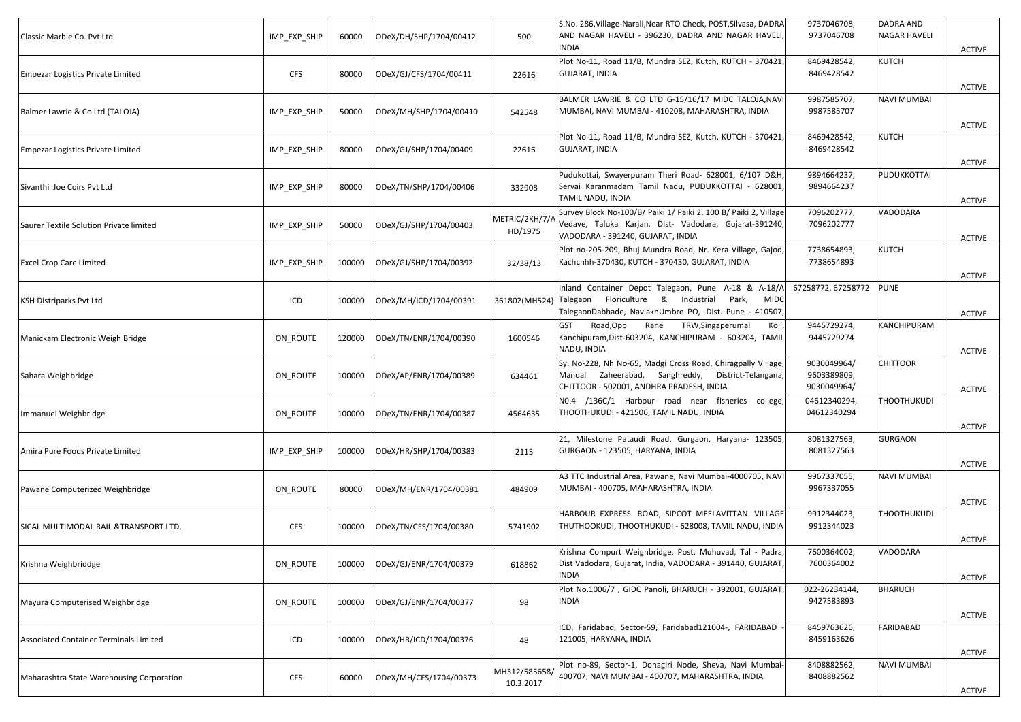| Classic Marble Co. Pvt Ltd                | IMP_EXP_SHIP | 60000  | ODeX/DH/SHP/1704/00412 | 500                        | S.No. 286, Village-Narali, Near RTO Check, POST, Silvasa, DADRA<br>AND NAGAR HAVELI - 396230, DADRA AND NAGAR HAVELI,<br><b>INDIA</b>                                       | 9737046708,<br>9737046708                 | <b>DADRA AND</b><br>NAGAR HAVELI | ACTIVE        |
|-------------------------------------------|--------------|--------|------------------------|----------------------------|-----------------------------------------------------------------------------------------------------------------------------------------------------------------------------|-------------------------------------------|----------------------------------|---------------|
| <b>Empezar Logistics Private Limited</b>  | <b>CFS</b>   | 80000  | ODeX/GJ/CFS/1704/00411 | 22616                      | Plot No-11, Road 11/B, Mundra SEZ, Kutch, KUTCH - 370421,<br><b>GUJARAT, INDIA</b>                                                                                          | 8469428542,<br>8469428542                 | KUTCH                            | <b>ACTIVE</b> |
| Balmer Lawrie & Co Ltd (TALOJA)           | IMP_EXP_SHIP | 50000  | ODeX/MH/SHP/1704/00410 | 542548                     | BALMER LAWRIE & CO LTD G-15/16/17 MIDC TALOJA, NAVI<br>MUMBAI, NAVI MUMBAI - 410208, MAHARASHTRA, INDIA                                                                     | 9987585707,<br>9987585707                 | NAVI MUMBAI                      | <b>ACTIVE</b> |
| <b>Empezar Logistics Private Limited</b>  | IMP EXP SHIP | 80000  | ODeX/GJ/SHP/1704/00409 | 22616                      | Plot No-11, Road 11/B, Mundra SEZ, Kutch, KUTCH - 370421,<br><b>GUJARAT, INDIA</b>                                                                                          | 8469428542,<br>8469428542                 | KUTCH                            | ACTIVE        |
| Sivanthi Joe Coirs Pvt Ltd                | IMP_EXP_SHIP | 80000  | ODeX/TN/SHP/1704/00406 | 332908                     | Pudukottai, Swayerpuram Theri Road- 628001, 6/107 D&H,<br>Servai Karanmadam Tamil Nadu, PUDUKKOTTAI - 628001,<br>TAMIL NADU, INDIA                                          | 9894664237,<br>9894664237                 | PUDUKKOTTAI                      | <b>ACTIVE</b> |
| Saurer Textile Solution Private limited   | IMP_EXP_SHIP | 50000  | ODeX/GJ/SHP/1704/00403 | METRIC/2KH/7/A<br>HD/1975  | Survey Block No-100/B/ Paiki 1/ Paiki 2, 100 B/ Paiki 2, Village<br>Vedave, Taluka Karjan, Dist- Vadodara, Gujarat-391240,<br>VADODARA - 391240, GUJARAT, INDIA             | 7096202777,<br>7096202777                 | VADODARA                         | <b>ACTIVE</b> |
| <b>Excel Crop Care Limited</b>            | IMP_EXP_SHIP | 100000 | ODeX/GJ/SHP/1704/00392 | 32/38/13                   | Plot no-205-209, Bhuj Mundra Road, Nr. Kera Village, Gajod,<br>Kachchhh-370430, KUTCH - 370430, GUJARAT, INDIA                                                              | 7738654893,<br>7738654893                 | KUTCH                            | ACTIVE        |
| <b>KSH Distriparks Pvt Ltd</b>            | ICD          | 100000 | ODeX/MH/ICD/1704/00391 | 361802(MH524)              | Inland Container Depot Talegaon, Pune A-18 & A-18/A<br>Talegaon Floriculture & Industrial<br>Park,<br><b>MIDC</b><br>TalegaonDabhade, NavlakhUmbre PO, Dist. Pune - 410507, | 67258772, 67258772                        | <b>PUNE</b>                      | ACTIVE        |
| Manickam Electronic Weigh Bridge          | ON ROUTE     | 120000 | ODeX/TN/ENR/1704/00390 | 1600546                    | Rane TRW, Singaperumal<br>Road, Opp<br><b>GST</b><br>Koil,<br>Kanchipuram, Dist-603204, KANCHIPURAM - 603204, TAMIL<br>NADU, INDIA                                          | 9445729274,<br>9445729274                 | KANCHIPURAM                      | <b>ACTIVE</b> |
| Sahara Weighbridge                        | ON_ROUTE     | 100000 | ODeX/AP/ENR/1704/00389 | 634461                     | Sy. No-228, Nh No-65, Madgi Cross Road, Chiragpally Village,<br>Mandal Zaheerabad, Sanghreddy, District-Telangana,<br>CHITTOOR - 502001, ANDHRA PRADESH, INDIA              | 9030049964/<br>9603389809,<br>9030049964/ | <b>CHITTOOR</b>                  | <b>ACTIVE</b> |
| Immanuel Weighbridge                      | ON_ROUTE     | 100000 | ODeX/TN/ENR/1704/00387 | 4564635                    | N0.4 /136C/1 Harbour road near fisheries<br>college,<br>THOOTHUKUDI - 421506, TAMIL NADU, INDIA                                                                             | 04612340294,<br>04612340294               | THOOTHUKUDI                      | <b>ACTIVE</b> |
| Amira Pure Foods Private Limited          | IMP_EXP_SHIP | 100000 | ODeX/HR/SHP/1704/00383 | 2115                       | 21, Milestone Pataudi Road, Gurgaon, Haryana- 123505,<br>GURGAON - 123505, HARYANA, INDIA                                                                                   | 8081327563,<br>8081327563                 | GURGAON                          | <b>ACTIVE</b> |
| Pawane Computerized Weighbridge           | ON ROUTE     | 80000  | ODeX/MH/ENR/1704/00381 | 484909                     | A3 TTC Industrial Area, Pawane, Navi Mumbai-4000705, NAVI<br>MUMBAI - 400705, MAHARASHTRA, INDIA                                                                            | 9967337055,<br>9967337055                 | NAVI MUMBAI                      | <b>ACTIVE</b> |
| SICAL MULTIMODAL RAIL & TRANSPORT LTD.    | <b>CFS</b>   | 100000 | ODeX/TN/CFS/1704/00380 | 5741902                    | HARBOUR EXPRESS ROAD, SIPCOT MEELAVITTAN VILLAGE<br>THUTHOOKUDI, THOOTHUKUDI - 628008, TAMIL NADU, INDIA                                                                    | 9912344023,<br>9912344023                 | <b>THOOTHUKUDI</b>               | <b>ACTIVE</b> |
| Krishna Weighbriddge                      | ON_ROUTE     | 100000 | ODeX/GJ/ENR/1704/00379 | 618862                     | Krishna Compurt Weighbridge, Post. Muhuvad, Tal - Padra,<br>Dist Vadodara, Gujarat, India, VADODARA - 391440, GUJARAT<br><b>NDIA</b>                                        | 7600364002,<br>7600364002                 | VADODARA                         | <b>ACTIVE</b> |
| Mayura Computerised Weighbridge           | ON_ROUTE     | 100000 | ODeX/GJ/ENR/1704/00377 | 98                         | Plot No.1006/7, GIDC Panoli, BHARUCH - 392001, GUJARAT,<br>NDIA                                                                                                             | 022-26234144,<br>9427583893               | BHARUCH                          | ACTIVE        |
| Associated Container Terminals Limited    | ICD          | 100000 | ODeX/HR/ICD/1704/00376 | 48                         | ICD, Faridabad, Sector-59, Faridabad121004-, FARIDABAD<br>121005, HARYANA, INDIA                                                                                            | 8459763626,<br>8459163626                 | FARIDABAD                        |               |
| Maharashtra State Warehousing Corporation | <b>CFS</b>   | 60000  | ODeX/MH/CFS/1704/00373 | MH312/585658/<br>10.3.2017 | Plot no-89, Sector-1, Donagiri Node, Sheva, Navi Mumbai-<br>400707, NAVI MUMBAI - 400707, MAHARASHTRA, INDIA                                                                | 8408882562,<br>8408882562                 | NAVI MUMBAI                      | <b>ACTIVE</b> |
|                                           |              |        |                        |                            |                                                                                                                                                                             |                                           |                                  | ACTIVE        |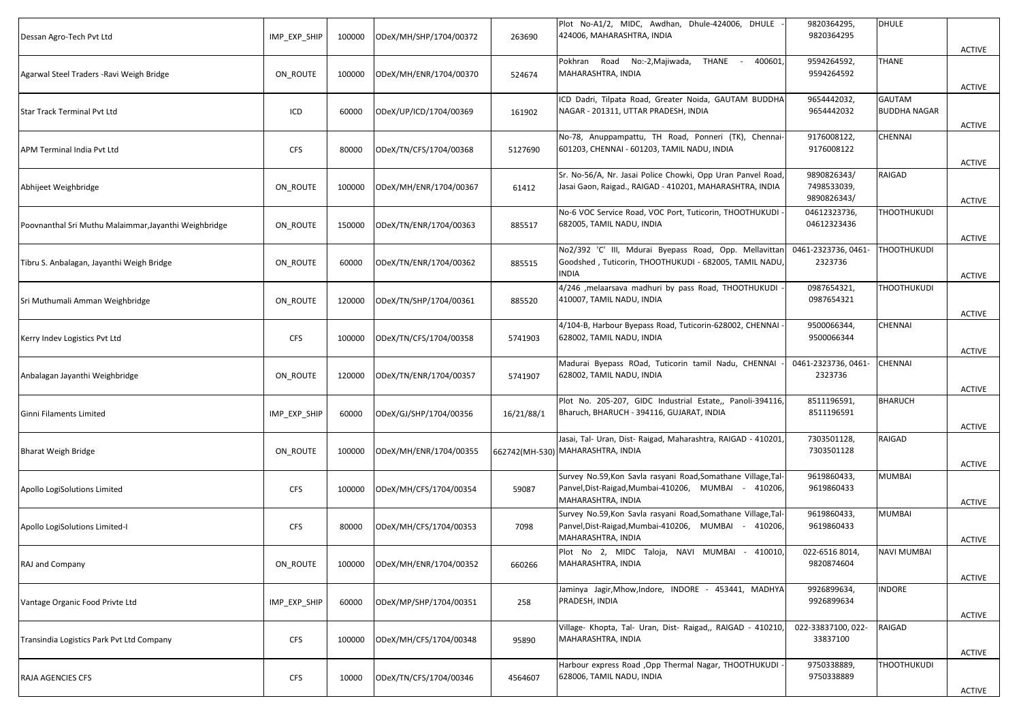| IMP_EXP_SHIP | 100000 | ODeX/MH/SHP/1704/00372 | 263690                 | Plot No-A1/2, MIDC, Awdhan, Dhule-424006, DHULE<br>424006, MAHARASHTRA, INDIA                                                               | 9820364295,<br>9820364295                 | <b>DHULE</b>                  | <b>ACTIVE</b> |
|--------------|--------|------------------------|------------------------|---------------------------------------------------------------------------------------------------------------------------------------------|-------------------------------------------|-------------------------------|---------------|
| ON ROUTE     | 100000 | ODeX/MH/ENR/1704/00370 | 524674                 | Pokhran Road No:-2, Majiwada, THANE -<br>400601,<br>MAHARASHTRA, INDIA                                                                      | 9594264592,<br>9594264592                 | <b>THANE</b>                  | <b>ACTIVE</b> |
| ICD          | 60000  | ODeX/UP/ICD/1704/00369 | 161902                 | ICD Dadri, Tilpata Road, Greater Noida, GAUTAM BUDDHA<br>NAGAR - 201311, UTTAR PRADESH, INDIA                                               | 9654442032,<br>9654442032                 | GAUTAM<br><b>BUDDHA NAGAR</b> | ACTIVE        |
| <b>CFS</b>   | 80000  | ODeX/TN/CFS/1704/00368 | 5127690                | No-78, Anuppampattu, TH Road, Ponneri (TK), Chennai-<br>601203, CHENNAI - 601203, TAMIL NADU, INDIA                                         | 9176008122,<br>9176008122                 | CHENNAI                       | <b>ACTIVE</b> |
| ON_ROUTE     | 100000 | ODeX/MH/ENR/1704/00367 | 61412                  | Sr. No-56/A, Nr. Jasai Police Chowki, Opp Uran Panvel Road,<br>Jasai Gaon, Raigad., RAIGAD - 410201, MAHARASHTRA, INDIA                     | 9890826343/<br>7498533039,<br>9890826343/ | RAIGAD                        | <b>ACTIVE</b> |
| ON_ROUTE     | 150000 | ODeX/TN/ENR/1704/00363 | 885517                 | No-6 VOC Service Road, VOC Port, Tuticorin, THOOTHUKUDI<br>682005, TAMIL NADU, INDIA                                                        | 04612323736,<br>04612323436               | THOOTHUKUDI                   | <b>ACTIVE</b> |
| ON ROUTE     | 60000  | ODeX/TN/ENR/1704/00362 | 885515                 | No2/392 'C' III, Mdurai Byepass Road, Opp. Mellavittan<br>Goodshed, Tuticorin, THOOTHUKUDI - 682005, TAMIL NADU,<br><b>INDIA</b>            | 0461-2323736, 0461-<br>2323736            | <b>THOOTHUKUDI</b>            | <b>ACTIVE</b> |
| ON_ROUTE     | 120000 | ODeX/TN/SHP/1704/00361 | 885520                 | 4/246 , melaarsava madhuri by pass Road, THOOTHUKUDI<br>410007, TAMIL NADU, INDIA                                                           | 0987654321,<br>0987654321                 | <b>THOOTHUKUDI</b>            | <b>ACTIVE</b> |
| <b>CFS</b>   | 100000 | ODeX/TN/CFS/1704/00358 | 5741903                | 4/104-B, Harbour Byepass Road, Tuticorin-628002, CHENNAI<br>628002, TAMIL NADU, INDIA                                                       | 9500066344,<br>9500066344                 | CHENNAI                       | <b>ACTIVE</b> |
| ON_ROUTE     | 120000 | ODeX/TN/ENR/1704/00357 | 5741907                | Madurai Byepass ROad, Tuticorin tamil Nadu, CHENNAI<br>628002, TAMIL NADU, INDIA                                                            | 0461-2323736, 0461-<br>2323736            | <b>CHENNAI</b>                | <b>ACTIVE</b> |
| IMP_EXP_SHIP | 60000  | ODeX/GJ/SHP/1704/00356 | 16/21/88/1             | Plot No. 205-207, GIDC Industrial Estate,, Panoli-394116,<br>Bharuch, BHARUCH - 394116, GUJARAT, INDIA                                      | 8511196591,<br>8511196591                 | <b>BHARUCH</b>                | <b>ACTIVE</b> |
| ON ROUTE     | 100000 | ODeX/MH/ENR/1704/00355 |                        | Jasai, Tal- Uran, Dist- Raigad, Maharashtra, RAIGAD - 410201,                                                                               | 7303501128,<br>7303501128                 | RAIGAD                        | <b>ACTIVE</b> |
| <b>CFS</b>   | 100000 | ODeX/MH/CFS/1704/00354 | 59087                  | Survey No.59, Kon Savla rasyani Road, Somathane Village, Tal-<br>Panvel, Dist-Raigad, Mumbai-410206, MUMBAI - 410206,<br>MAHARASHTRA, INDIA | 9619860433,<br>9619860433                 | MUMBAI                        | ACTIVE        |
| <b>CFS</b>   | 80000  | ODeX/MH/CFS/1704/00353 | 7098                   | Survey No.59, Kon Savla rasyani Road, Somathane Village, Tal-<br>Panvel, Dist-Raigad, Mumbai-410206, MUMBAI - 410206,<br>MAHARASHTRA, INDIA | 9619860433,<br>9619860433                 | MUMBAI                        | ACTIVE        |
| ON_ROUTE     | 100000 |                        | 660266                 | Plot No 2, MIDC Taloja, NAVI MUMBAI - 410010,<br>MAHARASHTRA, INDIA                                                                         | 022-6516 8014,<br>9820874604              | <b>NAVI MUMBAI</b>            | <b>ACTIVE</b> |
| IMP_EXP_SHIP | 60000  | ODeX/MP/SHP/1704/00351 | 258                    | Jaminya Jagir, Mhow, Indore, INDORE - 453441, MADHYA<br>PRADESH, INDIA                                                                      | 9926899634,<br>9926899634                 | <b>INDORE</b>                 | ACTIVE        |
| <b>CFS</b>   | 100000 | ODeX/MH/CFS/1704/00348 | 95890                  | Village- Khopta, Tal- Uran, Dist- Raigad,, RAIGAD - 410210,<br>MAHARASHTRA, INDIA                                                           | 022-33837100, 022-<br>33837100            | RAIGAD                        | <b>ACTIVE</b> |
| <b>CFS</b>   | 10000  | ODeX/TN/CFS/1704/00346 | 4564607                | Harbour express Road , Opp Thermal Nagar, THOOTHUKUDI<br>628006, TAMIL NADU, INDIA                                                          | 9750338889,<br>9750338889                 | <b>THOOTHUKUDI</b>            | <b>ACTIVE</b> |
|              |        |                        | ODeX/MH/ENR/1704/00352 |                                                                                                                                             | 662742(MH-530) MAHARASHTRA, INDIA         |                               |               |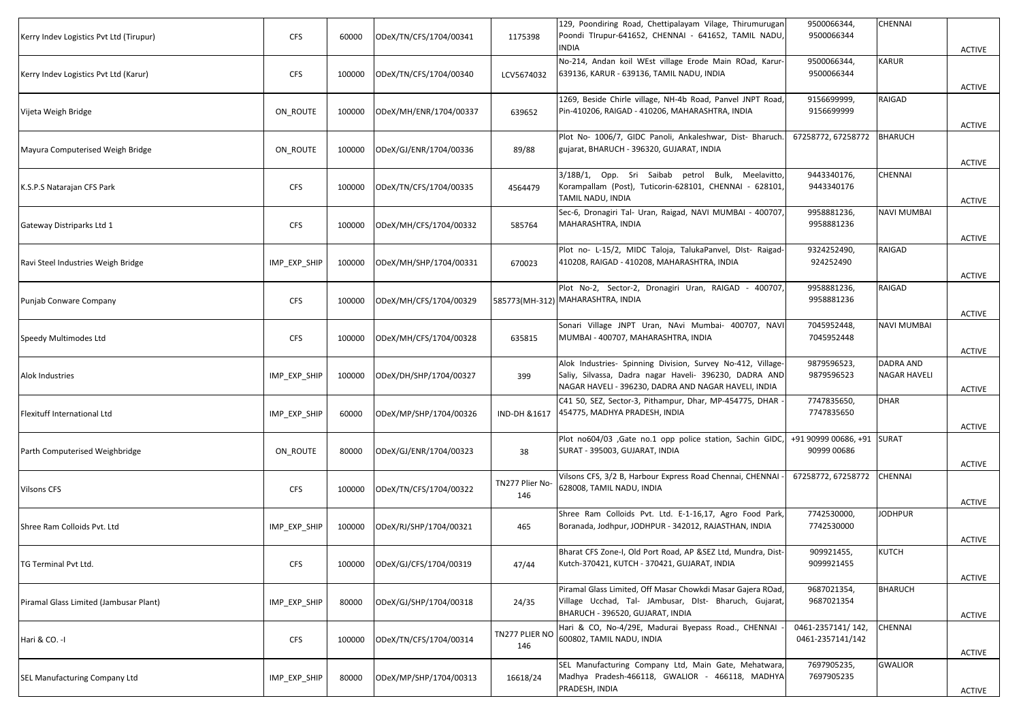| Kerry Indev Logistics Pvt Ltd (Tirupur) | <b>CFS</b>   | 60000  | ODeX/TN/CFS/1704/00341 | 1175398                | 129, Poondiring Road, Chettipalayam Vilage, Thirumurugan<br>Poondi TIrupur-641652, CHENNAI - 641652, TAMIL NADU,<br>NDIA                                                      | 9500066344,<br>9500066344                 | CHENNAI                   | <b>ACTIVE</b> |
|-----------------------------------------|--------------|--------|------------------------|------------------------|-------------------------------------------------------------------------------------------------------------------------------------------------------------------------------|-------------------------------------------|---------------------------|---------------|
| Kerry Indev Logistics Pvt Ltd (Karur)   | <b>CFS</b>   | 100000 | ODeX/TN/CFS/1704/00340 | LCV5674032             | No-214, Andan koil WEst village Erode Main ROad, Karur-<br>639136, KARUR - 639136, TAMIL NADU, INDIA                                                                          | 9500066344,<br>9500066344                 | KARUR                     | <b>ACTIVE</b> |
| Vijeta Weigh Bridge                     | ON ROUTE     | 100000 | ODeX/MH/ENR/1704/00337 | 639652                 | 1269, Beside Chirle village, NH-4b Road, Panvel JNPT Road,<br>Pin-410206, RAIGAD - 410206, MAHARASHTRA, INDIA                                                                 | 9156699999,<br>9156699999                 | RAIGAD                    | <b>ACTIVE</b> |
| Mayura Computerised Weigh Bridge        | ON_ROUTE     | 100000 | ODeX/GJ/ENR/1704/00336 | 89/88                  | Plot No- 1006/7, GIDC Panoli, Ankaleshwar, Dist- Bharuch<br>gujarat, BHARUCH - 396320, GUJARAT, INDIA                                                                         | 67258772, 67258772                        | <b>BHARUCH</b>            | <b>ACTIVE</b> |
| K.S.P.S Natarajan CFS Park              | <b>CFS</b>   | 100000 | ODeX/TN/CFS/1704/00335 | 4564479                | 3/18B/1, Opp. Sri Saibab petrol Bulk, Meelavitto,<br>Korampallam (Post), Tuticorin-628101, CHENNAI - 628101,<br>TAMIL NADU, INDIA                                             | 9443340176,<br>9443340176                 | CHENNAI                   | ACTIVE        |
| Gateway Distriparks Ltd 1               | <b>CFS</b>   | 100000 | ODeX/MH/CFS/1704/00332 | 585764                 | Sec-6, Dronagiri Tal- Uran, Raigad, NAVI MUMBAI - 400707,<br>MAHARASHTRA, INDIA                                                                                               | 9958881236,<br>9958881236                 | NAVI MUMBAI               | <b>ACTIVE</b> |
| Ravi Steel Industries Weigh Bridge      | IMP_EXP_SHIP | 100000 | ODeX/MH/SHP/1704/00331 | 670023                 | Plot no- L-15/2, MIDC Taloja, TalukaPanvel, DIst- Raigad-<br>410208, RAIGAD - 410208, MAHARASHTRA, INDIA                                                                      | 9324252490,<br>924252490                  | RAIGAD                    | <b>ACTIVE</b> |
| Punjab Conware Company                  | <b>CFS</b>   | 100000 | ODeX/MH/CFS/1704/00329 |                        | Plot No-2, Sector-2, Dronagiri Uran, RAIGAD - 400707,<br>585773(MH-312) MAHARASHTRA, INDIA                                                                                    | 9958881236,<br>9958881236                 | RAIGAD                    | ACTIVE        |
| Speedy Multimodes Ltd                   | <b>CFS</b>   | 100000 | ODeX/MH/CFS/1704/00328 | 635815                 | Sonari Village JNPT Uran, NAvi Mumbai- 400707, NAVI<br>MUMBAI - 400707, MAHARASHTRA, INDIA                                                                                    | 7045952448,<br>7045952448                 | NAVI MUMBAI               | <b>ACTIVE</b> |
| Alok Industries                         | IMP_EXP_SHIP | 100000 | ODeX/DH/SHP/1704/00327 | 399                    | Alok Industries- Spinning Division, Survey No-412, Village-<br>Saliy, Silvassa, Dadra nagar Haveli- 396230, DADRA AND<br>NAGAR HAVELI - 396230, DADRA AND NAGAR HAVELI, INDIA | 9879596523,<br>9879596523                 | DADRA AND<br>NAGAR HAVELI | ACTIVE        |
| Flexituff International Ltd             | IMP_EXP_SHIP | 60000  | ODeX/MP/SHP/1704/00326 | IND-DH &1617           | C41 50, SEZ, Sector-3, Pithampur, Dhar, MP-454775, DHAR<br>454775, MADHYA PRADESH, INDIA                                                                                      | 7747835650,<br>7747835650                 | <b>DHAR</b>               | <b>ACTIVE</b> |
| Parth Computerised Weighbridge          | ON ROUTE     | 80000  | ODeX/GJ/ENR/1704/00323 | 38                     | Plot no604/03 , Gate no.1 opp police station, Sachin GIDC,<br>SURAT - 395003, GUJARAT, INDIA                                                                                  | +91 90999 00686, +91 SURAT<br>90999 00686 |                           | <b>ACTIVE</b> |
| <b>Vilsons CFS</b>                      | <b>CFS</b>   | 100000 | ODeX/TN/CFS/1704/00322 | TN277 Plier No-<br>146 | Vilsons CFS, 3/2 B, Harbour Express Road Chennai, CHENNAI<br>628008, TAMIL NADU, INDIA                                                                                        | 67258772, 67258772                        | CHENNAI                   | <b>ACTIVE</b> |
| Shree Ram Colloids Pvt. Ltd             | IMP_EXP_SHIP | 100000 | ODeX/RJ/SHP/1704/00321 | 465                    | Shree Ram Colloids Pvt. Ltd. E-1-16,17, Agro Food Park,<br>Boranada, Jodhpur, JODHPUR - 342012, RAJASTHAN, INDIA                                                              | 7742530000,<br>7742530000                 | JODHPUR                   | <b>ACTIVE</b> |
| TG Terminal Pvt Ltd.                    | <b>CFS</b>   | 100000 | ODeX/GJ/CFS/1704/00319 | 47/44                  | Bharat CFS Zone-I, Old Port Road, AP &SEZ Ltd, Mundra, Dist-<br>Kutch-370421, KUTCH - 370421, GUJARAT, INDIA                                                                  | 909921455,<br>9099921455                  | KUTCH                     | <b>ACTIVE</b> |
| Piramal Glass Limited (Jambusar Plant)  | IMP_EXP_SHIP | 80000  | ODeX/GJ/SHP/1704/00318 | 24/35                  | Piramal Glass Limited, Off Masar Chowkdi Masar Gajera ROad,<br>Village Ucchad, Tal- JAmbusar, DIst- Bharuch, Gujarat,<br>BHARUCH - 396520, GUJARAT, INDIA                     | 9687021354,<br>9687021354                 | BHARUCH                   | ACTIVE        |
| Hari & CO. -I                           | <b>CFS</b>   | 100000 | ODeX/TN/CFS/1704/00314 | TN277 PLIER NO<br>146  | Hari & CO, No-4/29E, Madurai Byepass Road., CHENNAI<br>600802, TAMIL NADU, INDIA                                                                                              | 0461-2357141/142,<br>0461-2357141/142     | CHENNAI                   | <b>ACTIVE</b> |
| SEL Manufacturing Company Ltd           | IMP_EXP_SHIP | 80000  | ODeX/MP/SHP/1704/00313 | 16618/24               | SEL Manufacturing Company Ltd, Main Gate, Mehatwara,<br>Madhya Pradesh-466118, GWALIOR - 466118, MADHYA<br>PRADESH, INDIA                                                     | 7697905235,<br>7697905235                 | GWALIOR                   | ACTIVE        |
|                                         |              |        |                        |                        |                                                                                                                                                                               |                                           |                           |               |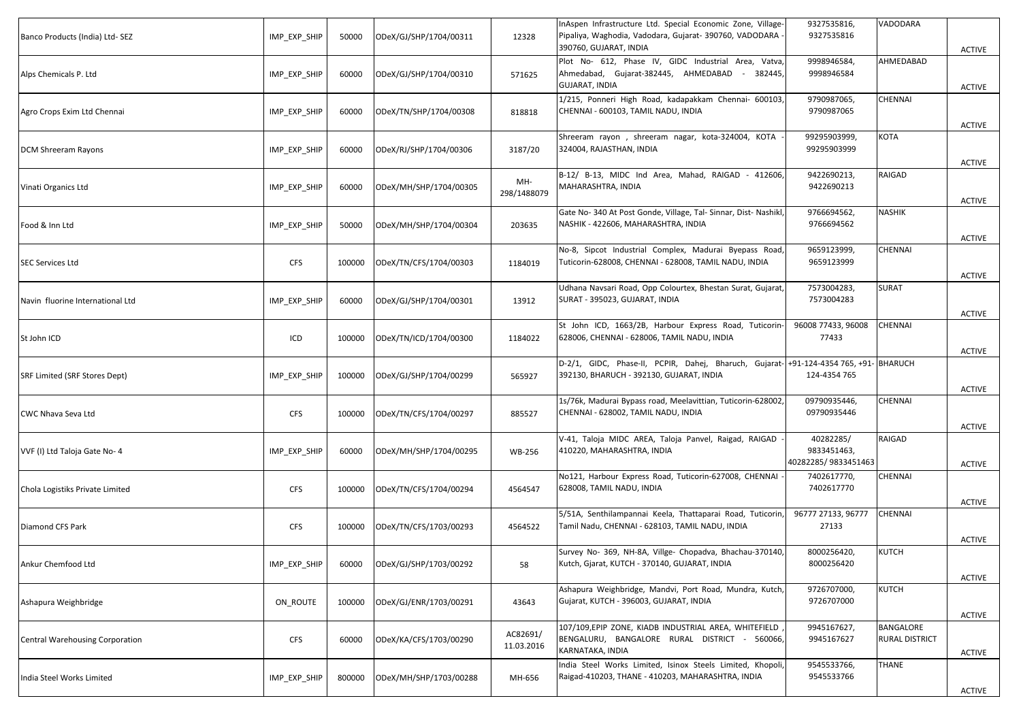| Banco Products (India) Ltd-SEZ         | IMP_EXP_SHIP | 50000  | ODeX/GJ/SHP/1704/00311 | 12328                  | InAspen Infrastructure Ltd. Special Economic Zone, Village-<br>Pipaliya, Waghodia, Vadodara, Gujarat- 390760, VADODARA<br>390760, GUJARAT, INDIA | 9327535816,<br>9327535816                       | VADODARA                    | <b>ACTIVE</b> |
|----------------------------------------|--------------|--------|------------------------|------------------------|--------------------------------------------------------------------------------------------------------------------------------------------------|-------------------------------------------------|-----------------------------|---------------|
| Alps Chemicals P. Ltd                  | IMP_EXP_SHIP | 60000  | ODeX/GJ/SHP/1704/00310 | 571625                 | Plot No- 612, Phase IV, GIDC Industrial Area, Vatva,<br>Ahmedabad, Gujarat-382445, AHMEDABAD - 382445,<br><b>GUJARAT, INDIA</b>                  | 9998946584,<br>9998946584                       | AHMEDABAD                   | <b>ACTIVE</b> |
| Agro Crops Exim Ltd Chennai            | IMP_EXP_SHIP | 60000  | ODeX/TN/SHP/1704/00308 | 818818                 | 1/215, Ponneri High Road, kadapakkam Chennai- 600103<br>CHENNAI - 600103, TAMIL NADU, INDIA                                                      | 9790987065,<br>9790987065                       | CHENNAI                     | <b>ACTIVE</b> |
| DCM Shreeram Rayons                    | IMP_EXP_SHIP | 60000  | ODeX/RJ/SHP/1704/00306 | 3187/20                | Shreeram rayon, shreeram nagar, kota-324004, KOTA<br>324004, RAJASTHAN, INDIA                                                                    | 99295903999,<br>99295903999                     | KOTA                        | <b>ACTIVE</b> |
| Vinati Organics Ltd                    | IMP_EXP_SHIP | 60000  | ODeX/MH/SHP/1704/00305 | MH-<br>298/1488079     | B-12/ B-13, MIDC Ind Area, Mahad, RAIGAD - 412606,<br>MAHARASHTRA, INDIA                                                                         | 9422690213,<br>9422690213                       | RAIGAD                      | <b>ACTIVE</b> |
| Food & Inn Ltd                         | IMP_EXP_SHIP | 50000  | ODeX/MH/SHP/1704/00304 | 203635                 | Gate No- 340 At Post Gonde, Village, Tal- Sinnar, Dist- Nashikl<br>NASHIK - 422606, MAHARASHTRA, INDIA                                           | 9766694562,<br>9766694562                       | <b>NASHIK</b>               | <b>ACTIVE</b> |
| <b>SEC Services Ltd</b>                | <b>CFS</b>   | 100000 | ODeX/TN/CFS/1704/00303 | 1184019                | No-8, Sipcot Industrial Complex, Madurai Byepass Road,<br>Tuticorin-628008, CHENNAI - 628008, TAMIL NADU, INDIA                                  | 9659123999,<br>9659123999                       | CHENNAI                     | <b>ACTIVE</b> |
| Navin fluorine International Ltd       | IMP_EXP_SHIP | 60000  | ODeX/GJ/SHP/1704/00301 | 13912                  | Udhana Navsari Road, Opp Colourtex, Bhestan Surat, Gujarat,<br>SURAT - 395023, GUJARAT, INDIA                                                    | 7573004283,<br>7573004283                       | <b>SURAT</b>                | ACTIVE        |
| St John ICD                            | ICD          | 100000 | ODeX/TN/ICD/1704/00300 | 1184022                | St John ICD, 1663/2B, Harbour Express Road, Tuticorin<br>628006, CHENNAI - 628006, TAMIL NADU, INDIA                                             | 96008 77433, 96008<br>77433                     | CHENNAI                     | <b>ACTIVE</b> |
| SRF Limited (SRF Stores Dept)          | IMP_EXP_SHIP | 100000 | ODeX/GJ/SHP/1704/00299 | 565927                 | D-2/1, GIDC, Phase-II, PCPIR, Dahej, Bharuch, Gujarat-1+91-124-4354 765, +91-1BHARUCH<br>392130, BHARUCH - 392130, GUJARAT, INDIA                | 124-4354 765                                    |                             | ACTIVE        |
| CWC Nhava Seva Ltd                     | <b>CFS</b>   | 100000 | ODeX/TN/CFS/1704/00297 | 885527                 | 1s/76k, Madurai Bypass road, Meelavittian, Tuticorin-628002,<br>CHENNAI - 628002, TAMIL NADU, INDIA                                              | 09790935446,<br>09790935446                     | CHENNAI                     | <b>ACTIVE</b> |
| VVF (I) Ltd Taloja Gate No- 4          | IMP_EXP_SHIP | 60000  | ODeX/MH/SHP/1704/00295 | <b>WB-256</b>          | V-41, Taloja MIDC AREA, Taloja Panvel, Raigad, RAIGAD<br>410220, MAHARASHTRA, INDIA                                                              | 40282285/<br>9833451463,<br>40282285/9833451463 | RAIGAD                      | <b>ACTIVE</b> |
| Chola Logistiks Private Limited        | <b>CFS</b>   | 100000 | ODeX/TN/CFS/1704/00294 | 4564547                | No121, Harbour Express Road, Tuticorin-627008, CHENNAI<br>628008, TAMIL NADU, INDIA                                                              | 7402617770,<br>7402617770                       | CHENNAI                     | ACTIVE        |
| Diamond CFS Park                       | <b>CFS</b>   | 100000 | ODeX/TN/CFS/1703/00293 | 4564522                | 5/51A, Senthilampannai Keela, Thattaparai Road, Tuticorin<br>Tamil Nadu, CHENNAI - 628103, TAMIL NADU, INDIA                                     | 96777 27133, 96777<br>27133                     | <b>CHENNAI</b>              | ACTIVE        |
| Ankur Chemfood Ltd                     | IMP_EXP_SHIP | 60000  | ODeX/GJ/SHP/1703/00292 | 58                     | Survey No- 369, NH-8A, Villge- Chopadva, Bhachau-370140,<br>Kutch, Gjarat, KUTCH - 370140, GUJARAT, INDIA                                        | 8000256420,<br>8000256420                       | KUTCH                       | <b>ACTIVE</b> |
| Ashapura Weighbridge                   | ON_ROUTE     | 100000 | ODeX/GJ/ENR/1703/00291 | 43643                  | Ashapura Weighbridge, Mandvi, Port Road, Mundra, Kutch,<br>Gujarat, KUTCH - 396003, GUJARAT, INDIA                                               | 9726707000,<br>9726707000                       | KUTCH                       | <b>ACTIVE</b> |
| <b>Central Warehousing Corporation</b> | <b>CFS</b>   | 60000  | ODeX/KA/CFS/1703/00290 | AC82691/<br>11.03.2016 | 107/109, EPIP ZONE, KIADB INDUSTRIAL AREA, WHITEFIELD<br>BENGALURU, BANGALORE RURAL DISTRICT - 560066,<br>KARNATAKA, INDIA                       | 9945167627,<br>9945167627                       | BANGALORE<br>RURAL DISTRICT |               |
| India Steel Works Limited              | IMP_EXP_SHIP | 800000 | ODeX/MH/SHP/1703/00288 | MH-656                 | India Steel Works Limited, Isinox Steels Limited, Khopoli,<br>Raigad-410203, THANE - 410203, MAHARASHTRA, INDIA                                  | 9545533766,<br>9545533766                       | <b>THANE</b>                | <b>ACTIVE</b> |
|                                        |              |        |                        |                        |                                                                                                                                                  |                                                 |                             | <b>ACTIVE</b> |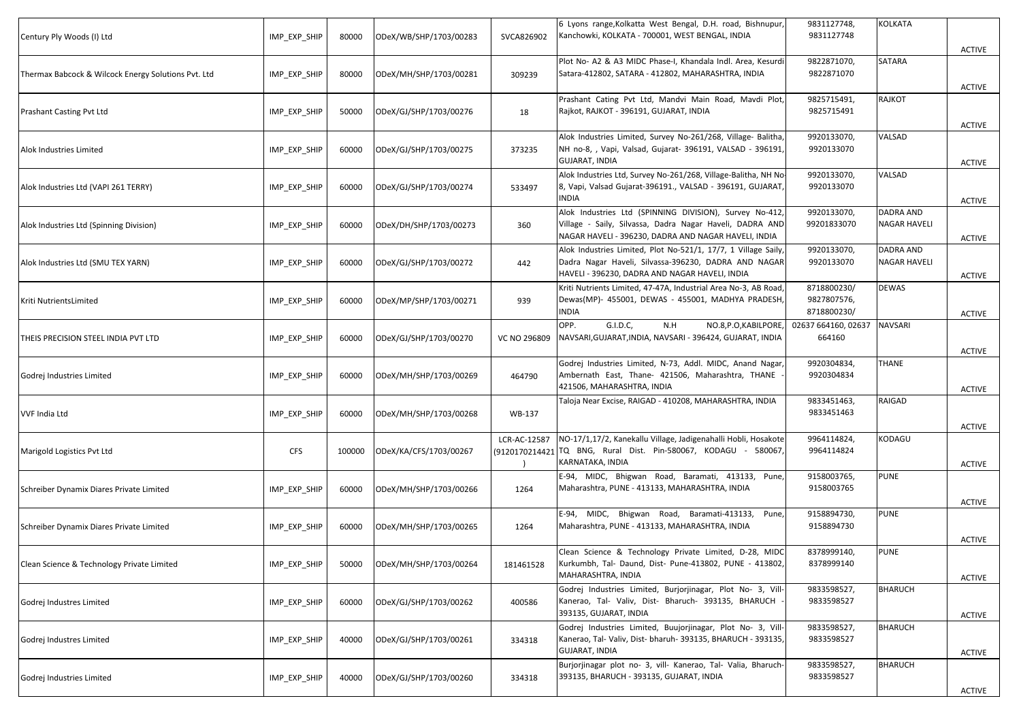| Century Ply Woods (I) Ltd                           | IMP EXP SHIP | 80000  | ODeX/WB/SHP/1703/00283 | SVCA826902   | 6 Lyons range, Kolkatta West Bengal, D.H. road, Bishnupur,<br>Kanchowki, KOLKATA - 700001, WEST BENGAL, INDIA                                                               | 9831127748,<br>9831127748                 | KOLKATA                          | <b>ACTIVE</b> |
|-----------------------------------------------------|--------------|--------|------------------------|--------------|-----------------------------------------------------------------------------------------------------------------------------------------------------------------------------|-------------------------------------------|----------------------------------|---------------|
| Thermax Babcock & Wilcock Energy Solutions Pvt. Ltd | IMP_EXP_SHIP | 80000  | ODeX/MH/SHP/1703/00281 | 309239       | Plot No- A2 & A3 MIDC Phase-I, Khandala Indl. Area, Kesurdi<br>Satara-412802, SATARA - 412802, MAHARASHTRA, INDIA                                                           | 9822871070,<br>9822871070                 | SATARA                           | <b>ACTIVE</b> |
| Prashant Casting Pvt Ltd                            | IMP_EXP_SHIP | 50000  | ODeX/GJ/SHP/1703/00276 | 18           | Prashant Cating Pvt Ltd, Mandvi Main Road, Mavdi Plot,<br>Rajkot, RAJKOT - 396191, GUJARAT, INDIA                                                                           | 9825715491,<br>9825715491                 | RAJKOT                           | <b>ACTIVE</b> |
| Alok Industries Limited                             | IMP_EXP_SHIP | 60000  | ODeX/GJ/SHP/1703/00275 | 373235       | Alok Industries Limited, Survey No-261/268, Village- Balitha,<br>NH no-8, , Vapi, Valsad, Gujarat- 396191, VALSAD - 396191,<br><b>GUJARAT, INDIA</b>                        | 9920133070,<br>9920133070                 | VALSAD                           | <b>ACTIVE</b> |
| Alok Industries Ltd (VAPI 261 TERRY)                | IMP_EXP_SHIP | 60000  | ODeX/GJ/SHP/1703/00274 | 533497       | Alok Industries Ltd, Survey No-261/268, Village-Balitha, NH No-<br>8, Vapi, Valsad Gujarat-396191., VALSAD - 396191, GUJARAT,<br><b>INDIA</b>                               | 9920133070,<br>9920133070                 | VALSAD                           | ACTIVE        |
| Alok Industries Ltd (Spinning Division)             | IMP_EXP_SHIP | 60000  | ODeX/DH/SHP/1703/00273 | 360          | Alok Industries Ltd (SPINNING DIVISION), Survey No-412,<br>Village - Saily, Silvassa, Dadra Nagar Haveli, DADRA AND<br>NAGAR HAVELI - 396230, DADRA AND NAGAR HAVELI, INDIA | 9920133070,<br>99201833070                | DADRA AND<br><b>NAGAR HAVELI</b> | <b>ACTIVE</b> |
| Alok Industries Ltd (SMU TEX YARN)                  | IMP EXP SHIP | 60000  | ODeX/GJ/SHP/1703/00272 | 442          | Alok Industries Limited, Plot No-521/1, 17/7, 1 Village Saily,<br>Dadra Nagar Haveli, Silvassa-396230, DADRA AND NAGAR<br>HAVELI - 396230, DADRA AND NAGAR HAVELI, INDIA    | 9920133070,<br>9920133070                 | DADRA AND<br><b>NAGAR HAVELI</b> | ACTIVE        |
| Kriti NutrientsLimited                              | IMP_EXP_SHIP | 60000  | ODeX/MP/SHP/1703/00271 | 939          | Kriti Nutrients Limited, 47-47A, Industrial Area No-3, AB Road<br>Dewas(MP)- 455001, DEWAS - 455001, MADHYA PRADESH<br><b>INDIA</b>                                         | 8718800230/<br>9827807576,<br>8718800230/ | <b>DEWAS</b>                     | ACTIVE        |
| THEIS PRECISION STEEL INDIA PVT LTD                 | IMP_EXP_SHIP | 60000  | ODeX/GJ/SHP/1703/00270 | VC NO 296809 | OPP.<br>G.I.D.C,<br>N.H<br>NO.8, P.O, KABILPORE<br>NAVSARI, GUJARAT, INDIA, NAVSARI - 396424, GUJARAT, INDIA                                                                | 02637 664160, 02637<br>664160             | <b>NAVSARI</b>                   | <b>ACTIVE</b> |
| Godrej Industries Limited                           | IMP_EXP_SHIP | 60000  | ODeX/MH/SHP/1703/00269 | 464790       | Godrej Industries Limited, N-73, Addl. MIDC, Anand Nagar,<br>Ambernath East, Thane- 421506, Maharashtra, THANE<br>421506, MAHARASHTRA, INDIA                                | 9920304834,<br>9920304834                 | <b>THANE</b>                     | <b>ACTIVE</b> |
| <b>VVF India Ltd</b>                                | IMP_EXP_SHIP | 60000  | ODeX/MH/SHP/1703/00268 | WB-137       | Taloja Near Excise, RAIGAD - 410208, MAHARASHTRA, INDIA                                                                                                                     | 9833451463,<br>9833451463                 | RAIGAD                           | <b>ACTIVE</b> |
| Marigold Logistics Pvt Ltd                          | <b>CFS</b>   | 100000 | ODeX/KA/CFS/1703/00267 | LCR-AC-12587 | NO-17/1,17/2, Kanekallu Village, Jadigenahalli Hobli, Hosakote<br>(9120170214421 TQ BNG, Rural Dist. Pin-580067, KODAGU - 580067,<br>KARNATAKA, INDIA                       | 9964114824,<br>9964114824                 | KODAGU                           | <b>ACTIVE</b> |
| Schreiber Dynamix Diares Private Limited            | IMP_EXP_SHIP | 60000  | ODeX/MH/SHP/1703/00266 | 1264         | E-94, MIDC, Bhigwan Road, Baramati, 413133, Pune,<br>Maharashtra, PUNE - 413133, MAHARASHTRA, INDIA                                                                         | 9158003765,<br>9158003765                 | <b>PUNE</b>                      | <b>ACTIVE</b> |
| Schreiber Dynamix Diares Private Limited            | IMP_EXP_SHIP | 60000  | ODeX/MH/SHP/1703/00265 | 1264         | E-94, MIDC, Bhigwan Road, Baramati-413133,<br>Pune,<br>Maharashtra, PUNE - 413133, MAHARASHTRA, INDIA                                                                       | 9158894730,<br>9158894730                 | <b>PUNE</b>                      | <b>ACTIVE</b> |
| Clean Science & Technology Private Limited          | IMP_EXP_SHIP | 50000  | ODeX/MH/SHP/1703/00264 | 181461528    | Clean Science & Technology Private Limited, D-28, MIDC<br>Kurkumbh, Tal- Daund, Dist- Pune-413802, PUNE - 413802,<br>MAHARASHTRA, INDIA                                     | 8378999140,<br>8378999140                 | <b>PUNE</b>                      | <b>ACTIVE</b> |
| Godrej Industres Limited                            | IMP_EXP_SHIP | 60000  | ODeX/GJ/SHP/1703/00262 | 400586       | Godrej Industries Limited, Burjorjinagar, Plot No- 3, Vill-<br>Kanerao, Tal- Valiv, Dist- Bharuch- 393135, BHARUCH<br>393135, GUJARAT, INDIA                                | 9833598527,<br>9833598527                 | <b>BHARUCH</b>                   | <b>ACTIVE</b> |
| Godrej Industres Limited                            | IMP_EXP_SHIP | 40000  | ODeX/GJ/SHP/1703/00261 | 334318       | Godrej Industries Limited, Buujorjinagar, Plot No- 3, Vill-<br>Kanerao, Tal- Valiv, Dist- bharuh- 393135, BHARUCH - 393135,<br><b>GUJARAT, INDIA</b>                        | 9833598527,<br>9833598527                 | <b>BHARUCH</b>                   | <b>ACTIVE</b> |
| Godrej Industries Limited                           | IMP_EXP_SHIP | 40000  | ODeX/GJ/SHP/1703/00260 | 334318       | Burjorjinagar plot no- 3, vill- Kanerao, Tal- Valia, Bharuch-<br>393135, BHARUCH - 393135, GUJARAT, INDIA                                                                   | 9833598527,<br>9833598527                 | <b>BHARUCH</b>                   | <b>ACTIVE</b> |
|                                                     |              |        |                        |              |                                                                                                                                                                             |                                           |                                  |               |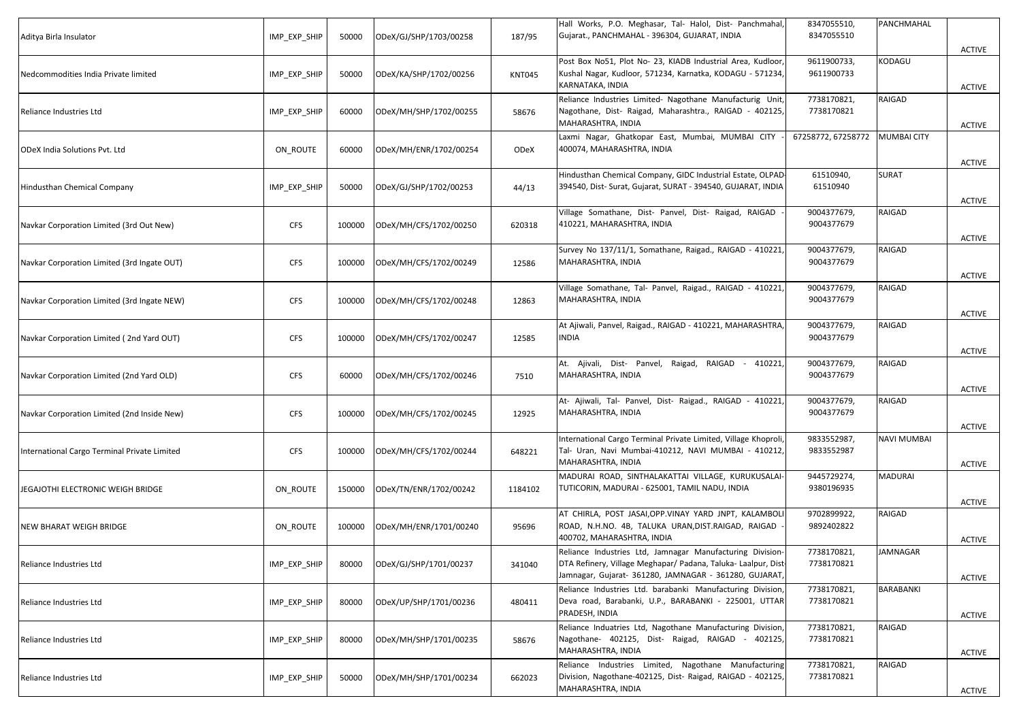| Aditya Birla Insulator                       | IMP_EXP_SHIP | 50000  | ODeX/GJ/SHP/1703/00258 | 187/95        | Hall Works, P.O. Meghasar, Tal- Halol, Dist- Panchmahal,<br>Gujarat., PANCHMAHAL - 396304, GUJARAT, INDIA                                                                           | 8347055510,<br>8347055510 | PANCHMAHAL         | <b>ACTIVE</b> |
|----------------------------------------------|--------------|--------|------------------------|---------------|-------------------------------------------------------------------------------------------------------------------------------------------------------------------------------------|---------------------------|--------------------|---------------|
| Nedcommodities India Private limited         | IMP_EXP_SHIP | 50000  | ODeX/KA/SHP/1702/00256 | <b>KNT045</b> | Post Box No51, Plot No- 23, KIADB Industrial Area, Kudloor,<br>Kushal Nagar, Kudloor, 571234, Karnatka, KODAGU - 571234,<br>KARNATAKA, INDIA                                        | 9611900733,<br>9611900733 | KODAGU             | <b>ACTIVE</b> |
| Reliance Industries Ltd                      | IMP_EXP_SHIP | 60000  | ODeX/MH/SHP/1702/00255 | 58676         | Reliance Industries Limited- Nagothane Manufacturig Unit,<br>Nagothane, Dist- Raigad, Maharashtra., RAIGAD - 402125,<br>MAHARASHTRA, INDIA                                          | 7738170821,<br>7738170821 | RAIGAD             | <b>ACTIVE</b> |
| <b>ODeX India Solutions Pvt. Ltd</b>         | ON ROUTE     | 60000  | ODeX/MH/ENR/1702/00254 | ODeX          | Laxmi Nagar, Ghatkopar East, Mumbai, MUMBAI CITY<br>400074, MAHARASHTRA, INDIA                                                                                                      | 67258772, 67258772        | <b>MUMBAI CITY</b> | <b>ACTIVE</b> |
| Hindusthan Chemical Company                  | IMP_EXP_SHIP | 50000  | ODeX/GJ/SHP/1702/00253 | 44/13         | Hindusthan Chemical Company, GIDC Industrial Estate, OLPAD<br>394540, Dist- Surat, Gujarat, SURAT - 394540, GUJARAT, INDIA                                                          | 61510940,<br>61510940     | <b>SURAT</b>       | <b>ACTIVE</b> |
| Navkar Corporation Limited (3rd Out New)     | <b>CFS</b>   | 100000 | ODeX/MH/CFS/1702/00250 | 620318        | Village Somathane, Dist- Panvel, Dist- Raigad, RAIGAD<br>410221, MAHARASHTRA, INDIA                                                                                                 | 9004377679,<br>9004377679 | RAIGAD             | <b>ACTIVE</b> |
| Navkar Corporation Limited (3rd Ingate OUT)  | <b>CFS</b>   | 100000 | ODeX/MH/CFS/1702/00249 | 12586         | Survey No 137/11/1, Somathane, Raigad., RAIGAD - 410221,<br>MAHARASHTRA, INDIA                                                                                                      | 9004377679,<br>9004377679 | RAIGAD             | <b>ACTIVE</b> |
| Navkar Corporation Limited (3rd Ingate NEW)  | <b>CFS</b>   | 100000 | ODeX/MH/CFS/1702/00248 | 12863         | Village Somathane, Tal- Panvel, Raigad., RAIGAD - 410221.<br>MAHARASHTRA, INDIA                                                                                                     | 9004377679,<br>9004377679 | RAIGAD             | <b>ACTIVE</b> |
| Navkar Corporation Limited (2nd Yard OUT)    | <b>CFS</b>   | 100000 | ODeX/MH/CFS/1702/00247 | 12585         | At Ajiwali, Panvel, Raigad., RAIGAD - 410221, MAHARASHTRA<br>NDIA                                                                                                                   | 9004377679,<br>9004377679 | RAIGAD             | <b>ACTIVE</b> |
| Navkar Corporation Limited (2nd Yard OLD)    | <b>CFS</b>   | 60000  | ODeX/MH/CFS/1702/00246 | 7510          | At. Ajivali, Dist- Panvel, Raigad, RAIGAD - 410221,<br>MAHARASHTRA, INDIA                                                                                                           | 9004377679,<br>9004377679 | RAIGAD             | <b>ACTIVE</b> |
| Navkar Corporation Limited (2nd Inside New)  | <b>CFS</b>   | 100000 | ODeX/MH/CFS/1702/00245 | 12925         | At- Ajiwali, Tal- Panvel, Dist- Raigad., RAIGAD - 410221,<br>MAHARASHTRA, INDIA                                                                                                     | 9004377679,<br>9004377679 | RAIGAD             | ACTIVE        |
| International Cargo Terminal Private Limited | <b>CFS</b>   | 100000 | ODeX/MH/CFS/1702/00244 | 648221        | International Cargo Terminal Private Limited, Village Khoproli<br>Tal- Uran, Navi Mumbai-410212, NAVI MUMBAI - 410212,<br>MAHARASHTRA, INDIA                                        | 9833552987,<br>9833552987 | <b>NAVI MUMBAI</b> | <b>ACTIVE</b> |
| JEGAJOTHI ELECTRONIC WEIGH BRIDGE            | ON ROUTE     | 150000 | ODeX/TN/ENR/1702/00242 | 1184102       | MADURAI ROAD, SINTHALAKATTAI VILLAGE, KURUKUSALAI-<br>TUTICORIN, MADURAI - 625001, TAMIL NADU, INDIA                                                                                | 9445729274,<br>9380196935 | <b>MADURAI</b>     | ACTIVE        |
| <b>NEW BHARAT WEIGH BRIDGE</b>               | ON_ROUTE     | 100000 | ODeX/MH/ENR/1701/00240 | 95696         | AT CHIRLA, POST JASAI, OPP. VINAY YARD JNPT, KALAMBOLI<br>ROAD, N.H.NO. 4B, TALUKA URAN,DIST.RAIGAD, RAIGAD<br>400702, MAHARASHTRA, INDIA                                           | 9702899922,<br>9892402822 | RAIGAD             | ACTIVE        |
| Reliance Industries Ltd                      | IMP_EXP_SHIP | 80000  | ODeX/GJ/SHP/1701/00237 | 341040        | Reliance Industries Ltd, Jamnagar Manufacturing Division-<br>DTA Refinery, Village Meghapar/ Padana, Taluka- Laalpur, Dist<br>Jamnagar, Gujarat- 361280, JAMNAGAR - 361280, GUJARAT | 7738170821,<br>7738170821 | <b>JAMNAGAR</b>    | <b>ACTIVE</b> |
| Reliance Industries Ltd                      | IMP_EXP_SHIP | 80000  | ODeX/UP/SHP/1701/00236 | 480411        | Reliance Industries Ltd. barabanki Manufacturing Division,<br>Deva road, Barabanki, U.P., BARABANKI - 225001, UTTAR<br>PRADESH, INDIA                                               | 7738170821,<br>7738170821 | BARABANKI          | <b>ACTIVE</b> |
| Reliance Industries Ltd                      | IMP EXP SHIP | 80000  | ODeX/MH/SHP/1701/00235 | 58676         | Reliance Induatries Ltd, Nagothane Manufacturing Division<br>Nagothane- 402125, Dist- Raigad, RAIGAD - 402125,<br>MAHARASHTRA, INDIA                                                | 7738170821,<br>7738170821 | RAIGAD             | <b>ACTIVE</b> |
| Reliance Industries Ltd                      | IMP_EXP_SHIP | 50000  | ODeX/MH/SHP/1701/00234 | 662023        | Reliance Industries Limited, Nagothane Manufacturing<br>Division, Nagothane-402125, Dist- Raigad, RAIGAD - 402125,<br>MAHARASHTRA, INDIA                                            | 7738170821,<br>7738170821 | RAIGAD             | <b>ACTIVE</b> |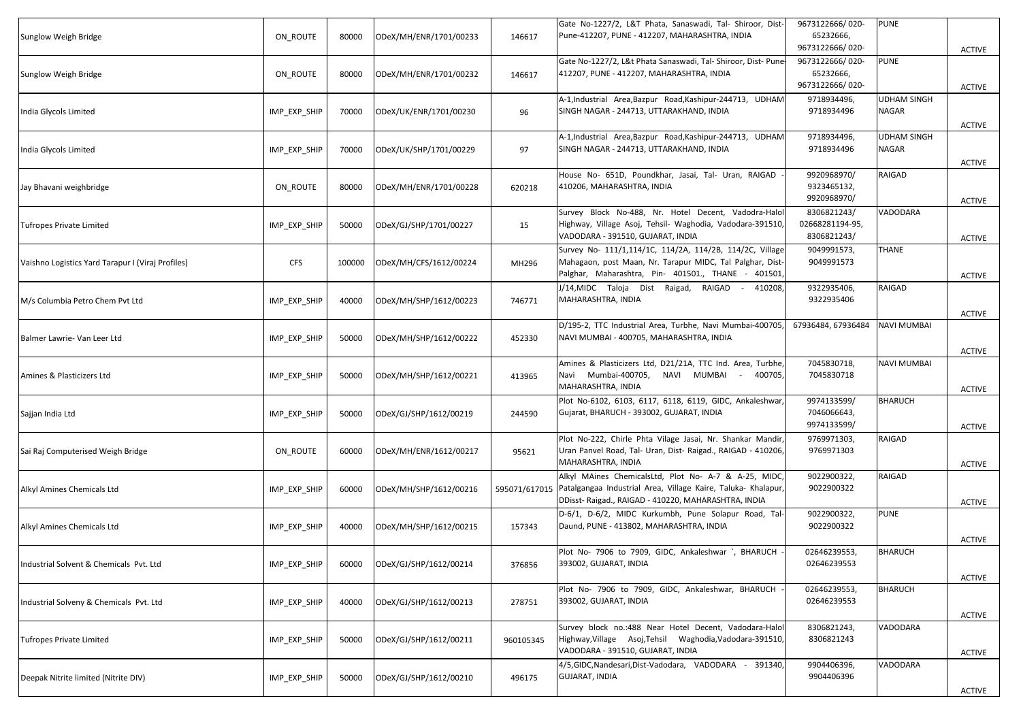| Sunglow Weigh Bridge                              | ON ROUTE     | 80000  | ODeX/MH/ENR/1701/00233 | 146617        | Gate No-1227/2, L&T Phata, Sanaswadi, Tal- Shiroor, Dist-<br>Pune-412207, PUNE - 412207, MAHARASHTRA, INDIA                                                                   | 9673122666/020-<br>65232666,<br>9673122666/020- | <b>PUNE</b>                        | <b>ACTIVE</b> |
|---------------------------------------------------|--------------|--------|------------------------|---------------|-------------------------------------------------------------------------------------------------------------------------------------------------------------------------------|-------------------------------------------------|------------------------------------|---------------|
| Sunglow Weigh Bridge                              | ON_ROUTE     | 80000  | ODeX/MH/ENR/1701/00232 | 146617        | Gate No-1227/2, L&t Phata Sanaswadi, Tal- Shiroor, Dist- Pune-<br>412207, PUNE - 412207, MAHARASHTRA, INDIA                                                                   | 9673122666/020-<br>65232666,<br>9673122666/020- | <b>PUNE</b>                        | <b>ACTIVE</b> |
| India Glycols Limited                             | IMP_EXP_SHIP | 70000  | ODeX/UK/ENR/1701/00230 | 96            | A-1, Industrial Area, Bazpur Road, Kashipur-244713, UDHAM<br>SINGH NAGAR - 244713, UTTARAKHAND, INDIA                                                                         | 9718934496,<br>9718934496                       | UDHAM SINGH<br><b>NAGAR</b>        | ACTIVE        |
| India Glycols Limited                             | IMP_EXP_SHIP | 70000  | ODeX/UK/SHP/1701/00229 | 97            | A-1, Industrial Area, Bazpur Road, Kashipur-244713, UDHAM<br>SINGH NAGAR - 244713, UTTARAKHAND, INDIA                                                                         | 9718934496,<br>9718934496                       | <b>UDHAM SINGH</b><br><b>NAGAR</b> | <b>ACTIVE</b> |
| Jay Bhavani weighbridge                           | ON_ROUTE     | 80000  | ODeX/MH/ENR/1701/00228 | 620218        | House No- 651D, Poundkhar, Jasai, Tal- Uran, RAIGAD<br>410206, MAHARASHTRA, INDIA                                                                                             | 9920968970/<br>9323465132,<br>9920968970/       | RAIGAD                             | <b>ACTIVE</b> |
| <b>Tufropes Private Limited</b>                   | IMP_EXP_SHIP | 50000  | ODeX/GJ/SHP/1701/00227 | 15            | Survey Block No-488, Nr. Hotel Decent, Vadodra-Halol<br>Highway, Village Asoj, Tehsil- Waghodia, Vadodara-391510,<br>VADODARA - 391510, GUJARAT, INDIA                        | 8306821243/<br>02668281194-95,<br>8306821243/   | VADODARA                           | <b>ACTIVE</b> |
| Vaishno Logistics Yard Tarapur I (Viraj Profiles) | <b>CFS</b>   | 100000 | ODeX/MH/CFS/1612/00224 | MH296         | Survey No- 111/1,114/1C, 114/2A, 114/2B, 114/2C, Village<br>Mahagaon, post Maan, Nr. Tarapur MIDC, Tal Palghar, Dist-<br>Palghar, Maharashtra, Pin- 401501., THANE - 401501   | 9049991573,<br>9049991573                       | <b>THANE</b>                       | ACTIVE        |
| M/s Columbia Petro Chem Pvt Ltd                   | IMP_EXP_SHIP | 40000  | ODeX/MH/SHP/1612/00223 | 746771        | J/14, MIDC Taloja Dist Raigad, RAIGAD - 410208,<br>MAHARASHTRA, INDIA                                                                                                         | 9322935406,<br>9322935406                       | RAIGAD                             | ACTIVE        |
| Balmer Lawrie- Van Leer Ltd                       | IMP_EXP_SHIP | 50000  | ODeX/MH/SHP/1612/00222 | 452330        | D/195-2, TTC Industrial Area, Turbhe, Navi Mumbai-400705<br>NAVI MUMBAI - 400705, MAHARASHTRA, INDIA                                                                          | 67936484, 67936484                              | <b>NAVI MUMBAI</b>                 | <b>ACTIVE</b> |
| Amines & Plasticizers Ltd                         | IMP_EXP_SHIP | 50000  | ODeX/MH/SHP/1612/00221 | 413965        | Amines & Plasticizers Ltd, D21/21A, TTC Ind. Area, Turbhe,<br>Navi Mumbai-400705, NAVI MUMBAI - 400705,<br>MAHARASHTRA, INDIA                                                 | 7045830718,<br>7045830718                       | <b>NAVI MUMBAI</b>                 | ACTIVE        |
| Sajjan India Ltd                                  | IMP_EXP_SHIP | 50000  | ODeX/GJ/SHP/1612/00219 | 244590        | Plot No-6102, 6103, 6117, 6118, 6119, GIDC, Ankaleshwar<br>Gujarat, BHARUCH - 393002, GUJARAT, INDIA                                                                          | 9974133599/<br>7046066643,<br>9974133599/       | <b>BHARUCH</b>                     | <b>ACTIVE</b> |
| Sai Raj Computerised Weigh Bridge                 | ON ROUTE     | 60000  | ODeX/MH/ENR/1612/00217 | 95621         | Plot No-222, Chirle Phta Vilage Jasai, Nr. Shankar Mandir,<br>Uran Panvel Road, Tal- Uran, Dist- Raigad., RAIGAD - 410206,<br>MAHARASHTRA, INDIA                              | 9769971303,<br>9769971303                       | RAIGAD                             | <b>ACTIVE</b> |
| Alkyl Amines Chemicals Ltd                        | IMP_EXP_SHIP | 60000  | ODeX/MH/SHP/1612/00216 | 595071/617015 | Alkyl MAines ChemicalsLtd, Plot No- A-7 & A-25, MIDC,<br>Patalgangaa Industrial Area, Village Kaire, Taluka- Khalapur,<br>DDisst-Raigad., RAIGAD - 410220, MAHARASHTRA, INDIA | 9022900322,<br>9022900322                       | RAIGAD                             | ACTIVE        |
| Alkyl Amines Chemicals Ltd                        | IMP_EXP_SHIP | 40000  | ODeX/MH/SHP/1612/00215 | 157343        | D-6/1, D-6/2, MIDC Kurkumbh, Pune Solapur Road, Tal-<br>Daund, PUNE - 413802, MAHARASHTRA, INDIA                                                                              | 9022900322,<br>9022900322                       | <b>PUNE</b>                        | ACTIVE        |
| Industrial Solvent & Chemicals Pvt. Ltd           | IMP_EXP_SHIP | 60000  | ODeX/GJ/SHP/1612/00214 | 376856        | Plot No- 7906 to 7909, GIDC, Ankaleshwar `, BHARUCH<br>393002, GUJARAT, INDIA                                                                                                 | 02646239553,<br>02646239553                     | <b>BHARUCH</b>                     | <b>ACTIVE</b> |
| Industrial Solveny & Chemicals Pvt. Ltd           | IMP_EXP_SHIP | 40000  | ODeX/GJ/SHP/1612/00213 | 278751        | Plot No- 7906 to 7909, GIDC, Ankaleshwar, BHARUCH<br>393002, GUJARAT, INDIA                                                                                                   | 02646239553,<br>02646239553                     | <b>BHARUCH</b>                     | <b>ACTIVE</b> |
| <b>Tufropes Private Limited</b>                   | IMP_EXP_SHIP | 50000  | ODeX/GJ/SHP/1612/00211 | 960105345     | Survey block no.:488 Near Hotel Decent, Vadodara-Halol<br>Highway, Village Asoj, Tehsil Waghodia, Vadodara-391510,<br>VADODARA - 391510, GUJARAT, INDIA                       | 8306821243,<br>8306821243                       | VADODARA                           | <b>ACTIVE</b> |
| Deepak Nitrite limited (Nitrite DIV)              | IMP_EXP_SHIP | 50000  | ODeX/GJ/SHP/1612/00210 | 496175        | 4/5,GIDC, Nandesari, Dist-Vadodara, VADODARA - 391340,<br><b>GUJARAT, INDIA</b>                                                                                               | 9904406396,<br>9904406396                       | VADODARA                           | <b>ACTIVE</b> |
|                                                   |              |        |                        |               |                                                                                                                                                                               |                                                 |                                    |               |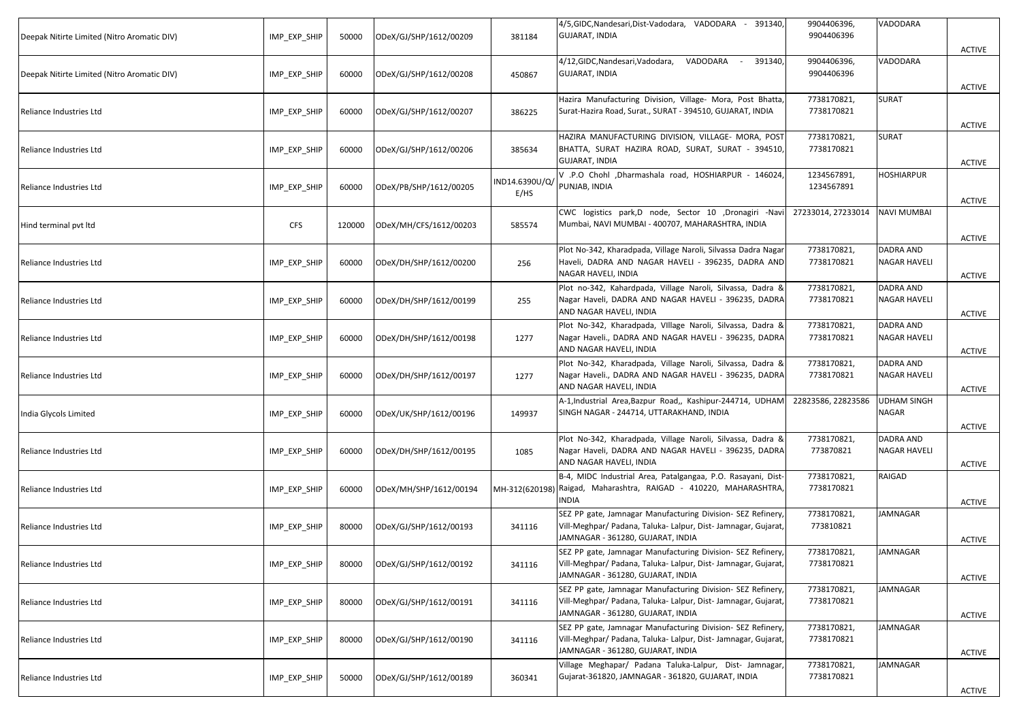| Deepak Nitirte Limited (Nitro Aromatic DIV) | IMP_EXP_SHIP | 50000  | ODeX/GJ/SHP/1612/00209 | 381184                 | 4/5,GIDC, Nandesari, Dist-Vadodara, VADODARA - 391340,<br><b>GUJARAT, INDIA</b>                                                                                    | 9904406396,<br>9904406396 | VADODARA                         | <b>ACTIVE</b> |
|---------------------------------------------|--------------|--------|------------------------|------------------------|--------------------------------------------------------------------------------------------------------------------------------------------------------------------|---------------------------|----------------------------------|---------------|
| Deepak Nitirte Limited (Nitro Aromatic DIV) | IMP_EXP_SHIP | 60000  | ODeX/GJ/SHP/1612/00208 | 450867                 | VADODARA<br>4/12,GIDC, Nandesari, Vadodara,<br>391340,<br>$\sim$ $\sim$<br><b>GUJARAT, INDIA</b>                                                                   | 9904406396,<br>9904406396 | VADODARA                         | <b>ACTIVE</b> |
| Reliance Industries Ltd                     | IMP_EXP_SHIP | 60000  | ODeX/GJ/SHP/1612/00207 | 386225                 | Hazira Manufacturing Division, Village- Mora, Post Bhatta,<br>Surat-Hazira Road, Surat., SURAT - 394510, GUJARAT, INDIA                                            | 7738170821,<br>7738170821 | SURAT                            | ACTIVE        |
| Reliance Industries Ltd                     | IMP_EXP_SHIP | 60000  | ODeX/GJ/SHP/1612/00206 | 385634                 | HAZIRA MANUFACTURING DIVISION, VILLAGE- MORA, POST<br>BHATTA, SURAT HAZIRA ROAD, SURAT, SURAT - 394510,<br><b>GUJARAT, INDIA</b>                                   | 7738170821,<br>7738170821 | <b>SURAT</b>                     | <b>ACTIVE</b> |
| Reliance Industries Ltd                     | IMP_EXP_SHIP | 60000  | ODeX/PB/SHP/1612/00205 | IND14.6390U/Q/<br>E/HS | V .P.O Chohl ,Dharmashala road, HOSHIARPUR - 146024,<br>PUNJAB, INDIA                                                                                              | 1234567891,<br>1234567891 | HOSHIARPUR                       | ACTIVE        |
| Hind terminal pvt ltd                       | <b>CFS</b>   | 120000 | ODeX/MH/CFS/1612/00203 | 585574                 | CWC logistics park,D node, Sector 10 ,Dronagiri -Nav<br>Mumbai, NAVI MUMBAI - 400707, MAHARASHTRA, INDIA                                                           | 27233014, 27233014        | <b>NAVI MUMBAI</b>               | <b>ACTIVE</b> |
| Reliance Industries Ltd                     | IMP_EXP_SHIP | 60000  | ODeX/DH/SHP/1612/00200 | 256                    | Plot No-342, Kharadpada, Village Naroli, Silvassa Dadra Nagar<br>Haveli, DADRA AND NAGAR HAVELI - 396235, DADRA AND<br>NAGAR HAVELI, INDIA                         | 7738170821,<br>7738170821 | DADRA AND<br>NAGAR HAVELI        | ACTIVE        |
| Reliance Industries Ltd                     | IMP_EXP_SHIP | 60000  | ODeX/DH/SHP/1612/00199 | 255                    | Plot no-342, Kahardpada, Village Naroli, Silvassa, Dadra &<br>Nagar Haveli, DADRA AND NAGAR HAVELI - 396235, DADRA<br>AND NAGAR HAVELI, INDIA                      | 7738170821,<br>7738170821 | DADRA AND<br>NAGAR HAVELI        | <b>ACTIVE</b> |
| Reliance Industries Ltd                     | IMP_EXP_SHIP | 60000  | ODeX/DH/SHP/1612/00198 | 1277                   | Plot No-342, Kharadpada, VIllage Naroli, Silvassa, Dadra &<br>Nagar Haveli., DADRA AND NAGAR HAVELI - 396235, DADRA<br>AND NAGAR HAVELI, INDIA                     | 7738170821,<br>7738170821 | DADRA AND<br><b>NAGAR HAVELI</b> | <b>ACTIVE</b> |
| Reliance Industries Ltd                     | IMP_EXP_SHIP | 60000  | ODeX/DH/SHP/1612/00197 | 1277                   | Plot No-342, Kharadpada, Village Naroli, Silvassa, Dadra &<br>Nagar Haveli., DADRA AND NAGAR HAVELI - 396235, DADRA<br>AND NAGAR HAVELI, INDIA                     | 7738170821,<br>7738170821 | DADRA AND<br>NAGAR HAVELI        | ACTIVE        |
| India Glycols Limited                       | IMP_EXP_SHIP | 60000  | ODeX/UK/SHP/1612/00196 | 149937                 | A-1, Industrial Area, Bazpur Road,, Kashipur-244714, UDHAM<br>SINGH NAGAR - 244714, UTTARAKHAND, INDIA                                                             | 22823586, 22823586        | <b>UDHAM SINGH</b><br>NAGAR      | <b>ACTIVE</b> |
| Reliance Industries Ltd                     | IMP_EXP_SHIP | 60000  | ODeX/DH/SHP/1612/00195 | 1085                   | Plot No-342, Kharadpada, Village Naroli, Silvassa, Dadra &<br>Nagar Haveli, DADRA AND NAGAR HAVELI - 396235, DADRA<br>AND NAGAR HAVELI, INDIA                      | 7738170821,<br>773870821  | DADRA AND<br>NAGAR HAVELI        | <b>ACTIVE</b> |
| Reliance Industries Ltd                     | IMP_EXP_SHIP | 60000  | ODeX/MH/SHP/1612/00194 |                        | B-4, MIDC Industrial Area, Patalgangaa, P.O. Rasayani, Dist-<br>MH-312(620198) Raigad, Maharashtra, RAIGAD - 410220, MAHARASHTRA,<br>INDIA                         | 7738170821,<br>7738170821 | RAIGAD                           | <b>ACTIVE</b> |
| Reliance Industries Ltd                     | IMP_EXP_SHIP | 80000  | ODeX/GJ/SHP/1612/00193 | 341116                 | SEZ PP gate, Jamnagar Manufacturing Division- SEZ Refinery,<br>Vill-Meghpar/ Padana, Taluka- Lalpur, Dist- Jamnagar, Gujarat,<br>JAMNAGAR - 361280, GUJARAT, INDIA | 7738170821,<br>773810821  | JAMNAGAR                         | ACTIVE        |
| Reliance Industries Ltd                     | IMP_EXP_SHIP | 80000  | ODeX/GJ/SHP/1612/00192 | 341116                 | SEZ PP gate, Jamnagar Manufacturing Division- SEZ Refinery,<br>Vill-Meghpar/ Padana, Taluka- Lalpur, Dist- Jamnagar, Gujarat,<br>JAMNAGAR - 361280, GUJARAT, INDIA | 7738170821,<br>7738170821 | <b>JAMNAGAR</b>                  | <b>ACTIVE</b> |
| Reliance Industries Ltd                     | IMP_EXP_SHIP | 80000  | ODeX/GJ/SHP/1612/00191 | 341116                 | SEZ PP gate, Jamnagar Manufacturing Division- SEZ Refinery,<br>Vill-Meghpar/ Padana, Taluka- Lalpur, Dist- Jamnagar, Gujarat,<br>JAMNAGAR - 361280, GUJARAT, INDIA | 7738170821,<br>7738170821 | JAMNAGAR                         | ACTIVE        |
| Reliance Industries Ltd                     | IMP_EXP_SHIP | 80000  | ODeX/GJ/SHP/1612/00190 | 341116                 | SEZ PP gate, Jamnagar Manufacturing Division- SEZ Refinery,<br>Vill-Meghpar/ Padana, Taluka- Lalpur, Dist- Jamnagar, Gujarat,<br>JAMNAGAR - 361280, GUJARAT, INDIA | 7738170821,<br>7738170821 | JAMNAGAR                         | ACTIVE        |
| Reliance Industries Ltd                     | IMP_EXP_SHIP | 50000  | ODeX/GJ/SHP/1612/00189 | 360341                 | Village Meghapar/ Padana Taluka-Lalpur, Dist- Jamnagar,<br>Gujarat-361820, JAMNAGAR - 361820, GUJARAT, INDIA                                                       | 7738170821,<br>7738170821 | JAMNAGAR                         | ACTIVE        |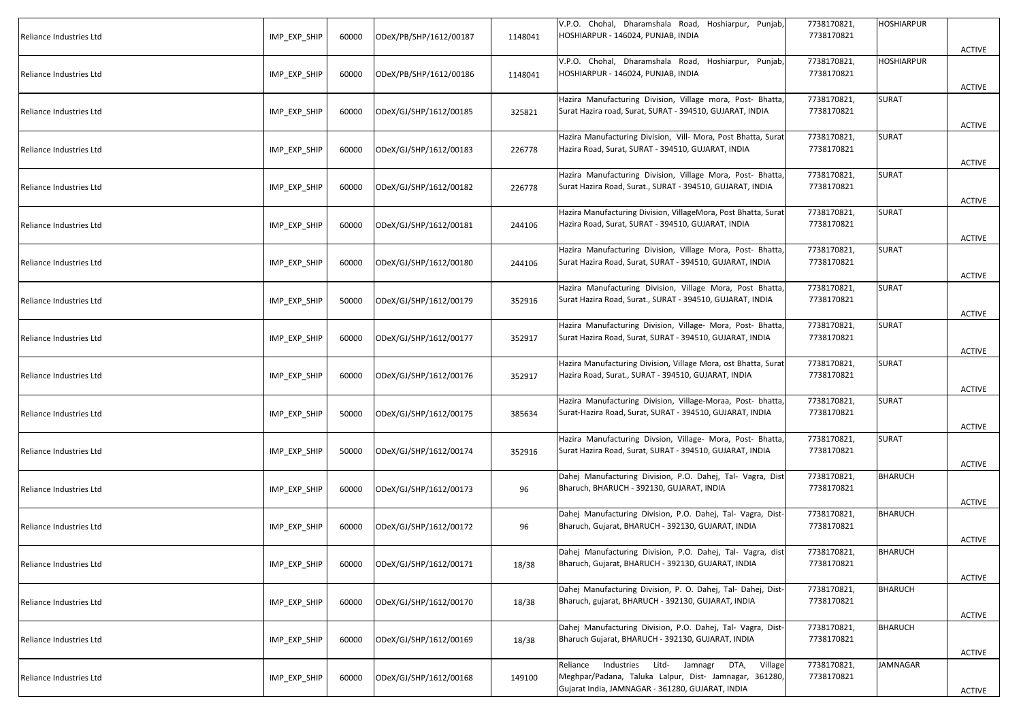| Reliance Industries Ltd | IMP_EXP_SHIP | 60000 | ODeX/PB/SHP/1612/00187 | 1148041 | V.P.O. Chohal, Dharamshala Road, Hoshiarpur, Punjab,<br>HOSHIARPUR - 146024, PUNJAB, INDIA                                                                         | 7738170821,<br>7738170821 | HOSHIARPUR   | <b>ACTIVE</b> |
|-------------------------|--------------|-------|------------------------|---------|--------------------------------------------------------------------------------------------------------------------------------------------------------------------|---------------------------|--------------|---------------|
| Reliance Industries Ltd | IMP_EXP_SHIP | 60000 | ODeX/PB/SHP/1612/00186 | 1148041 | V.P.O. Chohal, Dharamshala Road, Hoshiarpur, Punjab,<br>HOSHIARPUR - 146024, PUNJAB, INDIA                                                                         | 7738170821,<br>7738170821 | HOSHIARPUR   | <b>ACTIVE</b> |
| Reliance Industries Ltd | IMP_EXP_SHIP | 60000 | ODeX/GJ/SHP/1612/00185 | 325821  | Hazira Manufacturing Division, Village mora, Post- Bhatta,<br>Surat Hazira road, Surat, SURAT - 394510, GUJARAT, INDIA                                             | 7738170821,<br>7738170821 | SURAT        | <b>ACTIVE</b> |
| Reliance Industries Ltd | IMP_EXP_SHIP | 60000 | ODeX/GJ/SHP/1612/00183 | 226778  | Hazira Manufacturing Division, Vill- Mora, Post Bhatta, Surat<br>Hazira Road, Surat, SURAT - 394510, GUJARAT, INDIA                                                | 7738170821,<br>7738170821 | SURAT        | ACTIVE        |
| Reliance Industries Ltd | IMP_EXP_SHIP | 60000 | ODeX/GJ/SHP/1612/00182 | 226778  | Hazira Manufacturing Division, Village Mora, Post- Bhatta,<br>Surat Hazira Road, Surat., SURAT - 394510, GUJARAT, INDIA                                            | 7738170821,<br>7738170821 | SURAT        | <b>ACTIVE</b> |
| Reliance Industries Ltd | IMP_EXP_SHIP | 60000 | ODeX/GJ/SHP/1612/00181 | 244106  | Hazira Manufacturing Division, VillageMora, Post Bhatta, Surat<br>Hazira Road, Surat, SURAT - 394510, GUJARAT, INDIA                                               | 7738170821,<br>7738170821 | <b>SURAT</b> | <b>ACTIVE</b> |
| Reliance Industries Ltd | IMP_EXP_SHIP | 60000 | ODeX/GJ/SHP/1612/00180 | 244106  | Hazira Manufacturing Division, Village Mora, Post- Bhatta,<br>Surat Hazira Road, Surat, SURAT - 394510, GUJARAT, INDIA                                             | 7738170821,<br>7738170821 | <b>SURAT</b> | ACTIVE        |
| Reliance Industries Ltd | IMP_EXP_SHIP | 50000 | ODeX/GJ/SHP/1612/00179 | 352916  | Hazira Manufacturing Division, Village Mora, Post Bhatta,<br>Surat Hazira Road, Surat., SURAT - 394510, GUJARAT, INDIA                                             | 7738170821,<br>7738170821 | SURAT        | ACTIVE        |
| Reliance Industries Ltd | IMP_EXP_SHIP | 60000 | ODeX/GJ/SHP/1612/00177 | 352917  | Hazira Manufacturing Division, Village- Mora, Post- Bhatta,<br>Surat Hazira Road, Surat, SURAT - 394510, GUJARAT, INDIA                                            | 7738170821,<br>7738170821 | SURAT        | <b>ACTIVE</b> |
| Reliance Industries Ltd | IMP_EXP_SHIP | 60000 | ODeX/GJ/SHP/1612/00176 | 352917  | Hazira Manufacturing Division, Village Mora, ost Bhatta, Surat<br>Hazira Road, Surat., SURAT - 394510, GUJARAT, INDIA                                              | 7738170821,<br>7738170821 | SURAT        | ACTIVE        |
| Reliance Industries Ltd | IMP_EXP_SHIP | 50000 | ODeX/GJ/SHP/1612/00175 | 385634  | Hazira Manufacturing Division, Village-Moraa, Post- bhatta,<br>Surat-Hazira Road, Surat, SURAT - 394510, GUJARAT, INDIA                                            | 7738170821,<br>7738170821 | <b>SURAT</b> | <b>ACTIVE</b> |
| Reliance Industries Ltd | IMP_EXP_SHIP | 50000 | ODeX/GJ/SHP/1612/00174 | 352916  | Hazira Manufacturing Divsion, Village- Mora, Post- Bhatta,<br>Surat Hazira Road, Surat, SURAT - 394510, GUJARAT, INDIA                                             | 7738170821,<br>7738170821 | <b>SURAT</b> | <b>ACTIVE</b> |
| Reliance Industries Ltd | IMP EXP SHIP | 60000 | ODeX/GJ/SHP/1612/00173 | 96      | Dahej Manufacturing Division, P.O. Dahej, Tal- Vagra, Dist<br>Bharuch, BHARUCH - 392130, GUJARAT, INDIA                                                            | 7738170821,<br>7738170821 | BHARUCH      | <b>ACTIVE</b> |
| Reliance Industries Ltd | IMP_EXP_SHIP | 60000 | ODeX/GJ/SHP/1612/00172 | 96      | Dahej Manufacturing Division, P.O. Dahej, Tal- Vagra, Dist-<br>Bharuch, Gujarat, BHARUCH - 392130, GUJARAT, INDIA                                                  | 7738170821,<br>7738170821 | BHARUCH      | ACTIVE        |
| Reliance Industries Ltd | IMP_EXP_SHIP | 60000 | ODeX/GJ/SHP/1612/00171 | 18/38   | Dahej Manufacturing Division, P.O. Dahej, Tal- Vagra, dist<br>Bharuch, Gujarat, BHARUCH - 392130, GUJARAT, INDIA                                                   | 7738170821,<br>7738170821 | BHARUCH      | <b>ACTIVE</b> |
| Reliance Industries Ltd | IMP_EXP_SHIP | 60000 | ODeX/GJ/SHP/1612/00170 | 18/38   | Dahej Manufacturing Division, P. O. Dahej, Tal- Dahej, Dist-<br>Bharuch, gujarat, BHARUCH - 392130, GUJARAT, INDIA                                                 | 7738170821,<br>7738170821 | BHARUCH      | <b>ACTIVE</b> |
| Reliance Industries Ltd | IMP EXP SHIP | 60000 | ODeX/GJ/SHP/1612/00169 | 18/38   | Dahej Manufacturing Division, P.O. Dahej, Tal- Vagra, Dist-<br>Bharuch Gujarat, BHARUCH - 392130, GUJARAT, INDIA                                                   | 7738170821,<br>7738170821 | BHARUCH      | <b>ACTIVE</b> |
| Reliance Industries Ltd | IMP_EXP_SHIP | 60000 | ODeX/GJ/SHP/1612/00168 | 149100  | Industries Litd- Jamnagr DTA,<br>Village<br>Reliance<br>Meghpar/Padana, Taluka Lalpur, Dist- Jamnagar, 361280,<br>Gujarat India, JAMNAGAR - 361280, GUJARAT, INDIA | 7738170821,<br>7738170821 | JAMNAGAR     | <b>ACTIVE</b> |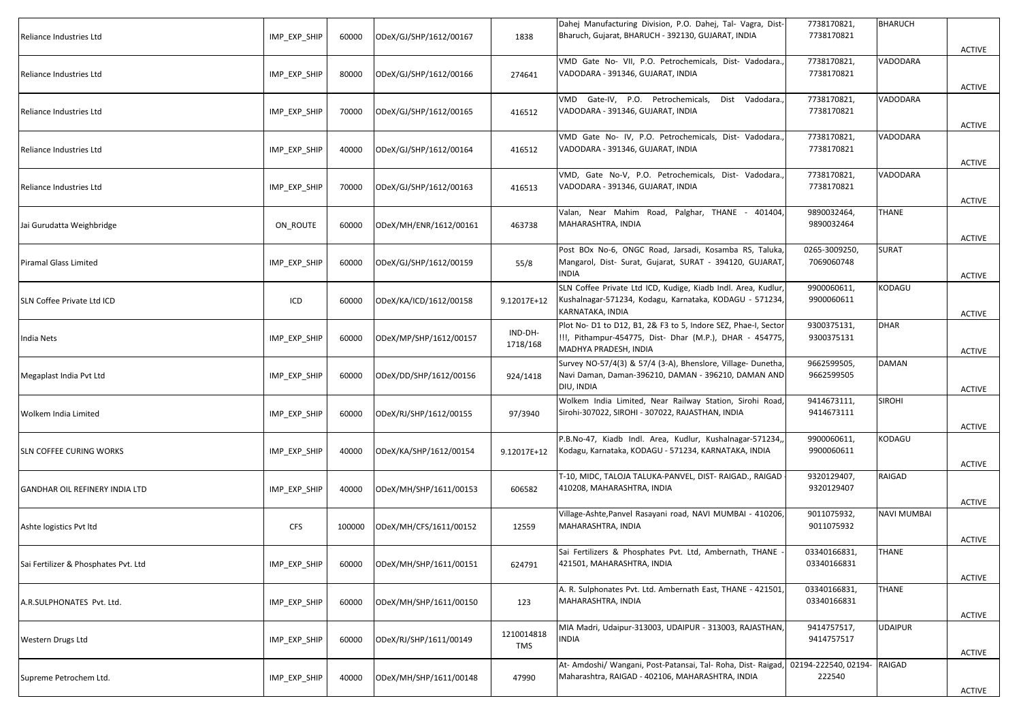| Reliance Industries Ltd              | IMP EXP SHIP | 60000  | ODeX/GJ/SHP/1612/00167 | 1838                | Dahej Manufacturing Division, P.O. Dahej, Tal- Vagra, Dist-<br>Bharuch, Gujarat, BHARUCH - 392130, GUJARAT, INDIA                                   | 7738170821,<br>7738170821      | BHARUCH        | <b>ACTIVE</b> |
|--------------------------------------|--------------|--------|------------------------|---------------------|-----------------------------------------------------------------------------------------------------------------------------------------------------|--------------------------------|----------------|---------------|
| Reliance Industries Ltd              | IMP_EXP_SHIP | 80000  | ODeX/GJ/SHP/1612/00166 | 274641              | VMD Gate No- VII, P.O. Petrochemicals, Dist- Vadodara.,<br>VADODARA - 391346, GUJARAT, INDIA                                                        | 7738170821,<br>7738170821      | VADODARA       | <b>ACTIVE</b> |
| Reliance Industries Ltd              | IMP_EXP_SHIP | 70000  | ODeX/GJ/SHP/1612/00165 | 416512              | VMD Gate-IV, P.O. Petrochemicals,<br>Dist Vadodara.<br>VADODARA - 391346, GUJARAT, INDIA                                                            | 7738170821,<br>7738170821      | VADODARA       | <b>ACTIVE</b> |
| Reliance Industries Ltd              | IMP EXP SHIP | 40000  | ODeX/GJ/SHP/1612/00164 | 416512              | VMD Gate No- IV, P.O. Petrochemicals, Dist- Vadodara.<br>VADODARA - 391346, GUJARAT, INDIA                                                          | 7738170821,<br>7738170821      | VADODARA       | <b>ACTIVE</b> |
| Reliance Industries Ltd              | IMP_EXP_SHIP | 70000  | ODeX/GJ/SHP/1612/00163 | 416513              | VMD, Gate No-V, P.O. Petrochemicals, Dist- Vadodara.,<br>VADODARA - 391346, GUJARAT, INDIA                                                          | 7738170821,<br>7738170821      | VADODARA       | <b>ACTIVE</b> |
| Jai Gurudatta Weighbridge            | ON ROUTE     | 60000  | ODeX/MH/ENR/1612/00161 | 463738              | Valan, Near Mahim Road, Palghar, THANE -<br>401404<br>MAHARASHTRA, INDIA                                                                            | 9890032464,<br>9890032464      | THANE          | <b>ACTIVE</b> |
| Piramal Glass Limited                | IMP_EXP_SHIP | 60000  | ODeX/GJ/SHP/1612/00159 | 55/8                | Post BOx No-6, ONGC Road, Jarsadi, Kosamba RS, Taluka,<br>Mangarol, Dist- Surat, Gujarat, SURAT - 394120, GUJARAT,<br>NDIA                          | 0265-3009250,<br>7069060748    | <b>SURAT</b>   | <b>ACTIVE</b> |
| SLN Coffee Private Ltd ICD           | ICD          | 60000  | ODeX/KA/ICD/1612/00158 | 9.12017E+12         | SLN Coffee Private Ltd ICD, Kudige, Kiadb Indl. Area, Kudlur,<br>Kushalnagar-571234, Kodagu, Karnataka, KODAGU - 571234,<br>KARNATAKA, INDIA        | 9900060611,<br>9900060611      | KODAGU         | ACTIVE        |
| India Nets                           | IMP_EXP_SHIP | 60000  | ODeX/MP/SHP/1612/00157 | IND-DH-<br>1718/168 | Plot No- D1 to D12, B1, 2& F3 to 5, Indore SEZ, Phae-I, Sector<br>!!!, Pithampur-454775, Dist- Dhar (M.P.), DHAR - 454775,<br>MADHYA PRADESH, INDIA | 9300375131,<br>9300375131      | <b>DHAR</b>    | <b>ACTIVE</b> |
| Megaplast India Pvt Ltd              | IMP_EXP_SHIP | 60000  | ODeX/DD/SHP/1612/00156 | 924/1418            | Survey NO-57/4(3) & 57/4 (3-A), Bhenslore, Village- Dunetha,<br>Navi Daman, Daman-396210, DAMAN - 396210, DAMAN AND<br>DIU, INDIA                   | 9662599505,<br>9662599505      | DAMAN          | ACTIVE        |
| Wolkem India Limited                 | IMP_EXP_SHIP | 60000  | ODeX/RJ/SHP/1612/00155 | 97/3940             | Wolkem India Limited, Near Railway Station, Sirohi Road,<br>Sirohi-307022, SIROHI - 307022, RAJASTHAN, INDIA                                        | 9414673111,<br>9414673111      | <b>SIROHI</b>  | <b>ACTIVE</b> |
| <b>SLN COFFEE CURING WORKS</b>       | IMP_EXP_SHIP | 40000  | ODeX/KA/SHP/1612/00154 | 9.12017E+12         | P.B.No-47, Kiadb Indl. Area, Kudlur, Kushalnagar-571234,,<br>Kodagu, Karnataka, KODAGU - 571234, KARNATAKA, INDIA                                   | 9900060611,<br>9900060611      | KODAGU         | <b>ACTIVE</b> |
| GANDHAR OIL REFINERY INDIA LTD       | IMP_EXP_SHIP | 40000  | ODeX/MH/SHP/1611/00153 | 606582              | T-10, MIDC, TALOJA TALUKA-PANVEL, DIST- RAIGAD., RAIGAD<br>410208, MAHARASHTRA, INDIA                                                               | 9320129407,<br>9320129407      | RAIGAD         | ACTIVE        |
| Ashte logistics Pvt ltd              | <b>CFS</b>   | 100000 | ODeX/MH/CFS/1611/00152 | 12559               | Village-Ashte, Panvel Rasayani road, NAVI MUMBAI - 410206,<br>MAHARASHTRA, INDIA                                                                    | 9011075932,<br>9011075932      | NAVI MUMBAI    | ACTIVE        |
| Sai Fertilizer & Phosphates Pvt. Ltd | IMP_EXP_SHIP | 60000  | ODeX/MH/SHP/1611/00151 | 624791              | Sai Fertilizers & Phosphates Pvt. Ltd, Ambernath, THANE<br>421501, MAHARASHTRA, INDIA                                                               | 03340166831,<br>03340166831    | THANE          | ACTIVE        |
| A.R.SULPHONATES Pvt. Ltd.            | IMP_EXP_SHIP | 60000  | ODeX/MH/SHP/1611/00150 | 123                 | A. R. Sulphonates Pvt. Ltd. Ambernath East, THANE - 421501,<br>MAHARASHTRA, INDIA                                                                   | 03340166831,<br>03340166831    | THANE          | <b>ACTIVE</b> |
| Western Drugs Ltd                    | IMP_EXP_SHIP | 60000  | ODeX/RJ/SHP/1611/00149 | 1210014818<br>TMS   | MIA Madri, Udaipur-313003, UDAIPUR - 313003, RAJASTHAN,<br><b>NDIA</b>                                                                              | 9414757517,<br>9414757517      | <b>UDAIPUR</b> | <b>ACTIVE</b> |
| Supreme Petrochem Ltd.               | IMP_EXP_SHIP | 40000  | ODeX/MH/SHP/1611/00148 | 47990               | At- Amdoshi/ Wangani, Post-Patansai, Tal- Roha, Dist- Raigad,<br>Maharashtra, RAIGAD - 402106, MAHARASHTRA, INDIA                                   | 02194-222540, 02194-<br>222540 | RAIGAD         | ACTIVE        |
|                                      |              |        |                        |                     |                                                                                                                                                     |                                |                |               |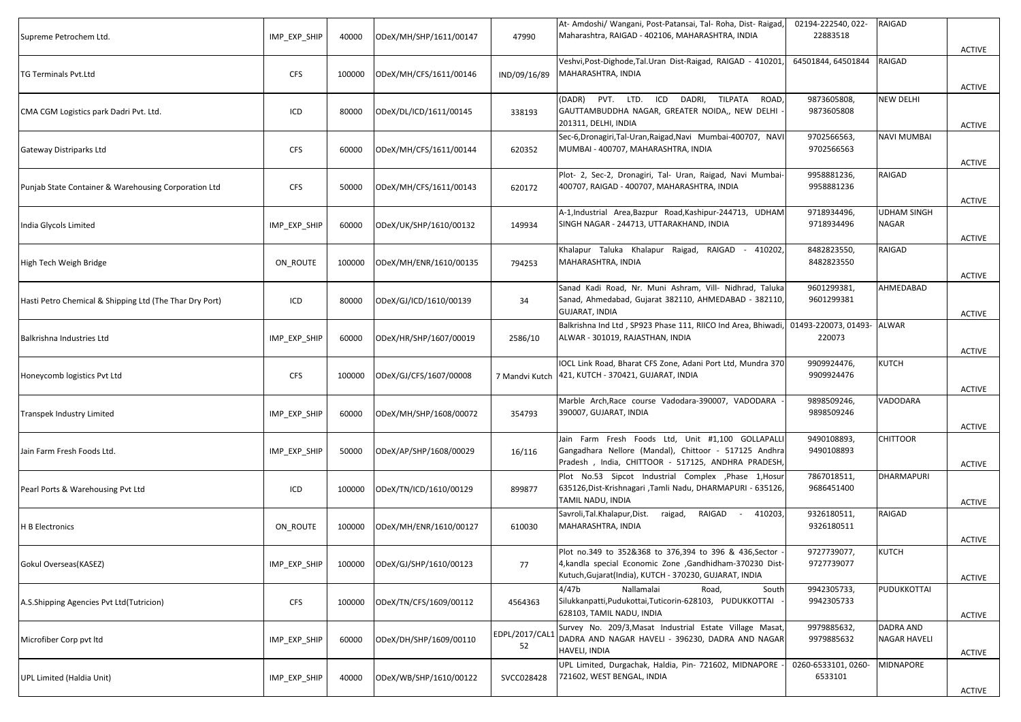| Supreme Petrochem Ltd.                                  | IMP EXP SHIP | 40000  | ODeX/MH/SHP/1611/00147        | 47990                | At- Amdoshi/ Wangani, Post-Patansai, Tal- Roha, Dist- Raigad,<br>Maharashtra, RAIGAD - 402106, MAHARASHTRA, INDIA                                                              | 02194-222540, 022-<br>22883518 | <b>RAIGAD</b>                      | <b>ACTIVE</b> |
|---------------------------------------------------------|--------------|--------|-------------------------------|----------------------|--------------------------------------------------------------------------------------------------------------------------------------------------------------------------------|--------------------------------|------------------------------------|---------------|
| TG Terminals Pvt.Ltd                                    | <b>CFS</b>   | 100000 | ODeX/MH/CFS/1611/00146        | IND/09/16/89         | Veshvi, Post-Dighode, Tal. Uran Dist-Raigad, RAIGAD - 410201<br>MAHARASHTRA, INDIA                                                                                             | 64501844, 64501844             | RAIGAD                             | <b>ACTIVE</b> |
| CMA CGM Logistics park Dadri Pvt. Ltd.                  | ICD          | 80000  | ODeX/DL/ICD/1611/00145        | 338193               | (DADR) PVT. LTD. ICD DADRI, TILPATA<br>ROAD,<br>GAUTTAMBUDDHA NAGAR, GREATER NOIDA,, NEW DELHI<br>201311, DELHI, INDIA                                                         | 9873605808,<br>9873605808      | <b>NEW DELHI</b>                   | ACTIVE        |
| Gateway Distriparks Ltd                                 | <b>CFS</b>   | 60000  | ODeX/MH/CFS/1611/00144        | 620352               | Sec-6, Dronagiri, Tal-Uran, Raigad, Navi Mumbai-400707, NAVI<br>MUMBAI - 400707, MAHARASHTRA, INDIA                                                                            | 9702566563,<br>9702566563      | <b>NAVI MUMBAI</b>                 | ACTIVE        |
| Punjab State Container & Warehousing Corporation Ltd    | <b>CFS</b>   | 50000  | ODeX/MH/CFS/1611/00143        | 620172               | Plot- 2, Sec-2, Dronagiri, Tal- Uran, Raigad, Navi Mumbai-<br>400707, RAIGAD - 400707, MAHARASHTRA, INDIA                                                                      | 9958881236,<br>9958881236      | RAIGAD                             | <b>ACTIVE</b> |
| India Glycols Limited                                   | IMP_EXP_SHIP | 60000  | ODeX/UK/SHP/1610/00132        | 149934               | A-1, Industrial Area, Bazpur Road, Kashipur-244713, UDHAM<br>SINGH NAGAR - 244713, UTTARAKHAND, INDIA                                                                          | 9718934496,<br>9718934496      | <b>UDHAM SINGH</b><br><b>NAGAR</b> | <b>ACTIVE</b> |
| High Tech Weigh Bridge                                  | ON_ROUTE     | 100000 | ODeX/MH/ENR/1610/00135        | 794253               | Khalapur Taluka Khalapur Raigad, RAIGAD -<br>410202,<br>MAHARASHTRA, INDIA                                                                                                     | 8482823550,<br>8482823550      | RAIGAD                             | <b>ACTIVE</b> |
| Hasti Petro Chemical & Shipping Ltd (The Thar Dry Port) | ICD          | 80000  | ODeX/GJ/ICD/1610/00139        | 34                   | Sanad Kadi Road, Nr. Muni Ashram, Vill- Nidhrad, Taluka<br>Sanad, Ahmedabad, Gujarat 382110, AHMEDABAD - 382110,<br><b>GUJARAT, INDIA</b>                                      | 9601299381,<br>9601299381      | AHMEDABAD                          | ACTIVE        |
| Balkrishna Industries Ltd                               | IMP_EXP_SHIP | 60000  | ODeX/HR/SHP/1607/00019        | 2586/10              | Balkrishna Ind Ltd, SP923 Phase 111, RIICO Ind Area, Bhiwadi,<br>ALWAR - 301019, RAJASTHAN, INDIA                                                                              | 01493-220073, 01493-<br>220073 | ALWAR                              | <b>ACTIVE</b> |
| Honeycomb logistics Pvt Ltd                             | <b>CFS</b>   | 100000 | ODeX/GJ/CFS/1607/00008        | 7 Mandvi Kutch       | IOCL Link Road, Bharat CFS Zone, Adani Port Ltd, Mundra 370<br>421, KUTCH - 370421, GUJARAT, INDIA                                                                             | 9909924476,<br>9909924476      | <b>KUTCH</b>                       | <b>ACTIVE</b> |
| Transpek Industry Limited                               | IMP_EXP_SHIP | 60000  | ODeX/MH/SHP/1608/00072        | 354793               | Marble Arch, Race course Vadodara-390007, VADODARA<br>390007, GUJARAT, INDIA                                                                                                   | 9898509246,<br>9898509246      | VADODARA                           | ACTIVE        |
| Jain Farm Fresh Foods Ltd.                              | IMP_EXP_SHIP | 50000  | ODeX/AP/SHP/1608/00029        | 16/116               | Jain Farm Fresh Foods Ltd, Unit #1,100 GOLLAPALLI<br>Gangadhara Nellore (Mandal), Chittoor - 517125 Andhra<br>Pradesh, India, CHITTOOR - 517125, ANDHRA PRADESH,               | 9490108893,<br>9490108893      | <b>CHITTOOR</b>                    | <b>ACTIVE</b> |
| Pearl Ports & Warehousing Pvt Ltd                       | ICD          | 100000 | ODeX/TN/ICD/1610/00129        | 899877               | Plot No.53 Sipcot Industrial Complex , Phase 1, Hosur<br>635126,Dist-Krishnagari ,Tamli Nadu, DHARMAPURI - 635126,<br>TAMIL NADU, INDIA                                        | 7867018511,<br>9686451400      | <b>DHARMAPURI</b>                  | ACTIVE        |
| <b>H B Electronics</b>                                  | ON_ROUTE     | 100000 | ODeX/MH/ENR/1610/00127        | 610030               | Savroli, Tal. Khalapur, Dist.<br>raigad, RAIGAD<br>410203,<br>$\sim$<br>MAHARASHTRA, INDIA                                                                                     | 9326180511,<br>9326180511      | RAIGAD                             | ACTIVE        |
| Gokul Overseas(KASEZ)                                   | IMP_EXP_SHIP |        | 100000 ODeX/GJ/SHP/1610/00123 | 77                   | Plot no.349 to 352&368 to 376,394 to 396 & 436, Sector<br>4, kandla special Economic Zone , Gandhidham-370230 Dist-<br>Kutuch, Gujarat (India), KUTCH - 370230, GUJARAT, INDIA | 9727739077,<br>9727739077      | <b>KUTCH</b>                       | ACTIVE        |
| A.S.Shipping Agencies Pvt Ltd(Tutricion)                | <b>CFS</b>   | 100000 | ODeX/TN/CFS/1609/00112        | 4564363              | 4/47b<br>Nallamalai<br>Road,<br>South<br>Silukkanpatti, Pudukottai, Tuticorin-628103, PUDUKKOTTAI<br>628103, TAMIL NADU, INDIA                                                 | 9942305733,<br>9942305733      | PUDUKKOTTAI                        | <b>ACTIVE</b> |
| Microfiber Corp pvt ltd                                 | IMP_EXP_SHIP | 60000  | ODeX/DH/SHP/1609/00110        | EDPL/2017/CAL1<br>52 | Survey No. 209/3, Masat Industrial Estate Village Masat,<br>DADRA AND NAGAR HAVELI - 396230, DADRA AND NAGAR<br>HAVELI, INDIA                                                  | 9979885632,<br>9979885632      | DADRA AND<br><b>NAGAR HAVELI</b>   | <b>ACTIVE</b> |
| <b>UPL Limited (Haldia Unit)</b>                        | IMP_EXP_SHIP | 40000  | ODeX/WB/SHP/1610/00122        | SVCC028428           | UPL Limited, Durgachak, Haldia, Pin- 721602, MIDNAPORE<br>721602, WEST BENGAL, INDIA                                                                                           | 0260-6533101, 0260-<br>6533101 | MIDNAPORE                          | ACTIVE        |
|                                                         |              |        |                               |                      |                                                                                                                                                                                |                                |                                    |               |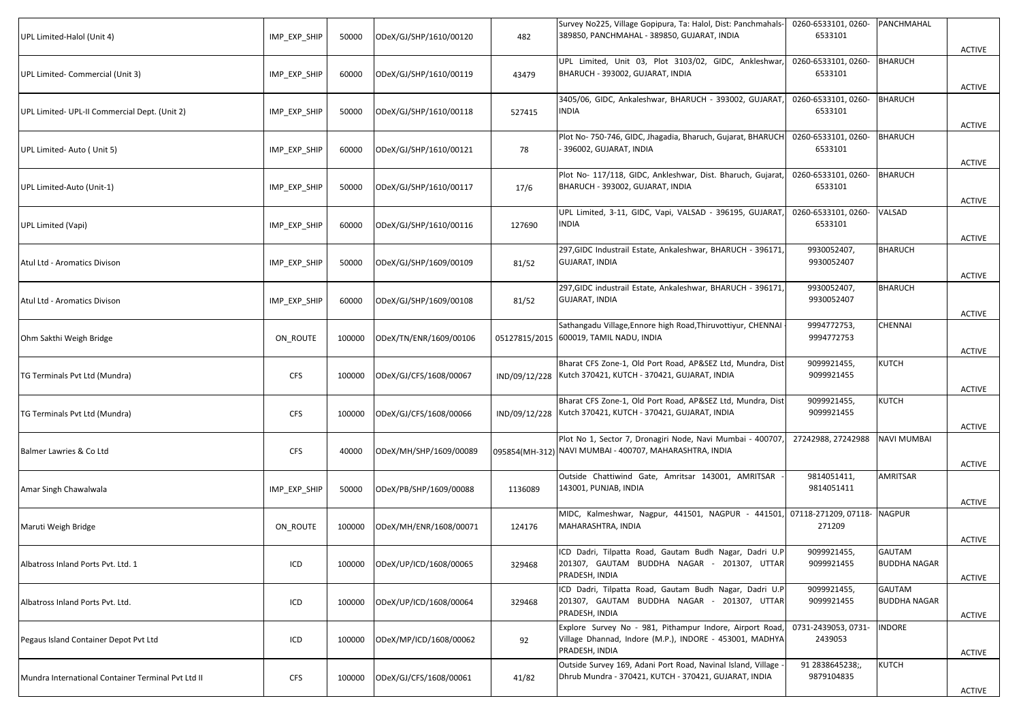| UPL Limited-Halol (Unit 4)                         | IMP_EXP_SHIP | 50000  | ODeX/GJ/SHP/1610/00120 | 482           | Survey No225, Village Gopipura, Ta: Halol, Dist: Panchmahals-<br>389850, PANCHMAHAL - 389850, GUJARAT, INDIA                         | 0260-6533101, 0260-<br>6533101 | PANCHMAHAL                    | ACTIVE        |
|----------------------------------------------------|--------------|--------|------------------------|---------------|--------------------------------------------------------------------------------------------------------------------------------------|--------------------------------|-------------------------------|---------------|
| UPL Limited- Commercial (Unit 3)                   | IMP_EXP_SHIP | 60000  | ODeX/GJ/SHP/1610/00119 | 43479         | UPL Limited, Unit 03, Plot 3103/02, GIDC, Ankleshwar<br>BHARUCH - 393002, GUJARAT, INDIA                                             | 0260-6533101, 0260-<br>6533101 | <b>BHARUCH</b>                | ACTIVE        |
| UPL Limited- UPL-II Commercial Dept. (Unit 2)      | IMP_EXP_SHIP | 50000  | ODeX/GJ/SHP/1610/00118 | 527415        | 3405/06, GIDC, Ankaleshwar, BHARUCH - 393002, GUJARAT<br>INDIA                                                                       | 0260-6533101, 0260-<br>6533101 | <b>BHARUCH</b>                | <b>ACTIVE</b> |
| UPL Limited- Auto ( Unit 5)                        | IMP_EXP_SHIP | 60000  | ODeX/GJ/SHP/1610/00121 | 78            | Plot No- 750-746, GIDC, Jhagadia, Bharuch, Gujarat, BHARUCH<br>396002, GUJARAT, INDIA                                                | 0260-6533101, 0260-<br>6533101 | <b>BHARUCH</b>                | <b>ACTIVE</b> |
| UPL Limited-Auto (Unit-1)                          | IMP_EXP_SHIP | 50000  | ODeX/GJ/SHP/1610/00117 | 17/6          | Plot No- 117/118, GIDC, Ankleshwar, Dist. Bharuch, Gujarat,<br>BHARUCH - 393002, GUJARAT, INDIA                                      | 0260-6533101, 0260-<br>6533101 | <b>BHARUCH</b>                | <b>ACTIVE</b> |
| UPL Limited (Vapi)                                 | IMP_EXP_SHIP | 60000  | ODeX/GJ/SHP/1610/00116 | 127690        | UPL Limited, 3-11, GIDC, Vapi, VALSAD - 396195, GUJARAT<br><b>INDIA</b>                                                              | 0260-6533101, 0260-<br>6533101 | VALSAD                        | ACTIVE        |
| Atul Ltd - Aromatics Divison                       | IMP_EXP_SHIP | 50000  | ODeX/GJ/SHP/1609/00109 | 81/52         | 297, GIDC Industrail Estate, Ankaleshwar, BHARUCH - 396171<br>GUJARAT, INDIA                                                         | 9930052407,<br>9930052407      | <b>BHARUCH</b>                | <b>ACTIVE</b> |
| Atul Ltd - Aromatics Divison                       | IMP EXP SHIP | 60000  | ODeX/GJ/SHP/1609/00108 | 81/52         | 297, GIDC industrail Estate, Ankaleshwar, BHARUCH - 396171<br><b>GUJARAT, INDIA</b>                                                  | 9930052407,<br>9930052407      | <b>BHARUCH</b>                | ACTIVE        |
| Ohm Sakthi Weigh Bridge                            | ON_ROUTE     | 100000 | ODeX/TN/ENR/1609/00106 |               | Sathangadu Village, Ennore high Road, Thiruvottiyur, CHENNAI<br>05127815/2015 600019, TAMIL NADU, INDIA                              | 9994772753,<br>9994772753      | <b>CHENNAI</b>                | <b>ACTIVE</b> |
| TG Terminals Pvt Ltd (Mundra)                      | <b>CFS</b>   | 100000 | ODeX/GJ/CFS/1608/00067 | IND/09/12/228 | Bharat CFS Zone-1, Old Port Road, AP&SEZ Ltd, Mundra, Dist<br>Kutch 370421, KUTCH - 370421, GUJARAT, INDIA                           | 9099921455,<br>9099921455      | <b>KUTCH</b>                  | <b>ACTIVE</b> |
| TG Terminals Pvt Ltd (Mundra)                      | <b>CFS</b>   | 100000 | ODeX/GJ/CFS/1608/00066 | IND/09/12/228 | Bharat CFS Zone-1, Old Port Road, AP&SEZ Ltd, Mundra, Dist<br>Kutch 370421, KUTCH - 370421, GUJARAT, INDIA                           | 9099921455,<br>9099921455      | <b>KUTCH</b>                  | <b>ACTIVE</b> |
| Balmer Lawries & Co Ltd                            | <b>CFS</b>   | 40000  | ODeX/MH/SHP/1609/00089 |               | Plot No 1, Sector 7, Dronagiri Node, Navi Mumbai - 400707<br>095854(MH-312) NAVI MUMBAI - 400707, MAHARASHTRA, INDIA                 | 27242988, 27242988             | <b>NAVI MUMBAI</b>            | ACTIVE        |
| Amar Singh Chawalwala                              | IMP_EXP_SHIP | 50000  | ODeX/PB/SHP/1609/00088 | 1136089       | Outside Chattiwind Gate, Amritsar 143001, AMRITSAR<br>143001, PUNJAB, INDIA                                                          | 9814051411,<br>9814051411      | AMRITSAR                      | ACTIVE        |
| Maruti Weigh Bridge                                | ON ROUTE     | 100000 | ODeX/MH/ENR/1608/00071 | 124176        | MIDC, Kalmeshwar, Nagpur, 441501, NAGPUR - 441501,<br>MAHARASHTRA, INDIA                                                             | 07118-271209, 07118-<br>271209 | <b>NAGPUR</b>                 | <b>ACTIVE</b> |
| Albatross Inland Ports Pvt. Ltd. 1                 | ICD          | 100000 | ODeX/UP/ICD/1608/00065 | 329468        | ICD Dadri, Tilpatta Road, Gautam Budh Nagar, Dadri U.P<br>201307, GAUTAM BUDDHA NAGAR - 201307, UTTAR<br>PRADESH, INDIA              | 9099921455,<br>9099921455      | GAUTAM<br><b>BUDDHA NAGAR</b> |               |
| Albatross Inland Ports Pvt. Ltd.                   | ICD          | 100000 | ODeX/UP/ICD/1608/00064 | 329468        | ICD Dadri, Tilpatta Road, Gautam Budh Nagar, Dadri U.P<br>201307, GAUTAM BUDDHA NAGAR - 201307, UTTAR<br>PRADESH, INDIA              | 9099921455,<br>9099921455      | GAUTAM<br><b>BUDDHA NAGAR</b> | ACTIVE        |
| Pegaus Island Container Depot Pvt Ltd              | ICD          | 100000 | ODeX/MP/ICD/1608/00062 | 92            | Explore Survey No - 981, Pithampur Indore, Airport Road<br>Village Dhannad, Indore (M.P.), INDORE - 453001, MADHYA<br>PRADESH, INDIA | 0731-2439053, 0731-<br>2439053 | <b>INDORE</b>                 | <b>ACTIVE</b> |
| Mundra International Container Terminal Pvt Ltd II | <b>CFS</b>   | 100000 | ODeX/GJ/CFS/1608/00061 | 41/82         | Outside Survey 169, Adani Port Road, Navinal Island, Village<br>Dhrub Mundra - 370421, KUTCH - 370421, GUJARAT, INDIA                | 91 2838645238;,<br>9879104835  | <b>KUTCH</b>                  | ACTIVE        |
|                                                    |              |        |                        |               |                                                                                                                                      |                                |                               | <b>ACTIVE</b> |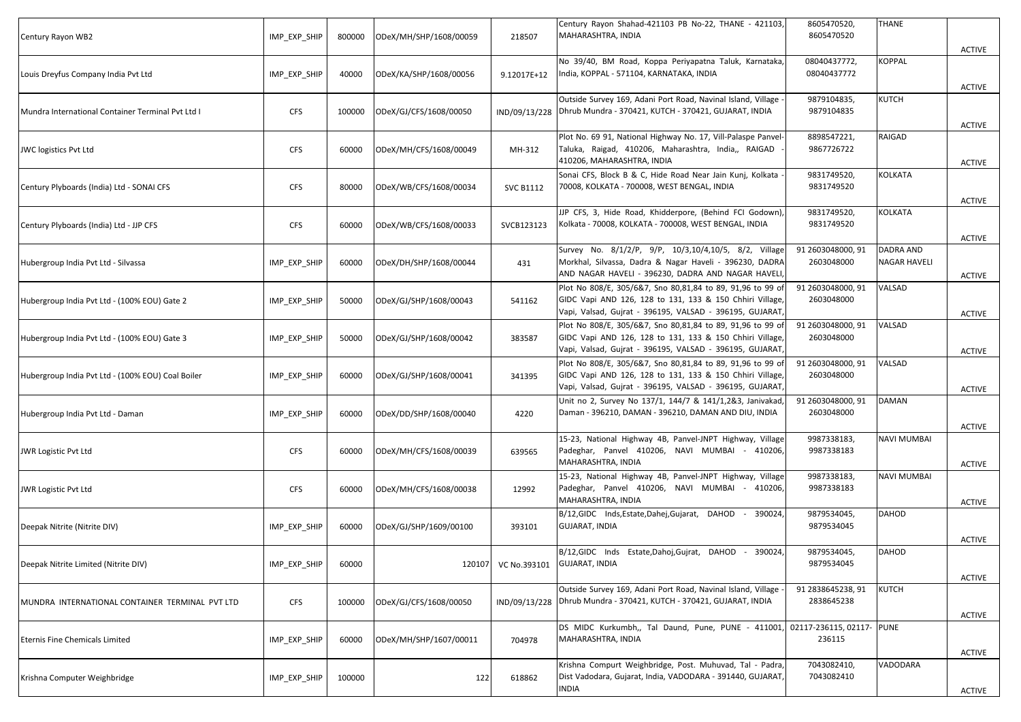| Century Rayon WB2                                 | IMP_EXP_SHIP | 800000 | ODeX/MH/SHP/1608/00059 | 218507                             | Century Rayon Shahad-421103 PB No-22, THANE - 421103,<br>MAHARASHTRA, INDIA                                                                                                        | 8605470520,<br>8605470520           | <b>THANE</b>              |                                |
|---------------------------------------------------|--------------|--------|------------------------|------------------------------------|------------------------------------------------------------------------------------------------------------------------------------------------------------------------------------|-------------------------------------|---------------------------|--------------------------------|
| Louis Dreyfus Company India Pvt Ltd               | IMP_EXP_SHIP | 40000  | ODeX/KA/SHP/1608/00056 | 9.12017E+12                        | No 39/40, BM Road, Koppa Periyapatna Taluk, Karnataka,<br>India, KOPPAL - 571104, KARNATAKA, INDIA                                                                                 | 08040437772,<br>08040437772         | <b>KOPPAL</b>             | <b>ACTIVE</b>                  |
| Mundra International Container Terminal Pvt Ltd I | <b>CFS</b>   | 100000 | ODeX/GJ/CFS/1608/00050 | IND/09/13/228                      | Outside Survey 169, Adani Port Road, Navinal Island, Village<br>Dhrub Mundra - 370421, KUTCH - 370421, GUJARAT, INDIA                                                              | 9879104835,<br>9879104835           | KUTCH                     | <b>ACTIVE</b><br><b>ACTIVE</b> |
| JWC logistics Pvt Ltd                             | <b>CFS</b>   | 60000  | ODeX/MH/CFS/1608/00049 | MH-312                             | Plot No. 69 91, National Highway No. 17, Vill-Palaspe Panvel-<br>Taluka, Raigad, 410206, Maharashtra, India,, RAIGAD<br>410206, MAHARASHTRA, INDIA                                 | 8898547221,<br>9867726722           | RAIGAD                    | <b>ACTIVE</b>                  |
| Century Plyboards (India) Ltd - SONAI CFS         | <b>CFS</b>   | 80000  | ODeX/WB/CFS/1608/00034 | <b>SVC B1112</b>                   | Sonai CFS, Block B & C, Hide Road Near Jain Kunj, Kolkata<br>70008, KOLKATA - 700008, WEST BENGAL, INDIA                                                                           | 9831749520,<br>9831749520           | KOLKATA                   | <b>ACTIVE</b>                  |
| Century Plyboards (India) Ltd - JJP CFS           | <b>CFS</b>   | 60000  | ODeX/WB/CFS/1608/00033 | SVCB123123                         | JJP CFS, 3, Hide Road, Khidderpore, (Behind FCI Godown),<br>Kolkata - 70008, KOLKATA - 700008, WEST BENGAL, INDIA                                                                  | 9831749520,<br>9831749520           | <b>KOLKATA</b>            | <b>ACTIVE</b>                  |
| Hubergroup India Pvt Ltd - Silvassa               | IMP_EXP_SHIP | 60000  | ODeX/DH/SHP/1608/00044 | 431                                | Survey No. 8/1/2/P, 9/P, 10/3,10/4,10/5, 8/2, Village<br>Morkhal, Silvassa, Dadra & Nagar Haveli - 396230, DADRA<br>AND NAGAR HAVELI - 396230, DADRA AND NAGAR HAVELI              | 91 2603048000, 91<br>2603048000     | DADRA AND<br>NAGAR HAVELI | ACTIVE                         |
| Hubergroup India Pvt Ltd - (100% EOU) Gate 2      | IMP_EXP_SHIP | 50000  | ODeX/GJ/SHP/1608/00043 | 541162                             | Plot No 808/E, 305/6&7, Sno 80,81,84 to 89, 91,96 to 99 of<br>GIDC Vapi AND 126, 128 to 131, 133 & 150 Chhiri Village,<br>Vapi, Valsad, Gujrat - 396195, VALSAD - 396195, GUJARAT, | 91 2603048000, 91<br>2603048000     | VALSAD                    | ACTIVE                         |
| Hubergroup India Pvt Ltd - (100% EOU) Gate 3      | IMP_EXP_SHIP | 50000  | ODeX/GJ/SHP/1608/00042 | 383587                             | Plot No 808/E, 305/6&7, Sno 80,81,84 to 89, 91,96 to 99 of<br>GIDC Vapi AND 126, 128 to 131, 133 & 150 Chhiri Village,<br>Vapi, Valsad, Gujrat - 396195, VALSAD - 396195, GUJARAT, | 91 2603048000, 91<br>2603048000     | VALSAD                    | <b>ACTIVE</b>                  |
| Hubergroup India Pvt Ltd - (100% EOU) Coal Boiler | IMP_EXP_SHIP | 60000  | ODeX/GJ/SHP/1608/00041 | 341395                             | Plot No 808/E, 305/6&7, Sno 80,81,84 to 89, 91,96 to 99 of<br>GIDC Vapi AND 126, 128 to 131, 133 & 150 Chhiri Village<br>Vapi, Valsad, Gujrat - 396195, VALSAD - 396195, GUJARAT,  | 91 2603048000, 91<br>2603048000     | VALSAD                    | <b>ACTIVE</b>                  |
| Hubergroup India Pvt Ltd - Daman                  | IMP_EXP_SHIP | 60000  | ODeX/DD/SHP/1608/00040 | 4220                               | Unit no 2, Survey No 137/1, 144/7 & 141/1,2&3, Janivakad,<br>Daman - 396210, DAMAN - 396210, DAMAN AND DIU, INDIA                                                                  | 91 2603048000, 91<br>2603048000     | <b>DAMAN</b>              | <b>ACTIVE</b>                  |
| JWR Logistic Pvt Ltd                              | <b>CFS</b>   | 60000  | ODeX/MH/CFS/1608/00039 | 639565                             | 15-23, National Highway 4B, Panvel-JNPT Highway, Village<br>Padeghar, Panvel 410206, NAVI MUMBAI - 410206,<br>MAHARASHTRA, INDIA                                                   | 9987338183,<br>9987338183           | <b>NAVI MUMBAI</b>        | <b>ACTIVE</b>                  |
| <b>JWR Logistic Pvt Ltd</b>                       | <b>CFS</b>   | 60000  | ODeX/MH/CFS/1608/00038 | 12992                              | 15-23, National Highway 4B, Panvel-JNPT Highway, Village<br>Padeghar, Panvel 410206, NAVI MUMBAI - 410206,<br>MAHARASHTRA, INDIA                                                   | 9987338183,<br>9987338183           | <b>NAVI MUMBAI</b>        | <b>ACTIVE</b>                  |
| Deepak Nitrite (Nitrite DIV)                      | IMP_EXP_SHIP | 60000  | ODeX/GJ/SHP/1609/00100 | 393101                             | B/12,GIDC Inds,Estate,Dahej,Gujarat, DAHOD - 390024<br><b>GUJARAT, INDIA</b>                                                                                                       | 9879534045,<br>9879534045           | DAHOD                     | <b>ACTIVE</b>                  |
| Deepak Nitrite Limited (Nitrite DIV)              | IMP_EXP_SHIP | 60000  |                        | 120107 VC No.393101 GUJARAT, INDIA | B/12,GIDC Inds Estate,Dahoj,Gujrat, DAHOD - 390024,                                                                                                                                | 9879534045,<br>9879534045           | <b>DAHOD</b>              | <b>ACTIVE</b>                  |
| MUNDRA INTERNATIONAL CONTAINER TERMINAL PVT LTD   | <b>CFS</b>   | 100000 | ODeX/GJ/CFS/1608/00050 | IND/09/13/228                      | Outside Survey 169, Adani Port Road, Navinal Island, Village<br>Dhrub Mundra - 370421, KUTCH - 370421, GUJARAT, INDIA                                                              | 91 2838645238, 91<br>2838645238     | KUTCH                     | <b>ACTIVE</b>                  |
| <b>Eternis Fine Chemicals Limited</b>             | IMP_EXP_SHIP | 60000  | ODeX/MH/SHP/1607/00011 | 704978                             | DS MIDC Kurkumbh,, Tal Daund, Pune, PUNE - 411001,<br>MAHARASHTRA, INDIA                                                                                                           | 02117-236115, 02117- PUNE<br>236115 |                           | <b>ACTIVE</b>                  |
| Krishna Computer Weighbridge                      | IMP_EXP_SHIP | 100000 | 122                    | 618862                             | Krishna Compurt Weighbridge, Post. Muhuvad, Tal - Padra,<br>Dist Vadodara, Gujarat, India, VADODARA - 391440, GUJARAT,<br>INDIA                                                    | 7043082410,<br>7043082410           | VADODARA                  | <b>ACTIVE</b>                  |
|                                                   |              |        |                        |                                    |                                                                                                                                                                                    |                                     |                           |                                |